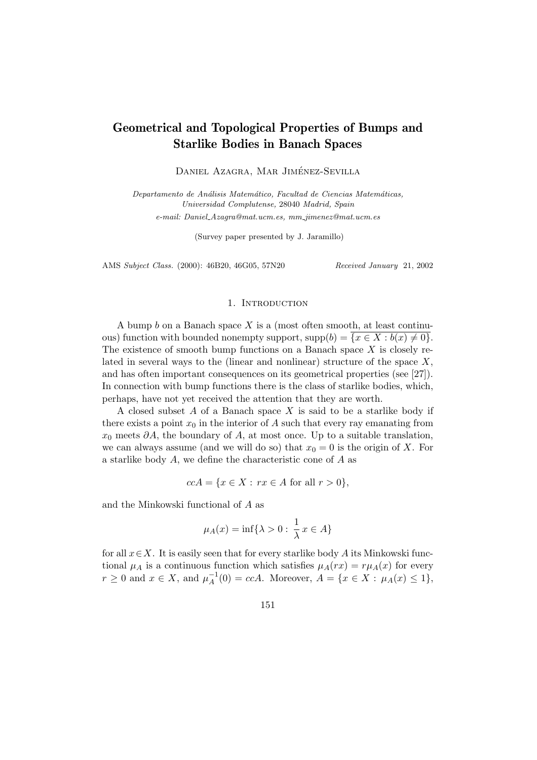# Geometrical and Topological Properties of Bumps and Starlike Bodies in Banach Spaces

DANIEL AZAGRA, MAR JIMÉNEZ-SEVILLA

Departamento de Análisis Matemático, Facultad de Ciencias Matemáticas, Universidad Complutense, 28040 Madrid, Spain

e-mail: Daniel Azagra@mat.ucm.es, mm jimenez@mat.ucm.es

(Survey paper presented by J. Jaramillo)

AMS Subject Class. (2000): 46B20, 46G05, 57N20 Received January 21, 2002

#### 1. INTRODUCTION

A bump  $b$  on a Banach space  $X$  is a (most often smooth, at least continuous) function with bounded nonempty support,  $supp(b) = \overline{\{x \in X : b(x) \neq 0\}}$ . The existence of smooth bump functions on a Banach space  $X$  is closely related in several ways to the (linear and nonlinear) structure of the space  $X$ , and has often important consequences on its geometrical properties (see [27]). In connection with bump functions there is the class of starlike bodies, which, perhaps, have not yet received the attention that they are worth.

A closed subset  $A$  of a Banach space  $X$  is said to be a starlike body if there exists a point  $x_0$  in the interior of A such that every ray emanating from  $x_0$  meets  $\partial A$ , the boundary of A, at most once. Up to a suitable translation, we can always assume (and we will do so) that  $x_0 = 0$  is the origin of X. For a starlike body A, we define the characteristic cone of A as

 $ccA = \{x \in X : rx \in A \text{ for all } r > 0\},\$ 

and the Minkowski functional of A as

$$
\mu_A(x) = \inf\{\lambda > 0 : \frac{1}{\lambda}x \in A\}
$$

for all  $x \in X$ . It is easily seen that for every starlike body A its Minkowski functional  $\mu_A$  is a continuous function which satisfies  $\mu_A(rx) = r\mu_A(x)$  for every  $r \geq 0$  and  $x \in X$ , and  $\mu_A^{-1}$  $A^{-1}(0) = ccA$ . Moreover,  $A = \{x \in X : \mu_A(x) \le 1\},\$ 

151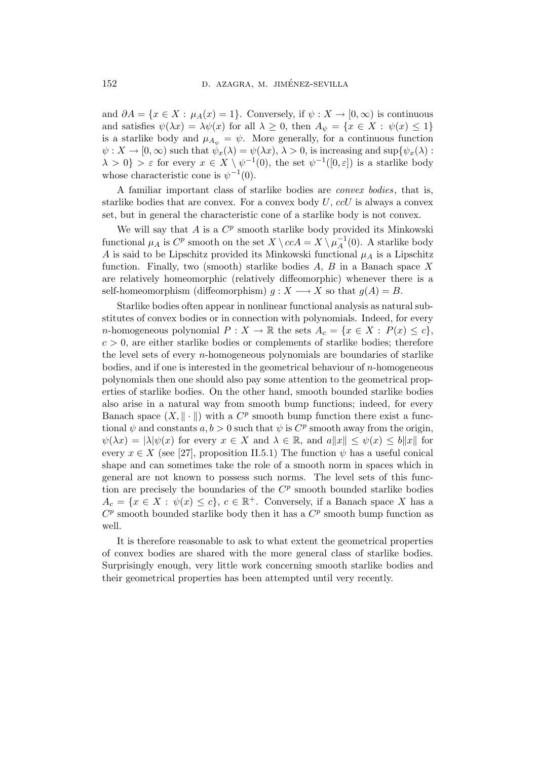and  $\partial A = \{x \in X : \mu_A(x) = 1\}$ . Conversely, if  $\psi : X \to [0, \infty)$  is continuous and satisfies  $\psi(\lambda x) = \lambda \psi(x)$  for all  $\lambda \geq 0$ , then  $A_{\psi} = \{x \in X : \psi(x) \leq 1\}$ is a starlike body and  $\mu_{A_{\psi}} = \psi$ . More generally, for a continuous function  $\psi: X \to [0, \infty)$  such that  $\psi_x(\lambda) = \psi(\lambda x), \lambda > 0$ , is increasing and sup $\psi_x(\lambda)$ :  $\{\lambda > 0\} > \varepsilon$  for every  $x \in X \setminus \psi^{-1}(0)$ , the set  $\psi^{-1}([0, \varepsilon])$  is a starlike body whose characteristic cone is  $\psi^{-1}(0)$ .

A familiar important class of starlike bodies are convex bodies, that is, starlike bodies that are convex. For a convex body  $U$ ,  $c c U$  is always a convex set, but in general the characteristic cone of a starlike body is not convex.

We will say that  $A$  is a  $C^p$  smooth starlike body provided its Minkowski functional  $\mu_A$  is  $C^p$  smooth on the set  $X \setminus ccA = X \setminus \mu_A^{-1}$  $_{A}^{-1}(0)$ . A starlike body A is said to be Lipschitz provided its Minkowski functional  $\mu_A$  is a Lipschitz function. Finally, two (smooth) starlike bodies  $A, B$  in a Banach space X are relatively homeomorphic (relatively diffeomorphic) whenever there is a self-homeomorphism (diffeomorphism)  $g: X \longrightarrow X$  so that  $g(A) = B$ .

Starlike bodies often appear in nonlinear functional analysis as natural substitutes of convex bodies or in connection with polynomials. Indeed, for every n-homogeneous polynomial  $P: X \to \mathbb{R}$  the sets  $A_c = \{x \in X : P(x) \leq c\},\$  $c > 0$ , are either starlike bodies or complements of starlike bodies; therefore the level sets of every  $n$ -homogeneous polynomials are boundaries of starlike bodies, and if one is interested in the geometrical behaviour of n-homogeneous polynomials then one should also pay some attention to the geometrical properties of starlike bodies. On the other hand, smooth bounded starlike bodies also arise in a natural way from smooth bump functions; indeed, for every Banach space  $(X, \|\cdot\|)$  with a  $C^p$  smooth bump function there exist a functional  $\psi$  and constants  $a, b > 0$  such that  $\psi$  is  $C^p$  smooth away from the origin,  $\psi(\lambda x) = |\lambda| \psi(x)$  for every  $x \in X$  and  $\lambda \in \mathbb{R}$ , and  $a||x|| \leq \psi(x) \leq b||x||$  for every  $x \in X$  (see [27], proposition II.5.1) The function  $\psi$  has a useful conical shape and can sometimes take the role of a smooth norm in spaces which in general are not known to possess such norms. The level sets of this function are precisely the boundaries of the  $C<sup>p</sup>$  smooth bounded starlike bodies  $A_c = \{x \in X : \psi(x) \leq c\}, c \in \mathbb{R}^+$ . Conversely, if a Banach space X has a  $C^p$  smooth bounded starlike body then it has a  $C^p$  smooth bump function as well.

It is therefore reasonable to ask to what extent the geometrical properties of convex bodies are shared with the more general class of starlike bodies. Surprisingly enough, very little work concerning smooth starlike bodies and their geometrical properties has been attempted until very recently.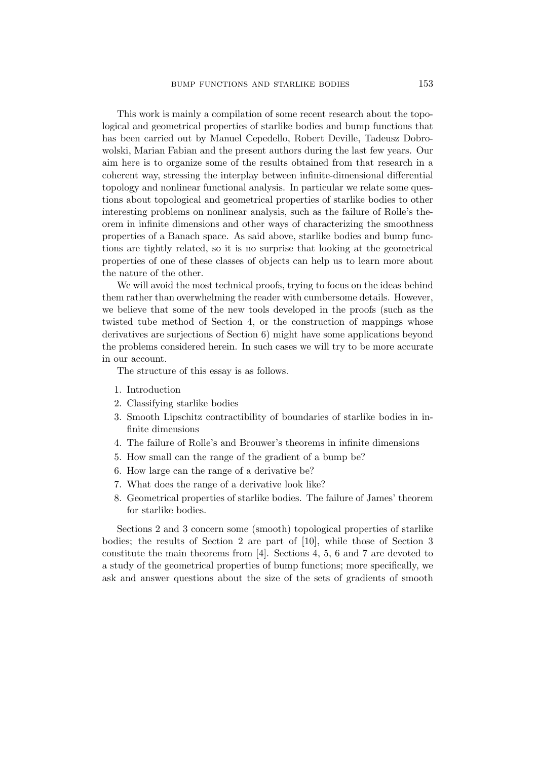This work is mainly a compilation of some recent research about the topological and geometrical properties of starlike bodies and bump functions that has been carried out by Manuel Cepedello, Robert Deville, Tadeusz Dobrowolski, Marian Fabian and the present authors during the last few years. Our aim here is to organize some of the results obtained from that research in a coherent way, stressing the interplay between infinite-dimensional differential topology and nonlinear functional analysis. In particular we relate some questions about topological and geometrical properties of starlike bodies to other interesting problems on nonlinear analysis, such as the failure of Rolle's theorem in infinite dimensions and other ways of characterizing the smoothness properties of a Banach space. As said above, starlike bodies and bump functions are tightly related, so it is no surprise that looking at the geometrical properties of one of these classes of objects can help us to learn more about the nature of the other.

We will avoid the most technical proofs, trying to focus on the ideas behind them rather than overwhelming the reader with cumbersome details. However, we believe that some of the new tools developed in the proofs (such as the twisted tube method of Section 4, or the construction of mappings whose derivatives are surjections of Section 6) might have some applications beyond the problems considered herein. In such cases we will try to be more accurate in our account.

The structure of this essay is as follows.

- 1. Introduction
- 2. Classifying starlike bodies
- 3. Smooth Lipschitz contractibility of boundaries of starlike bodies in infinite dimensions
- 4. The failure of Rolle's and Brouwer's theorems in infinite dimensions
- 5. How small can the range of the gradient of a bump be?
- 6. How large can the range of a derivative be?
- 7. What does the range of a derivative look like?
- 8. Geometrical properties of starlike bodies. The failure of James' theorem for starlike bodies.

Sections 2 and 3 concern some (smooth) topological properties of starlike bodies; the results of Section 2 are part of [10], while those of Section 3 constitute the main theorems from [4]. Sections 4, 5, 6 and 7 are devoted to a study of the geometrical properties of bump functions; more specifically, we ask and answer questions about the size of the sets of gradients of smooth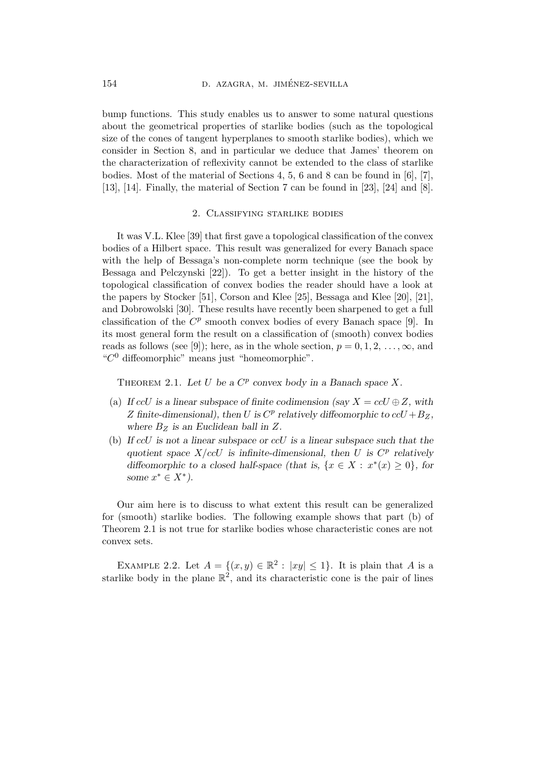bump functions. This study enables us to answer to some natural questions about the geometrical properties of starlike bodies (such as the topological size of the cones of tangent hyperplanes to smooth starlike bodies), which we consider in Section 8, and in particular we deduce that James' theorem on the characterization of reflexivity cannot be extended to the class of starlike bodies. Most of the material of Sections 4, 5, 6 and 8 can be found in [6], [7], [13], [14]. Finally, the material of Section 7 can be found in [23], [24] and [8].

## 2. Classifying starlike bodies

It was V.L. Klee [39] that first gave a topological classification of the convex bodies of a Hilbert space. This result was generalized for every Banach space with the help of Bessaga's non-complete norm technique (see the book by Bessaga and Pelczynski [22]). To get a better insight in the history of the topological classification of convex bodies the reader should have a look at the papers by Stocker [51], Corson and Klee [25], Bessaga and Klee [20], [21], and Dobrowolski [30]. These results have recently been sharpened to get a full classification of the  $C^p$  smooth convex bodies of every Banach space [9]. In its most general form the result on a classification of (smooth) convex bodies reads as follows (see [9]); here, as in the whole section,  $p = 0, 1, 2, \ldots, \infty$ , and "C <sup>0</sup> diffeomorphic" means just "homeomorphic".

THEOREM 2.1. Let U be a  $C^p$  convex body in a Banach space X.

- (a) If  $ccU$  is a linear subspace of finite codimension (say  $X = ccU \oplus Z$ , with Z finite-dimensional), then U is  $C^p$  relatively diffeomorphic to  $ccU + B_Z$ , where  $B_Z$  is an Euclidean ball in Z.
- (b) If  $ccU$  is not a linear subspace or  $ccU$  is a linear subspace such that the quotient space  $X/ccU$  is infinite-dimensional, then U is  $C^p$  relatively diffeomorphic to a closed half-space (that is,  $\{x \in X : x^*(x) \geq 0\}$ , for some  $x^* \in X^*$ ).

Our aim here is to discuss to what extent this result can be generalized for (smooth) starlike bodies. The following example shows that part (b) of Theorem 2.1 is not true for starlike bodies whose characteristic cones are not convex sets.

EXAMPLE 2.2. Let  $A = \{(x, y) \in \mathbb{R}^2 : |xy| \le 1\}$ . It is plain that A is a starlike body in the plane  $\mathbb{R}^2$ , and its characteristic cone is the pair of lines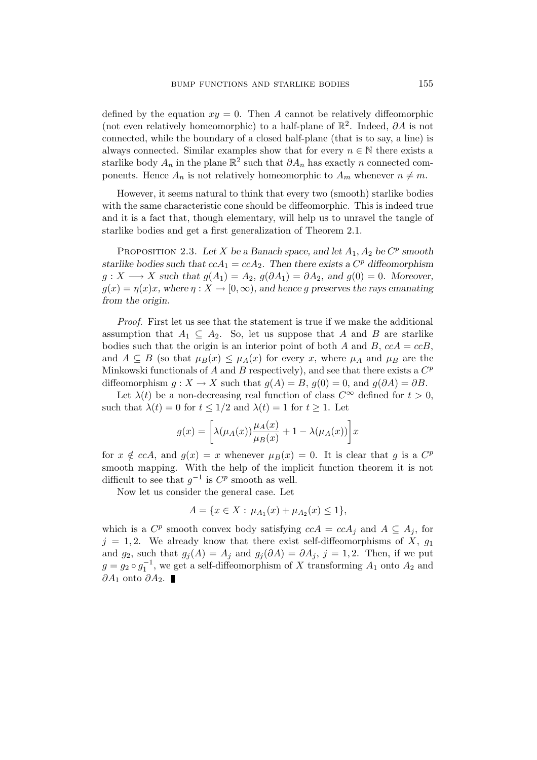defined by the equation  $xy = 0$ . Then A cannot be relatively diffeomorphic (not even relatively homeomorphic) to a half-plane of  $\mathbb{R}^2$ . Indeed,  $\partial A$  is not connected, while the boundary of a closed half-plane (that is to say, a line) is always connected. Similar examples show that for every  $n \in \mathbb{N}$  there exists a starlike body  $A_n$  in the plane  $\mathbb{R}^2$  such that  $\partial A_n$  has exactly n connected components. Hence  $A_n$  is not relatively homeomorphic to  $A_m$  whenever  $n \neq m$ .

However, it seems natural to think that every two (smooth) starlike bodies with the same characteristic cone should be diffeomorphic. This is indeed true and it is a fact that, though elementary, will help us to unravel the tangle of starlike bodies and get a first generalization of Theorem 2.1.

PROPOSITION 2.3. Let X be a Banach space, and let  $A_1, A_2$  be  $C^p$  smooth starlike bodies such that  $ccA_1 = ccA_2$ . Then there exists a  $C^p$  diffeomorphism  $g: X \longrightarrow X$  such that  $g(A_1) = A_2$ ,  $g(\partial A_1) = \partial A_2$ , and  $g(0) = 0$ . Moreover,  $g(x) = \eta(x)x$ , where  $\eta: X \to [0, \infty)$ , and hence g preserves the rays emanating from the origin.

Proof. First let us see that the statement is true if we make the additional assumption that  $A_1 \subseteq A_2$ . So, let us suppose that A and B are starlike bodies such that the origin is an interior point of both A and B,  $ccA = ccB$ , and  $A \subseteq B$  (so that  $\mu_B(x) \leq \mu_A(x)$  for every x, where  $\mu_A$  and  $\mu_B$  are the Minkowski functionals of A and B respectively), and see that there exists a  $C^p$ diffeomorphism  $g: X \to X$  such that  $g(A) = B$ ,  $g(0) = 0$ , and  $g(\partial A) = \partial B$ .

Let  $\lambda(t)$  be a non-decreasing real function of class  $C^{\infty}$  defined for  $t > 0$ , such that  $\lambda(t) = 0$  for  $t \leq 1/2$  and  $\lambda(t) = 1$  for  $t \geq 1$ . Let

$$
g(x) = \left[\lambda(\mu_A(x))\frac{\mu_A(x)}{\mu_B(x)} + 1 - \lambda(\mu_A(x))\right]x
$$

for  $x \notin cca$ , and  $g(x) = x$  whenever  $\mu_B(x) = 0$ . It is clear that g is a  $C^p$ smooth mapping. With the help of the implicit function theorem it is not difficult to see that  $g^{-1}$  is  $C^p$  smooth as well.

Now let us consider the general case. Let

$$
A = \{x \in X : \mu_{A_1}(x) + \mu_{A_2}(x) \le 1\},\
$$

which is a  $C^p$  smooth convex body satisfying  $c c A = c c A_j$  and  $A \subseteq A_j$ , for  $j = 1, 2$ . We already know that there exist self-diffeomorphisms of X,  $g_1$ and  $g_2$ , such that  $g_j(A) = A_j$  and  $g_j(\partial A) = \partial A_j$ ,  $j = 1, 2$ . Then, if we put  $g = g_2 \circ g_1^{-1}$ , we get a self-diffeomorphism of X transforming  $A_1$  onto  $A_2$  and  $\partial A_1$  onto  $\partial A_2$ . ■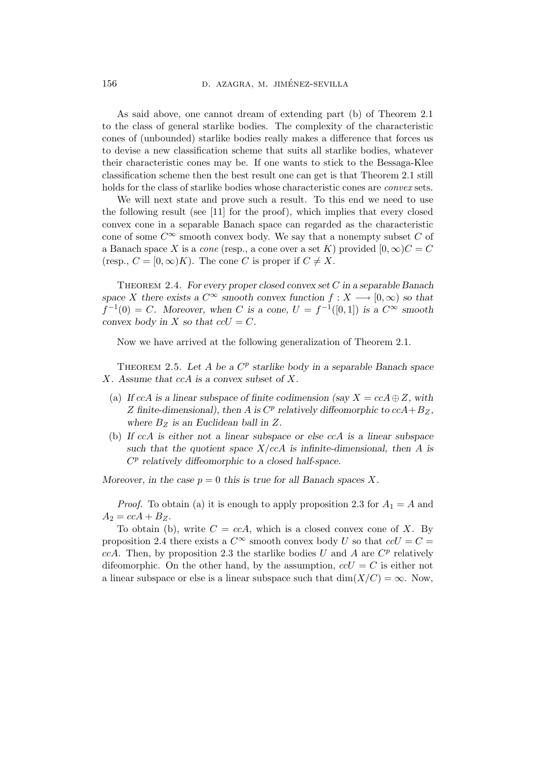As said above, one cannot dream of extending part (b) of Theorem 2.1 to the class of general starlike bodies. The complexity of the characteristic cones of (unbounded) starlike bodies really makes a difference that forces us to devise a new classification scheme that suits all starlike bodies, whatever their characteristic cones may be. If one wants to stick to the Bessaga-Klee classification scheme then the best result one can get is that Theorem 2.1 still holds for the class of starlike bodies whose characteristic cones are convex sets.

We will next state and prove such a result. To this end we need to use the following result (see [11] for the proof), which implies that every closed convex cone in a separable Banach space can regarded as the characteristic cone of some  $C^{\infty}$  smooth convex body. We say that a nonempty subset C of a Banach space X is a *cone* (resp., a cone over a set K) provided  $[0, \infty)C = C$ (resp.,  $C = [0, \infty)K$ ). The cone C is proper if  $C \neq X$ .

THEOREM 2.4. For every proper closed convex set  $C$  in a separable Banach space X there exists a  $C^{\infty}$  smooth convex function  $f: X \longrightarrow [0, \infty)$  so that  $f^{-1}(0) = C$ . Moreover, when C is a cone,  $U = f^{-1}([0,1])$  is a  $C^{\infty}$  smooth convex body in X so that  $c c U = C$ .

Now we have arrived at the following generalization of Theorem 2.1.

THEOREM 2.5. Let  $A$  be a  $C^p$  starlike body in a separable Banach space X. Assume that ccA is a convex subset of X.

- (a) If ccA is a linear subspace of finite codimension (say  $X = c c A \oplus Z$ , with Z finite-dimensional), then A is  $C^p$  relatively diffeomorphic to  $ccA+B_Z$ , where  $B_Z$  is an Euclidean ball in  $Z$ .
- (b) If ccA is either not a linear subspace or else ccA is a linear subspace such that the quotient space  $X/ccA$  is infinite-dimensional, then A is  $C<sup>p</sup>$  relatively diffeomorphic to a closed half-space.

Moreover, in the case  $p = 0$  this is true for all Banach spaces X.

*Proof.* To obtain (a) it is enough to apply proposition 2.3 for  $A_1 = A$  and  $A_2 = c c A + B_Z$ .

To obtain (b), write  $C = c c A$ , which is a closed convex cone of X. By proposition 2.4 there exists a  $C^{\infty}$  smooth convex body U so that  $c c U = C =$ ccA. Then, by proposition 2.3 the starlike bodies U and A are  $C^p$  relatively difeomorphic. On the other hand, by the assumption,  $ccU = C$  is either not a linear subspace or else is a linear subspace such that  $\dim(X/C) = \infty$ . Now,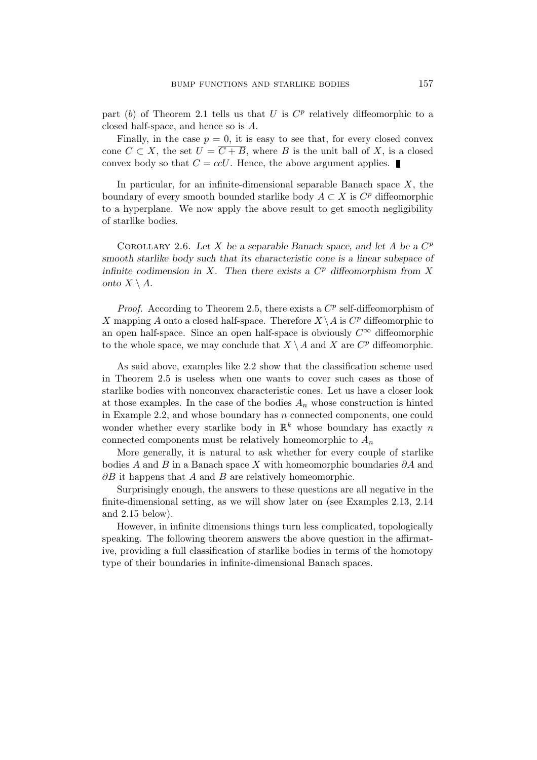part (b) of Theorem 2.1 tells us that U is  $C^p$  relatively diffeomorphic to a closed half-space, and hence so is A.

Finally, in the case  $p = 0$ , it is easy to see that, for every closed convex cone  $C \subset X$ , the set  $U = \overline{C + B}$ , where B is the unit ball of X, is a closed convex body so that  $C = ccU$ . Hence, the above argument applies.

In particular, for an infinite-dimensional separable Banach space  $X$ , the boundary of every smooth bounded starlike body  $A \subset X$  is  $C^p$  diffeomorphic to a hyperplane. We now apply the above result to get smooth negligibility of starlike bodies.

COROLLARY 2.6. Let X be a separable Banach space, and let A be a  $C^p$ smooth starlike body such that its characteristic cone is a linear subspace of infinite codimension in  $X$ . Then there exists a  $C<sup>p</sup>$  diffeomorphism from  $X$ onto  $X \setminus A$ .

*Proof.* According to Theorem 2.5, there exists a  $C^p$  self-diffeomorphism of X mapping A onto a closed half-space. Therefore  $X \setminus A$  is  $C^p$  diffeomorphic to an open half-space. Since an open half-space is obviously  $C^{\infty}$  diffeomorphic to the whole space, we may conclude that  $X \setminus A$  and X are  $C^p$  diffeomorphic.

As said above, examples like 2.2 show that the classification scheme used in Theorem 2.5 is useless when one wants to cover such cases as those of starlike bodies with nonconvex characteristic cones. Let us have a closer look at those examples. In the case of the bodies  $A_n$  whose construction is hinted in Example 2.2, and whose boundary has  $n$  connected components, one could wonder whether every starlike body in  $\mathbb{R}^k$  whose boundary has exactly n connected components must be relatively homeomorphic to  $A_n$ 

More generally, it is natural to ask whether for every couple of starlike bodies A and B in a Banach space X with homeomorphic boundaries  $\partial A$  and  $\partial B$  it happens that A and B are relatively homeomorphic.

Surprisingly enough, the answers to these questions are all negative in the finite-dimensional setting, as we will show later on (see Examples 2.13, 2.14 and 2.15 below).

However, in infinite dimensions things turn less complicated, topologically speaking. The following theorem answers the above question in the affirmative, providing a full classification of starlike bodies in terms of the homotopy type of their boundaries in infinite-dimensional Banach spaces.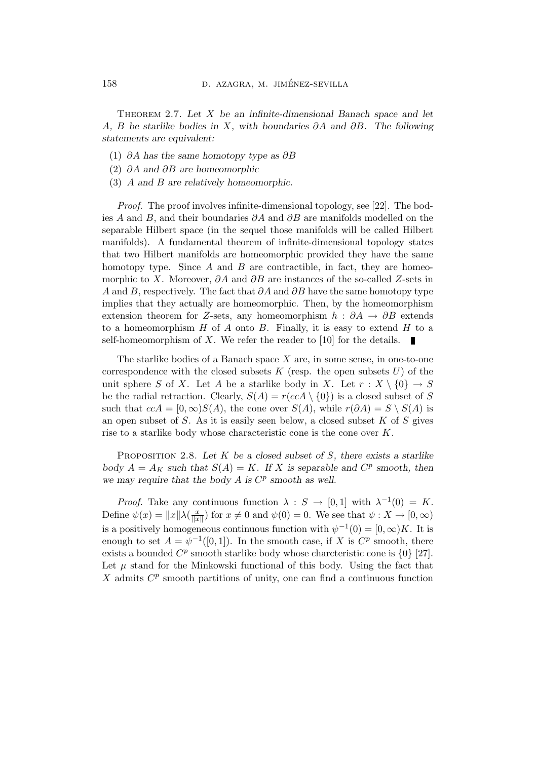THEOREM 2.7. Let  $X$  be an infinite-dimensional Banach space and let A, B be starlike bodies in X, with boundaries  $\partial A$  and  $\partial B$ . The following statements are equivalent:

- (1) ∂A has the same homotopy type as ∂B
- (2) ∂A and ∂B are homeomorphic
- (3) A and B are relatively homeomorphic.

Proof. The proof involves infinite-dimensional topology, see [22]. The bodies A and B, and their boundaries  $\partial A$  and  $\partial B$  are manifolds modelled on the separable Hilbert space (in the sequel those manifolds will be called Hilbert manifolds). A fundamental theorem of infinite-dimensional topology states that two Hilbert manifolds are homeomorphic provided they have the same homotopy type. Since  $A$  and  $B$  are contractible, in fact, they are homeomorphic to X. Moreover,  $\partial A$  and  $\partial B$  are instances of the so-called Z-sets in A and B, respectively. The fact that  $\partial A$  and  $\partial B$  have the same homotopy type implies that they actually are homeomorphic. Then, by the homeomorphism extension theorem for Z-sets, any homeomorphism  $h : \partial A \to \partial B$  extends to a homeomorphism  $H$  of  $A$  onto  $B$ . Finally, it is easy to extend  $H$  to a self-homeomorphism of  $X$ . We refer the reader to [10] for the details.

The starlike bodies of a Banach space  $X$  are, in some sense, in one-to-one correspondence with the closed subsets  $K$  (resp. the open subsets  $U$ ) of the unit sphere S of X. Let A be a starlike body in X. Let  $r : X \setminus \{0\} \to S$ be the radial retraction. Clearly,  $S(A) = r(ccA \setminus \{0\})$  is a closed subset of S such that  $c c A = [0, \infty) S(A)$ , the cone over  $S(A)$ , while  $r(\partial A) = S \setminus S(A)$  is an open subset of  $S$ . As it is easily seen below, a closed subset  $K$  of  $S$  gives rise to a starlike body whose characteristic cone is the cone over K.

PROPOSITION 2.8. Let  $K$  be a closed subset of  $S$ , there exists a starlike body  $A = A_K$  such that  $S(A) = K$ . If X is separable and  $C^p$  smooth, then we may require that the body  $A$  is  $C^p$  smooth as well.

*Proof.* Take any continuous function  $\lambda : S \to [0,1]$  with  $\lambda^{-1}(0) = K$ . Define  $\psi(x) = ||x|| \lambda \left(\frac{x}{||x||} \right)$  $\frac{x}{\|x\|}$  for  $x \neq 0$  and  $\psi(0) = 0$ . We see that  $\psi: X \to [0, \infty)$ is a positively homogeneous continuous function with  $\psi^{-1}(0) = [0, \infty)K$ . It is enough to set  $A = \psi^{-1}([0,1])$ . In the smooth case, if X is  $C^p$  smooth, there exists a bounded  $C^p$  smooth starlike body whose charcteristic cone is  $\{0\}$  [27]. Let  $\mu$  stand for the Minkowski functional of this body. Using the fact that  $X$  admits  $C^p$  smooth partitions of unity, one can find a continuous function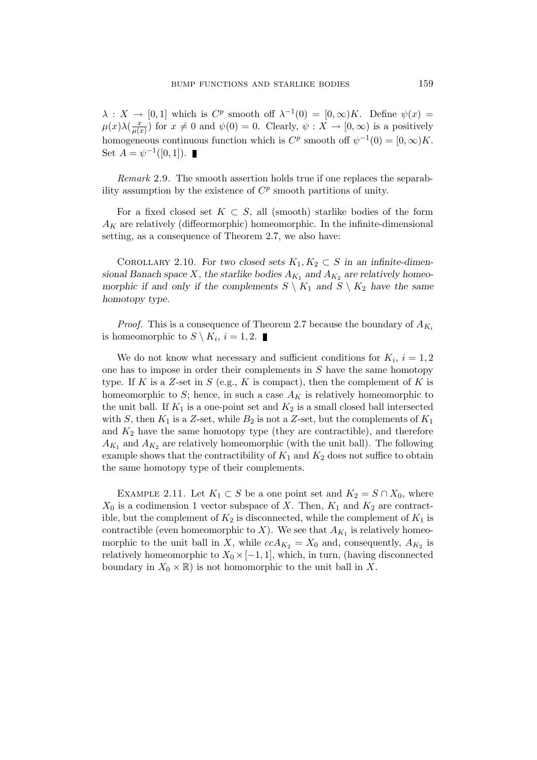$\lambda: X \to [0,1]$  which is  $C^p$  smooth off  $\lambda^{-1}(0) = [0,\infty)K$ . Define  $\psi(x) =$  $\mu(x)\lambda(\frac{x}{\mu(x))}$  $\frac{x}{\mu(x)}$  for  $x \neq 0$  and  $\psi(0) = 0$ . Clearly,  $\psi: X \to [0, \infty)$  is a positively homogeneous continuous function which is  $C^p$  smooth off  $\psi^{-1}(0) = [0, \infty)K$ . Set  $A = \psi^{-1}([0, 1]).$ 

Remark 2.9. The smooth assertion holds true if one replaces the separability assumption by the existence of  $C^p$  smooth partitions of unity.

For a fixed closed set  $K \subset S$ , all (smooth) starlike bodies of the form  $A_K$  are relatively (diffeormorphic) homeomorphic. In the infinite-dimensional setting, as a consequence of Theorem 2.7, we also have:

COROLLARY 2.10. For two closed sets  $K_1, K_2 \subset S$  in an infinite-dimensional Banach space X, the starlike bodies  $A_{K_1}$  and  $A_{K_2}$  are relatively homeomorphic if and only if the complements  $S \setminus K_1$  and  $S \setminus K_2$  have the same homotopy type.

*Proof.* This is a consequence of Theorem 2.7 because the boundary of  $A_{K_i}$ is homeomorphic to  $S \setminus K_i$ ,  $i = 1, 2$ .

We do not know what necessary and sufficient conditions for  $K_i$ ,  $i = 1, 2$ one has to impose in order their complements in  $S$  have the same homotopy type. If K is a Z-set in S (e.g., K is compact), then the complement of K is homeomorphic to S; hence, in such a case  $A_K$  is relatively homeomorphic to the unit ball. If  $K_1$  is a one-point set and  $K_2$  is a small closed ball intersected with S, then  $K_1$  is a Z-set, while  $B_2$  is not a Z-set, but the complements of  $K_1$ and  $K_2$  have the same homotopy type (they are contractible), and therefore  $A_{K_1}$  and  $A_{K_2}$  are relatively homeomorphic (with the unit ball). The following example shows that the contractibility of  $K_1$  and  $K_2$  does not suffice to obtain the same homotopy type of their complements.

EXAMPLE 2.11. Let  $K_1 \subset S$  be a one point set and  $K_2 = S \cap X_0$ , where  $X_0$  is a codimension 1 vector subspace of X. Then,  $K_1$  and  $K_2$  are contractible, but the complement of  $K_2$  is disconnected, while the complement of  $K_1$  is contractible (even homeomorphic to X). We see that  $A_{K_1}$  is relatively homeomorphic to the unit ball in X, while  $ccA_{K_2} = X_0$  and, consequently,  $A_{K_2}$  is relatively homeomorphic to  $X_0 \times [-1, 1]$ , which, in turn, (having disconnected boundary in  $X_0 \times \mathbb{R}$  is not homomorphic to the unit ball in X.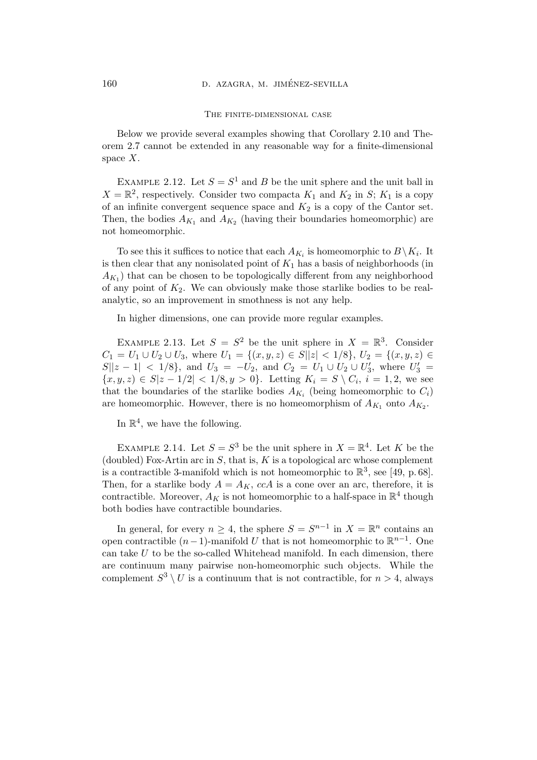#### The finite-dimensional case

Below we provide several examples showing that Corollary 2.10 and Theorem 2.7 cannot be extended in any reasonable way for a finite-dimensional space  $X$ .

EXAMPLE 2.12. Let  $S = S^1$  and B be the unit sphere and the unit ball in  $X = \mathbb{R}^2$ , respectively. Consider two compacta  $K_1$  and  $K_2$  in S;  $K_1$  is a copy of an infinite convergent sequence space and  $K_2$  is a copy of the Cantor set. Then, the bodies  $A_{K_1}$  and  $A_{K_2}$  (having their boundaries homeomorphic) are not homeomorphic.

To see this it suffices to notice that each  $A_{K_i}$  is homeomorphic to  $B \setminus K_i$ . It is then clear that any nonisolated point of  $K_1$  has a basis of neighborhoods (in  $(A_{K_1})$  that can be chosen to be topologically different from any neighborhood of any point of  $K_2$ . We can obviously make those starlike bodies to be realanalytic, so an improvement in smothness is not any help.

In higher dimensions, one can provide more regular examples.

EXAMPLE 2.13. Let  $S = S^2$  be the unit sphere in  $X = \mathbb{R}^3$ . Consider  $C_1 = U_1 \cup U_2 \cup U_3$ , where  $U_1 = \{(x, y, z) \in S | |z| < 1/8 \}$ ,  $U_2 = \{(x, y, z) \in S | z| \}$  $S||z - 1|$  < 1/8}, and  $U_3 = -U_2$ , and  $C_2 = U_1 \cup U_2 \cup U'_3$ , where  $U'_3 =$  ${x, y, z \in S | z - 1/2 |} < 1/8, y > 0$ . Letting  $K_i = S \setminus C_i$ ,  $i = 1, 2$ , we see that the boundaries of the starlike bodies  $A_{K_i}$  (being homeomorphic to  $C_i$ ) are homeomorphic. However, there is no homeomorphism of  $A_{K_1}$  onto  $A_{K_2}$ .

In  $\mathbb{R}^4$ , we have the following.

EXAMPLE 2.14. Let  $S = S^3$  be the unit sphere in  $X = \mathbb{R}^4$ . Let K be the (doubled) Fox-Artin arc in  $S$ , that is,  $K$  is a topological arc whose complement is a contractible 3-manifold which is not homeomorphic to  $\mathbb{R}^3$ , see [49, p. 68]. Then, for a starlike body  $A = A_K$ , ccA is a cone over an arc, therefore, it is contractible. Moreover,  $A_K$  is not homeomorphic to a half-space in  $\mathbb{R}^4$  though both bodies have contractible boundaries.

In general, for every  $n \geq 4$ , the sphere  $S = S^{n-1}$  in  $X = \mathbb{R}^n$  contains an open contractible  $(n-1)$ -manifold U that is not homeomorphic to  $\mathbb{R}^{n-1}$ . One can take  $U$  to be the so-called Whitehead manifold. In each dimension, there are continuum many pairwise non-homeomorphic such objects. While the complement  $S^3 \setminus U$  is a continuum that is not contractible, for  $n > 4$ , always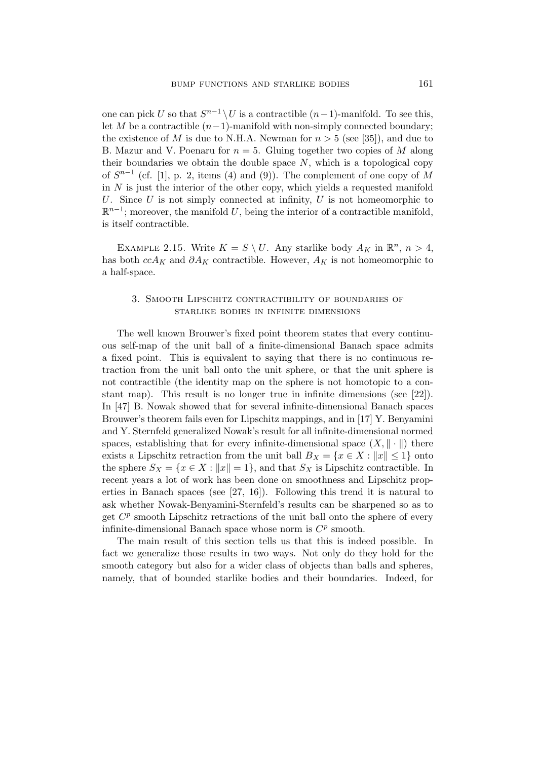one can pick U so that  $S^{n-1} \setminus U$  is a contractible  $(n-1)$ -manifold. To see this, let M be a contractible  $(n-1)$ -manifold with non-simply connected boundary: the existence of M is due to N.H.A. Newman for  $n > 5$  (see [35]), and due to B. Mazur and V. Poenaru for  $n = 5$ . Gluing together two copies of M along their boundaries we obtain the double space  $N$ , which is a topological copy of  $S^{n-1}$  (cf. [1], p. 2, items (4) and (9)). The complement of one copy of M in  $N$  is just the interior of the other copy, which yields a requested manifold U. Since U is not simply connected at infinity, U is not homeomorphic to  $\mathbb{R}^{n-1}$ ; moreover, the manifold U, being the interior of a contractible manifold, is itself contractible.

EXAMPLE 2.15. Write  $K = S \setminus U$ . Any starlike body  $A_K$  in  $\mathbb{R}^n$ ,  $n > 4$ , has both  $c c A_K$  and  $\partial A_K$  contractible. However,  $A_K$  is not homeomorphic to a half-space.

# 3. Smooth Lipschitz contractibility of boundaries of starlike bodies in infinite dimensions

The well known Brouwer's fixed point theorem states that every continuous self-map of the unit ball of a finite-dimensional Banach space admits a fixed point. This is equivalent to saying that there is no continuous retraction from the unit ball onto the unit sphere, or that the unit sphere is not contractible (the identity map on the sphere is not homotopic to a constant map). This result is no longer true in infinite dimensions (see [22]). In [47] B. Nowak showed that for several infinite-dimensional Banach spaces Brouwer's theorem fails even for Lipschitz mappings, and in [17] Y. Benyamini and Y. Sternfeld generalized Nowak's result for all infinite-dimensional normed spaces, establishing that for every infinite-dimensional space  $(X, \|\cdot\|)$  there exists a Lipschitz retraction from the unit ball  $B_X = \{x \in X : ||x|| \leq 1\}$  onto the sphere  $S_X = \{x \in X : ||x|| = 1\}$ , and that  $S_X$  is Lipschitz contractible. In recent years a lot of work has been done on smoothness and Lipschitz properties in Banach spaces (see [27, 16]). Following this trend it is natural to ask whether Nowak-Benyamini-Sternfeld's results can be sharpened so as to get  $C^p$  smooth Lipschitz retractions of the unit ball onto the sphere of every infinite-dimensional Banach space whose norm is  $C^p$  smooth.

The main result of this section tells us that this is indeed possible. In fact we generalize those results in two ways. Not only do they hold for the smooth category but also for a wider class of objects than balls and spheres, namely, that of bounded starlike bodies and their boundaries. Indeed, for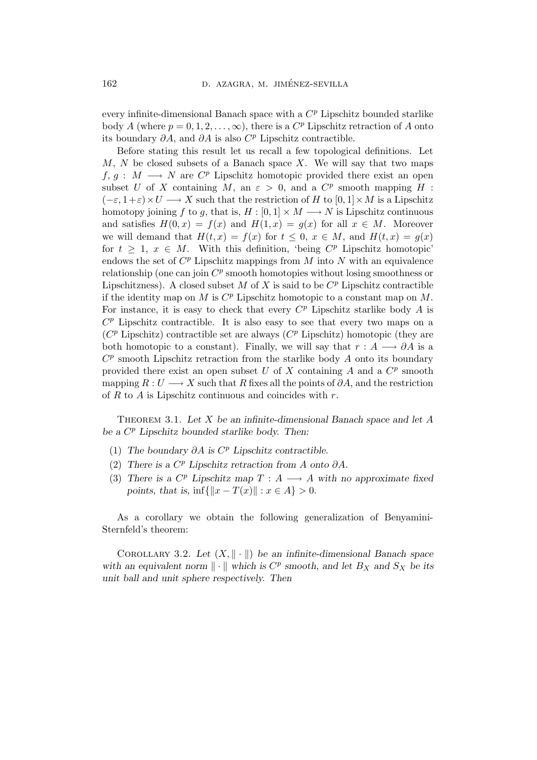every infinite-dimensional Banach space with a  $C^p$  Lipschitz bounded starlike body A (where  $p = 0, 1, 2, \ldots, \infty$ ), there is a  $C^p$  Lipschitz retraction of A onto its boundary  $\partial A$ , and  $\partial A$  is also  $C^p$  Lipschitz contractible.

Before stating this result let us recall a few topological definitions. Let  $M, N$  be closed subsets of a Banach space X. We will say that two maps  $f, g: M \longrightarrow N$  are  $C^p$  Lipschitz homotopic provided there exist an open subset U of X containing M, an  $\varepsilon > 0$ , and a  $C^p$  smooth mapping H :  $(-\varepsilon, 1+\varepsilon) \times U \longrightarrow X$  such that the restriction of H to  $[0, 1] \times M$  is a Lipschitz homotopy joining f to g, that is,  $H : [0, 1] \times M \longrightarrow N$  is Lipschitz continuous and satisfies  $H(0, x) = f(x)$  and  $H(1, x) = g(x)$  for all  $x \in M$ . Moreover we will demand that  $H(t, x) = f(x)$  for  $t \leq 0, x \in M$ , and  $H(t, x) = g(x)$ for  $t \geq 1$ ,  $x \in M$ . With this definition, 'being  $C^p$  Lipschitz homotopic' endows the set of  $C^p$  Lipschitz mappings from M into N with an equivalence relationship (one can join  $C^p$  smooth homotopies without losing smoothness or Lipschitzness). A closed subset  $M$  of  $X$  is said to be  $C^p$  Lipschitz contractible if the identity map on  $M$  is  $C^p$  Lipschitz homotopic to a constant map on  $M$ . For instance, it is easy to check that every  $C^p$  Lipschitz starlike body A is  $C<sup>p</sup>$  Lipschitz contractible. It is also easy to see that every two maps on a  $(C^p$  Lipschitz) contractible set are always  $(C^p$  Lipschitz) homotopic (they are both homotopic to a constant). Finally, we will say that  $r : A \longrightarrow \partial A$  is a  $C^p$  smooth Lipschitz retraction from the starlike body  $A$  onto its boundary provided there exist an open subset U of X containing A and a  $C^p$  smooth mapping  $R: U \longrightarrow X$  such that R fixes all the points of  $\partial A$ , and the restriction of R to A is Lipschitz continuous and coincides with  $r$ .

THEOREM 3.1. Let  $X$  be an infinite-dimensional Banach space and let  $A$ be a  $C^p$  Lipschitz bounded starlike body. Then:

- (1) The boundary  $\partial A$  is  $C^p$  Lipschitz contractible.
- (2) There is a  $C^p$  Lipschitz retraction from A onto  $\partial A$ .
- (3) There is a  $C^p$  Lipschitz map  $T : A \longrightarrow A$  with no approximate fixed points, that is,  $\inf\{\|x - T(x)\| : x \in A\} > 0.$

As a corollary we obtain the following generalization of Benyamini-Sternfeld's theorem:

COROLLARY 3.2. Let  $(X, \|\cdot\|)$  be an infinite-dimensional Banach space with an equivalent norm  $\|\cdot\|$  which is  $C^p$  smooth, and let  $B_X$  and  $S_X$  be its unit ball and unit sphere respectively. Then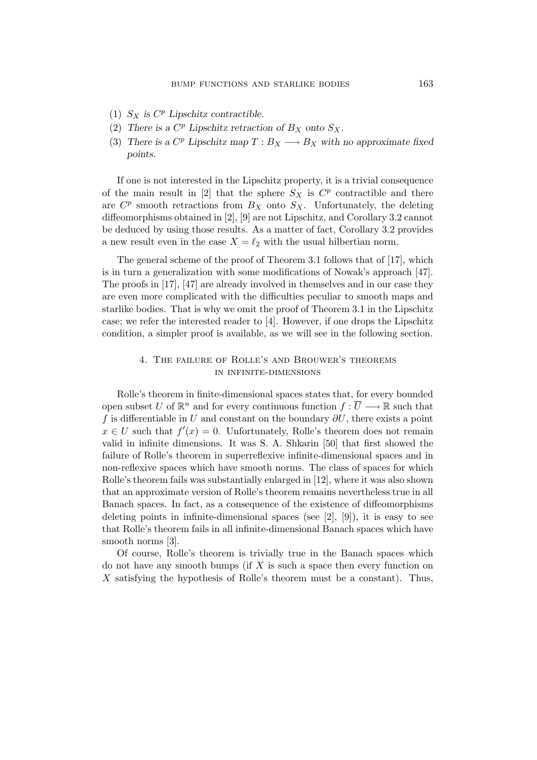- (1)  $S_X$  is  $C^p$  Lipschitz contractible.
- (2) There is a  $C^p$  Lipschitz retraction of  $B_X$  onto  $S_X$ .
- (3) There is a  $C^p$  Lipschitz map  $T: B_X \longrightarrow B_X$  with no approximate fixed points.

If one is not interested in the Lipschitz property, it is a trivial consequence of the main result in [2] that the sphere  $S_X$  is  $C^p$  contractible and there are  $C^p$  smooth retractions from  $B_X$  onto  $S_X$ . Unfortunately, the deleting diffeomorphisms obtained in [2], [9] are not Lipschitz, and Corollary 3.2 cannot be deduced by using those results. As a matter of fact, Corollary 3.2 provides a new result even in the case  $X = \ell_2$  with the usual hilbertian norm.

The general scheme of the proof of Theorem 3.1 follows that of [17], which is in turn a generalization with some modifications of Nowak's approach [47]. The proofs in [17], [47] are already involved in themselves and in our case they are even more complicated with the difficulties peculiar to smooth maps and starlike bodies. That is why we omit the proof of Theorem 3.1 in the Lipschitz case; we refer the interested reader to [4]. However, if one drops the Lipschitz condition, a simpler proof is available, as we will see in the following section.

## 4. The failure of Rolle's and Brouwer's theorems in infinite-dimensions

Rolle's theorem in finite-dimensional spaces states that, for every bounded open subset U of  $\mathbb{R}^n$  and for every continuous function  $f: \overline{U} \longrightarrow \mathbb{R}$  such that f is differentiable in U and constant on the boundary  $\partial U$ , there exists a point  $x \in U$  such that  $f'(x) = 0$ . Unfortunately, Rolle's theorem does not remain valid in infinite dimensions. It was S. A. Shkarin [50] that first showed the failure of Rolle's theorem in superreflexive infinite-dimensional spaces and in non-reflexive spaces which have smooth norms. The class of spaces for which Rolle's theorem fails was substantially enlarged in [12], where it was also shown that an approximate version of Rolle's theorem remains nevertheless true in all Banach spaces. In fact, as a consequence of the existence of diffeomorphisms deleting points in infinite-dimensional spaces (see  $[2]$ ,  $[9]$ ), it is easy to see that Rolle's theorem fails in all infinite-dimensional Banach spaces which have smooth norms [3].

Of course, Rolle's theorem is trivially true in the Banach spaces which do not have any smooth bumps (if  $X$  is such a space then every function on X satisfying the hypothesis of Rolle's theorem must be a constant). Thus,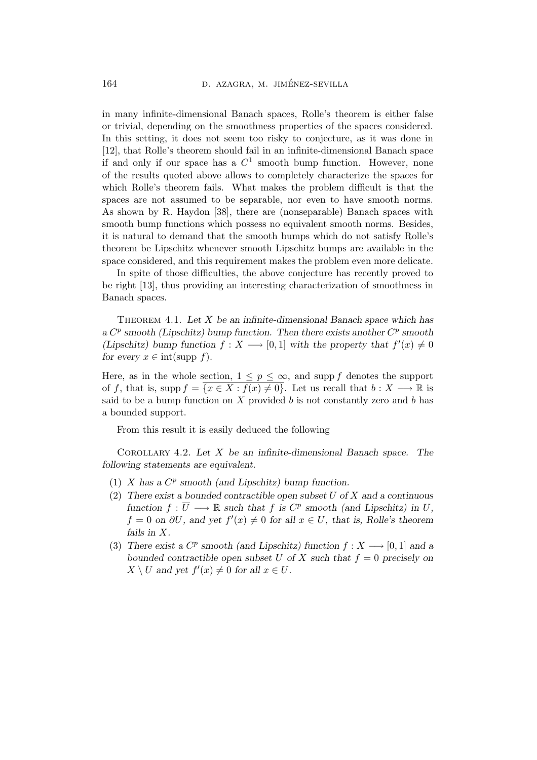in many infinite-dimensional Banach spaces, Rolle's theorem is either false or trivial, depending on the smoothness properties of the spaces considered. In this setting, it does not seem too risky to conjecture, as it was done in [12], that Rolle's theorem should fail in an infinite-dimensional Banach space if and only if our space has a  $C^1$  smooth bump function. However, none of the results quoted above allows to completely characterize the spaces for which Rolle's theorem fails. What makes the problem difficult is that the spaces are not assumed to be separable, nor even to have smooth norms. As shown by R. Haydon [38], there are (nonseparable) Banach spaces with smooth bump functions which possess no equivalent smooth norms. Besides, it is natural to demand that the smooth bumps which do not satisfy Rolle's theorem be Lipschitz whenever smooth Lipschitz bumps are available in the space considered, and this requirement makes the problem even more delicate.

In spite of those difficulties, the above conjecture has recently proved to be right [13], thus providing an interesting characterization of smoothness in Banach spaces.

THEOREM 4.1. Let  $X$  be an infinite-dimensional Banach space which has a  $C^p$  smooth (Lipschitz) bump function. Then there exists another  $C^p$  smooth (Lipschitz) bump function  $f: X \longrightarrow [0,1]$  with the property that  $f'(x) \neq 0$ for every  $x \in \text{int}(\text{supp } f)$ .

Here, as in the whole section,  $1 \leq p \leq \infty$ , and supp f denotes the support of f, that is, supp  $f = \{x \in X : f(x) \neq 0\}$ . Let us recall that  $b : X \longrightarrow \mathbb{R}$  is said to be a bump function on X provided b is not constantly zero and b has a bounded support.

From this result it is easily deduced the following

COROLLARY 4.2. Let  $X$  be an infinite-dimensional Banach space. The following statements are equivalent.

- (1)  $X$  has a  $C^p$  smooth (and Lipschitz) bump function.
- (2) There exist a bounded contractible open subset  $U$  of  $X$  and a continuous function  $f: \overline{U} \longrightarrow \mathbb{R}$  such that f is  $C^p$  smooth (and Lipschitz) in U,  $f = 0$  on  $\partial U$ , and yet  $f'(x) \neq 0$  for all  $x \in U$ , that is, Rolle's theorem fails in X.
- (3) There exist a  $C^p$  smooth (and Lipschitz) function  $f: X \longrightarrow [0,1]$  and a bounded contractible open subset U of X such that  $f = 0$  precisely on  $X \setminus U$  and yet  $f'(x) \neq 0$  for all  $x \in U$ .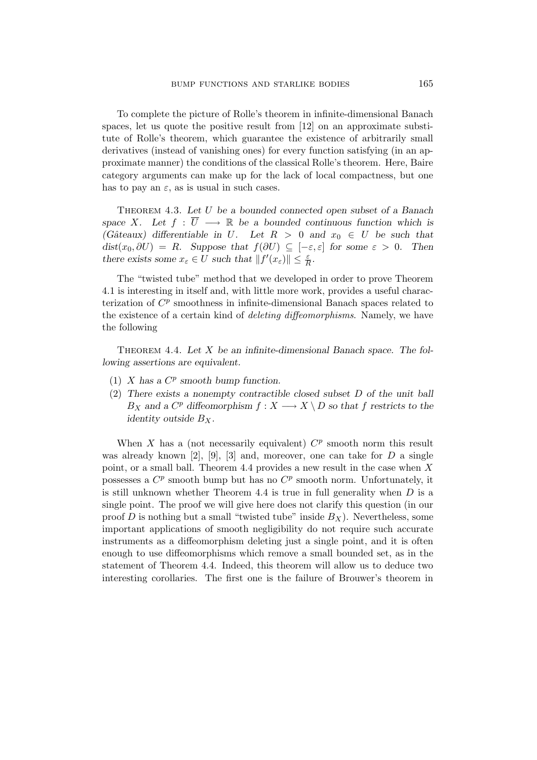To complete the picture of Rolle's theorem in infinite-dimensional Banach spaces, let us quote the positive result from [12] on an approximate substitute of Rolle's theorem, which guarantee the existence of arbitrarily small derivatives (instead of vanishing ones) for every function satisfying (in an approximate manner) the conditions of the classical Rolle's theorem. Here, Baire category arguments can make up for the lack of local compactness, but one has to pay an  $\varepsilon$ , as is usual in such cases.

THEOREM 4.3. Let U be a bounded connected open subset of a Banach space X. Let  $f : \overline{U} \longrightarrow \mathbb{R}$  be a bounded continuous function which is (Gâteaux) differentiable in U. Let  $R > 0$  and  $x_0 \in U$  be such that  $dist(x_0, \partial U) = R$ . Suppose that  $f(\partial U) \subseteq [-\varepsilon, \varepsilon]$  for some  $\varepsilon > 0$ . Then there exists some  $x_{\varepsilon} \in U$  such that  $||f'(x_{\varepsilon})|| \leq \frac{\varepsilon}{R}$  $\frac{\varepsilon}{R}$ .

The "twisted tube" method that we developed in order to prove Theorem 4.1 is interesting in itself and, with little more work, provides a useful characterization of  $C^p$  smoothness in infinite-dimensional Banach spaces related to the existence of a certain kind of deleting diffeomorphisms. Namely, we have the following

THEOREM 4.4. Let  $X$  be an infinite-dimensional Banach space. The following assertions are equivalent.

- (1) X has a  $C^p$  smooth bump function.
- (2) There exists a nonempty contractible closed subset D of the unit ball  $B_X$  and a  $C^p$  diffeomorphism  $f: X \longrightarrow X \setminus D$  so that f restricts to the identity outside  $B_X$ .

When X has a (not necessarily equivalent)  $C^p$  smooth norm this result was already known [2], [9], [3] and, moreover, one can take for  $D$  a single point, or a small ball. Theorem 4.4 provides a new result in the case when X possesses a  $C^p$  smooth bump but has no  $C^p$  smooth norm. Unfortunately, it is still unknown whether Theorem 4.4 is true in full generality when  $D$  is a single point. The proof we will give here does not clarify this question (in our proof  $D$  is nothing but a small "twisted tube" inside  $B_X$ ). Nevertheless, some important applications of smooth negligibility do not require such accurate instruments as a diffeomorphism deleting just a single point, and it is often enough to use diffeomorphisms which remove a small bounded set, as in the statement of Theorem 4.4. Indeed, this theorem will allow us to deduce two interesting corollaries. The first one is the failure of Brouwer's theorem in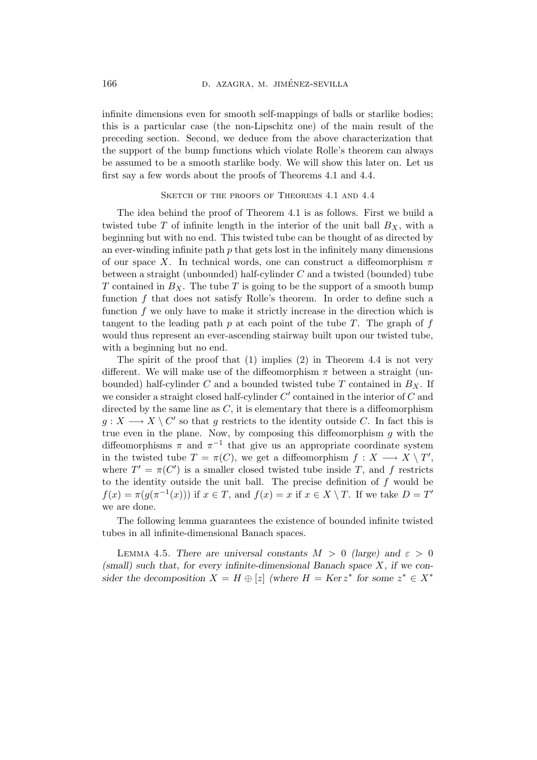infinite dimensions even for smooth self-mappings of balls or starlike bodies; this is a particular case (the non-Lipschitz one) of the main result of the preceding section. Second, we deduce from the above characterization that the support of the bump functions which violate Rolle's theorem can always be assumed to be a smooth starlike body. We will show this later on. Let us first say a few words about the proofs of Theorems 4.1 and 4.4.

### SKETCH OF THE PROOFS OF THEOREMS 4.1 AND 4.4

The idea behind the proof of Theorem 4.1 is as follows. First we build a twisted tube  $T$  of infinite length in the interior of the unit ball  $B_X$ , with a beginning but with no end. This twisted tube can be thought of as directed by an ever-winding infinite path  $p$  that gets lost in the infinitely many dimensions of our space X. In technical words, one can construct a diffeomorphism  $\pi$ between a straight (unbounded) half-cylinder C and a twisted (bounded) tube T contained in  $B_X$ . The tube T is going to be the support of a smooth bump function f that does not satisfy Rolle's theorem. In order to define such a function f we only have to make it strictly increase in the direction which is tangent to the leading path  $p$  at each point of the tube  $T$ . The graph of  $f$ would thus represent an ever-ascending stairway built upon our twisted tube, with a beginning but no end.

The spirit of the proof that (1) implies (2) in Theorem 4.4 is not very different. We will make use of the diffeomorphism  $\pi$  between a straight (unbounded) half-cylinder C and a bounded twisted tube T contained in  $B_X$ . If we consider a straight closed half-cylinder  $C'$  contained in the interior of  $C$  and directed by the same line as  $C$ , it is elementary that there is a diffeomorphism  $g: X \longrightarrow X \setminus C'$  so that g restricts to the identity outside C. In fact this is true even in the plane. Now, by composing this diffeomorphism  $g$  with the diffeomorphisms  $\pi$  and  $\pi^{-1}$  that give us an appropriate coordinate system in the twisted tube  $T = \pi(C)$ , we get a diffeomorphism  $f: X \longrightarrow X \setminus T'$ , where  $T' = \pi(C')$  is a smaller closed twisted tube inside T, and f restricts to the identity outside the unit ball. The precise definition of  $f$  would be  $f(x) = \pi(g(\pi^{-1}(x)))$  if  $x \in T$ , and  $f(x) = x$  if  $x \in X \setminus T$ . If we take  $D = T'$ we are done.

The following lemma guarantees the existence of bounded infinite twisted tubes in all infinite-dimensional Banach spaces.

LEMMA 4.5. There are universal constants  $M > 0$  (large) and  $\varepsilon > 0$  $(small)$  such that, for every infinite-dimensional Banach space X, if we consider the decomposition  $X = H \oplus [z]$  (where  $H = \text{Ker } z^*$  for some  $z^* \in X^*$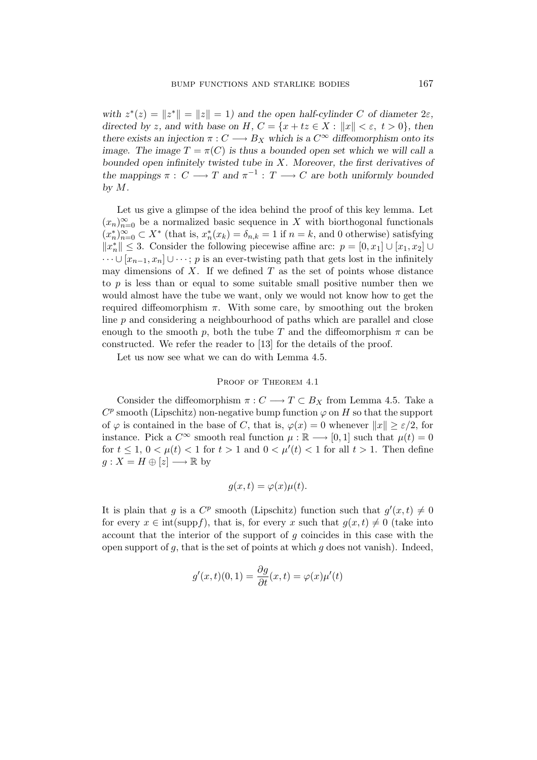with  $z^*(z) = ||z^*|| = ||z|| = 1$  and the open half-cylinder C of diameter  $2\varepsilon$ , directed by z, and with base on H,  $C = \{x + tz \in X : ||x|| < \varepsilon, t > 0\}$ , then there exists an injection  $\pi: C \longrightarrow B_X$  which is a  $C^{\infty}$  diffeomorphism onto its image. The image  $T = \pi(C)$  is thus a bounded open set which we will call a bounded open infinitely twisted tube in  $X$ . Moreover, the first derivatives of the mappings  $\pi: C \longrightarrow T$  and  $\pi^{-1}: T \longrightarrow C$  are both uniformly bounded by M.

Let us give a glimpse of the idea behind the proof of this key lemma. Let  $(x_n)_{n=0}^{\infty}$  be a normalized basic sequence in X with biorthogonal functionals  $(x_n^*)_{n=0}^{\infty} \subset X^*$  (that is,  $x_n^*(x_k) = \delta_{n,k} = 1$  if  $n = k$ , and 0 otherwise) satisfying  $||x_n^*||$  ≤ 3. Consider the following piecewise affine arc:  $p = [0, x_1] \cup [x_1, x_2] \cup$  $\cdots \cup [x_{n-1}, x_n] \cup \cdots$ ; p is an ever-twisting path that gets lost in the infinitely may dimensions of  $X$ . If we defined  $T$  as the set of points whose distance to  $p$  is less than or equal to some suitable small positive number then we would almost have the tube we want, only we would not know how to get the required diffeomorphism  $\pi$ . With some care, by smoothing out the broken line  $p$  and considering a neighbourhood of paths which are parallel and close enough to the smooth p, both the tube T and the diffeomorphism  $\pi$  can be constructed. We refer the reader to [13] for the details of the proof.

Let us now see what we can do with Lemma 4.5.

## PROOF OF THEOREM 4.1

Consider the diffeomorphism  $\pi: C \longrightarrow T \subset B_X$  from Lemma 4.5. Take a  $C^p$  smooth (Lipschitz) non-negative bump function  $\varphi$  on H so that the support of  $\varphi$  is contained in the base of C, that is,  $\varphi(x) = 0$  whenever  $||x|| \geq \varepsilon/2$ , for instance. Pick a  $C^{\infty}$  smooth real function  $\mu : \mathbb{R} \longrightarrow [0, 1]$  such that  $\mu(t) = 0$ for  $t \leq 1$ ,  $0 < \mu(t) < 1$  for  $t > 1$  and  $0 < \mu'(t) < 1$  for all  $t > 1$ . Then define  $g: X = H \oplus [z] \longrightarrow \mathbb{R}$  by

$$
g(x,t) = \varphi(x)\mu(t).
$$

It is plain that g is a  $C^p$  smooth (Lipschitz) function such that  $g'(x,t) \neq 0$ for every  $x \in \text{int}(\text{supp} f)$ , that is, for every x such that  $g(x,t) \neq 0$  (take into account that the interior of the support of  $g$  coincides in this case with the open support of  $q$ , that is the set of points at which  $q$  does not vanish). Indeed,

$$
g'(x,t)(0,1) = \frac{\partial g}{\partial t}(x,t) = \varphi(x)\mu'(t)
$$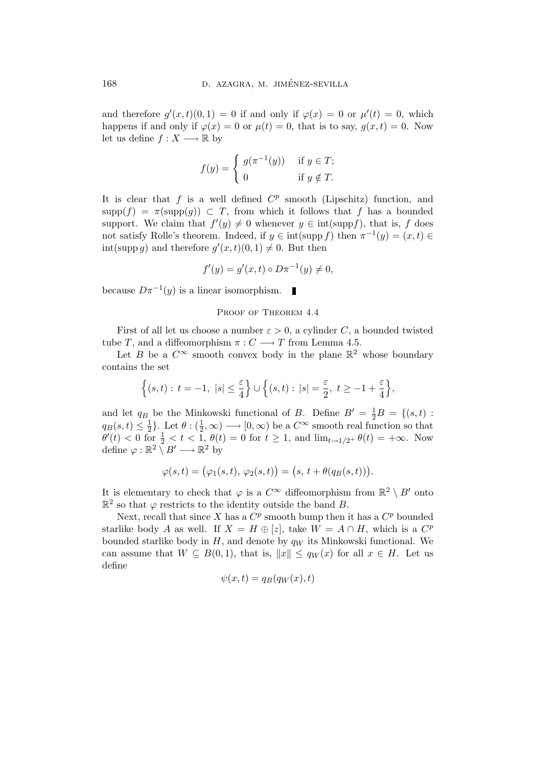and therefore  $g'(x,t)(0,1) = 0$  if and only if  $\varphi(x) = 0$  or  $\mu'(t) = 0$ , which happens if and only if  $\varphi(x) = 0$  or  $\mu(t) = 0$ , that is to say,  $q(x,t) = 0$ . Now let us define  $f : X \longrightarrow \mathbb{R}$  by

$$
f(y) = \begin{cases} g(\pi^{-1}(y)) & \text{if } y \in T; \\ 0 & \text{if } y \notin T. \end{cases}
$$

It is clear that  $f$  is a well defined  $C^p$  smooth (Lipschitz) function, and  $supp(f) = \pi(supp(g)) \subset T$ , from which it follows that f has a bounded support. We claim that  $f'(y) \neq 0$  whenever  $y \in \text{int}(\text{supp}f)$ , that is, f does not satisfy Rolle's theorem. Indeed, if  $y \in \text{int}(\text{supp } f)$  then  $\pi^{-1}(y) = (x, t) \in$ int(supp g) and therefore  $g'(x,t)(0,1) \neq 0$ . But then

$$
f'(y) = g'(x, t) \circ D\pi^{-1}(y) \neq 0,
$$

because  $D\pi^{-1}(y)$  is a linear isomorphism.

#### PROOF OF THEOREM 4.4

First of all let us choose a number  $\varepsilon > 0$ , a cylinder C, a bounded twisted tube T, and a diffeomorphism  $\pi: C \longrightarrow T$  from Lemma 4.5.

Let B be a  $C^{\infty}$  smooth convex body in the plane  $\mathbb{R}^2$  whose boundary contains the set

$$
\Big\{(s,t):\, t=-1,\ |s|\leq \frac{\varepsilon}{4}\Big\}\cup\Big\{(s,t):\, |s|=\frac{\varepsilon}{2},\ t\geq -1+\frac{\varepsilon}{4}\Big\},
$$

and let  $q_B$  be the Minkowski functional of B. Define  $B' = \frac{1}{2}B = \{(s,t) :$  $q_B(s,t)\leq \frac{1}{2}$  $\frac{1}{2}$ . Let  $\theta$  :  $(\frac{1}{2})$  $(\frac{1}{2}, \infty) \longrightarrow [0, \infty)$  be a  $C^{\infty}$  smooth real function so that  $\theta'(t) < 0 \text{ for } \frac{1}{2} < t < 1, \theta(t) = 0 \text{ for } t \ge 1, \text{ and } \lim_{t \to 1/2^+} \theta(t) = +\infty.$  Now define  $\varphi : \mathbb{R}^2 \setminus B' \longrightarrow \mathbb{R}^2$  by

$$
\varphi(s,t) = (\varphi_1(s,t), \varphi_2(s,t)) = (s, t + \theta(q_B(s,t))).
$$

It is elementary to check that  $\varphi$  is a  $C^{\infty}$  diffeomorphism from  $\mathbb{R}^2 \setminus B'$  onto  $\mathbb{R}^2$  so that  $\varphi$  restricts to the identity outside the band B.

Next, recall that since X has a  $C^p$  smooth bump then it has a  $C^p$  bounded starlike body A as well. If  $X = H \oplus [z]$ , take  $W = A \cap H$ , which is a  $C^p$ bounded starlike body in  $H$ , and denote by  $q_W$  its Minkowski functional. We can assume that  $W \subseteq B(0,1)$ , that is,  $||x|| \le q_W(x)$  for all  $x \in H$ . Let us define

$$
\psi(x,t) = q_B(q_W(x),t)
$$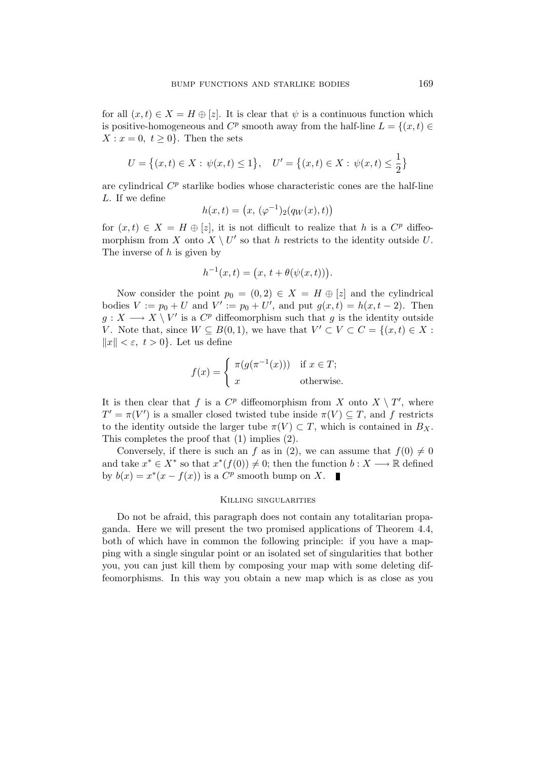for all  $(x,t) \in X = H \oplus [z]$ . It is clear that  $\psi$  is a continuous function which is positive-homogeneous and  $C^p$  smooth away from the half-line  $L = \{(x, t) \in$  $X: x = 0, t > 0$ . Then the sets

$$
U = \left\{ (x, t) \in X : \psi(x, t) \le 1 \right\}, \quad U' = \left\{ (x, t) \in X : \psi(x, t) \le \frac{1}{2} \right\}
$$

are cylindrical  $C^p$  starlike bodies whose characteristic cones are the half-line L. If we define

$$
h(x,t) = (x, (\varphi^{-1})_2(q_W(x), t))
$$

for  $(x,t) \in X = H \oplus [z]$ , it is not difficult to realize that h is a  $C^p$  diffeomorphism from X onto  $X \setminus U'$  so that h restricts to the identity outside U. The inverse of  $h$  is given by

$$
h^{-1}(x,t) = (x, t + \theta(\psi(x,t))).
$$

Now consider the point  $p_0 = (0, 2) \in X = H \oplus [z]$  and the cylindrical bodies  $V := p_0 + U$  and  $V' := p_0 + U'$ , and put  $g(x, t) = h(x, t - 2)$ . Then  $g: X \longrightarrow X \setminus V'$  is a  $C^p$  diffeomorphism such that g is the identity outside V. Note that, since  $W \subseteq B(0,1)$ , we have that  $V' \subset V \subset C = \{(x,t) \in X :$  $||x|| < \varepsilon$ ,  $t > 0$ . Let us define

$$
f(x) = \begin{cases} \pi(g(\pi^{-1}(x))) & \text{if } x \in T; \\ x & \text{otherwise.} \end{cases}
$$

It is then clear that f is a  $C^p$  diffeomorphism from X onto  $X \setminus T'$ , where  $T' = \pi(V')$  is a smaller closed twisted tube inside  $\pi(V) \subseteq T$ , and f restricts to the identity outside the larger tube  $\pi(V) \subset T$ , which is contained in  $B_X$ . This completes the proof that (1) implies (2).

Conversely, if there is such an f as in (2), we can assume that  $f(0) \neq 0$ and take  $x^* \in X^*$  so that  $x^*(f(0)) \neq 0$ ; then the function  $b: X \longrightarrow \mathbb{R}$  defined by  $b(x) = x^*(x - f(x))$  is a  $C^p$  smooth bump on X.

#### Killing singularities

Do not be afraid, this paragraph does not contain any totalitarian propaganda. Here we will present the two promised applications of Theorem 4.4, both of which have in common the following principle: if you have a mapping with a single singular point or an isolated set of singularities that bother you, you can just kill them by composing your map with some deleting diffeomorphisms. In this way you obtain a new map which is as close as you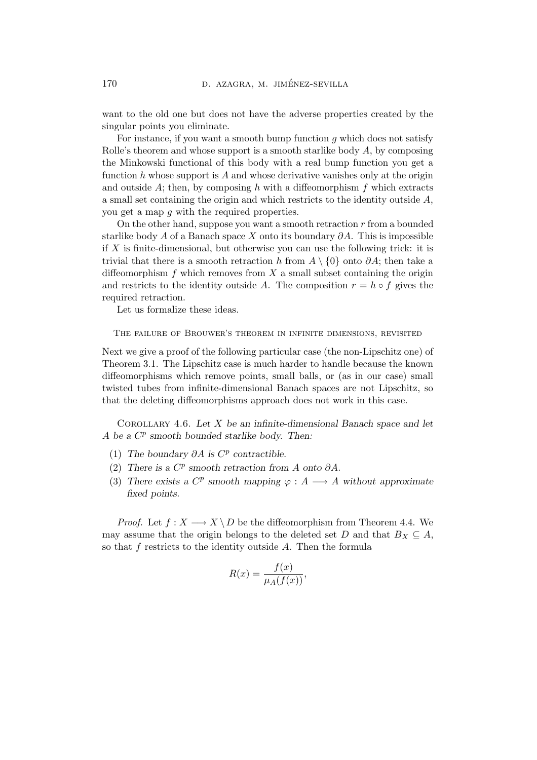want to the old one but does not have the adverse properties created by the singular points you eliminate.

For instance, if you want a smooth bump function  $q$  which does not satisfy Rolle's theorem and whose support is a smooth starlike body  $A$ , by composing the Minkowski functional of this body with a real bump function you get a function  $h$  whose support is  $A$  and whose derivative vanishes only at the origin and outside  $A$ ; then, by composing h with a diffeomorphism f which extracts a small set containing the origin and which restricts to the identity outside A, you get a map g with the required properties.

On the other hand, suppose you want a smooth retraction  $r$  from a bounded starlike body A of a Banach space X onto its boundary  $\partial A$ . This is impossible if  $X$  is finite-dimensional, but otherwise you can use the following trick: it is trivial that there is a smooth retraction h from  $A \setminus \{0\}$  onto  $\partial A$ ; then take a diffeomorphism f which removes from  $X$  a small subset containing the origin and restricts to the identity outside A. The composition  $r = h \circ f$  gives the required retraction.

Let us formalize these ideas.

The failure of Brouwer's theorem in infinite dimensions, revisited

Next we give a proof of the following particular case (the non-Lipschitz one) of Theorem 3.1. The Lipschitz case is much harder to handle because the known diffeomorphisms which remove points, small balls, or (as in our case) small twisted tubes from infinite-dimensional Banach spaces are not Lipschitz, so that the deleting diffeomorphisms approach does not work in this case.

COROLLARY 4.6. Let  $X$  be an infinite-dimensional Banach space and let A be a  $C^p$  smooth bounded starlike body. Then:

- (1) The boundary  $\partial A$  is  $C^p$  contractible.
- (2) There is a  $C^p$  smooth retraction from A onto  $\partial A$ .
- (3) There exists a  $C^p$  smooth mapping  $\varphi : A \longrightarrow A$  without approximate fixed points.

*Proof.* Let  $f : X \longrightarrow X \setminus D$  be the diffeomorphism from Theorem 4.4. We may assume that the origin belongs to the deleted set D and that  $B_X \subseteq A$ , so that  $f$  restricts to the identity outside  $A$ . Then the formula

$$
R(x) = \frac{f(x)}{\mu_A(f(x))},
$$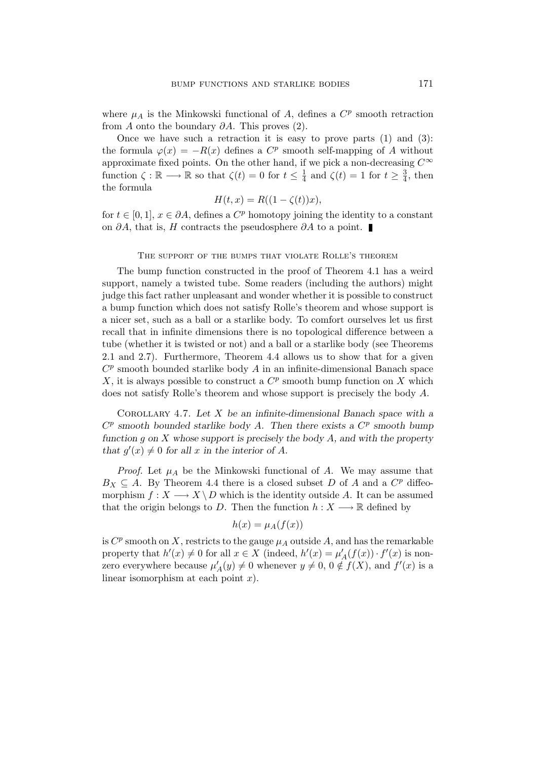where  $\mu_A$  is the Minkowski functional of A, defines a  $C^p$  smooth retraction from A onto the boundary  $\partial A$ . This proves (2).

Once we have such a retraction it is easy to prove parts  $(1)$  and  $(3)$ : the formula  $\varphi(x) = -R(x)$  defines a  $C^p$  smooth self-mapping of A without approximate fixed points. On the other hand, if we pick a non-decreasing  $C^{\infty}$ function  $\zeta : \mathbb{R} \longrightarrow \mathbb{R}$  so that  $\zeta(t) = 0$  for  $t \leq \frac{1}{4}$  $\frac{1}{4}$  and  $\zeta(t) = 1$  for  $t \geq \frac{3}{4}$  $\frac{3}{4}$ , then the formula

$$
H(t, x) = R((1 - \zeta(t))x),
$$

for  $t \in [0, 1], x \in \partial A$ , defines a  $C^p$  homotopy joining the identity to a constant on ∂A, that is, H contracts the pseudosphere ∂A to a point.

#### THE SUPPORT OF THE BUMPS THAT VIOLATE ROLLE'S THEOREM

The bump function constructed in the proof of Theorem 4.1 has a weird support, namely a twisted tube. Some readers (including the authors) might judge this fact rather unpleasant and wonder whether it is possible to construct a bump function which does not satisfy Rolle's theorem and whose support is a nicer set, such as a ball or a starlike body. To comfort ourselves let us first recall that in infinite dimensions there is no topological difference between a tube (whether it is twisted or not) and a ball or a starlike body (see Theorems 2.1 and 2.7). Furthermore, Theorem 4.4 allows us to show that for a given  $C^p$  smooth bounded starlike body  $A$  in an infinite-dimensional Banach space X, it is always possible to construct a  $C^p$  smooth bump function on X which does not satisfy Rolle's theorem and whose support is precisely the body A.

COROLLARY 4.7. Let  $X$  be an infinite-dimensional Banach space with a  $C^p$  smooth bounded starlike body A. Then there exists a  $C^p$  smooth bump function g on  $X$  whose support is precisely the body  $A$ , and with the property that  $g'(x) \neq 0$  for all x in the interior of A.

*Proof.* Let  $\mu_A$  be the Minkowski functional of A. We may assume that  $B_X \subseteq A$ . By Theorem 4.4 there is a closed subset D of A and a  $C^p$  diffeomorphism  $f: X \longrightarrow X \backslash D$  which is the identity outside A. It can be assumed that the origin belongs to D. Then the function  $h: X \longrightarrow \mathbb{R}$  defined by

$$
h(x) = \mu_A(f(x))
$$

is  $C^p$  smooth on X, restricts to the gauge  $\mu_A$  outside A, and has the remarkable property that  $h'(x) \neq 0$  for all  $x \in X$  (indeed,  $h'(x) = \mu'_{A}(f(x)) \cdot f'(x)$  is nonzero everywhere because  $\mu'_A(y) \neq 0$  whenever  $y \neq 0, 0 \notin f(X)$ , and  $f'(x)$  is a linear isomorphism at each point  $x$ ).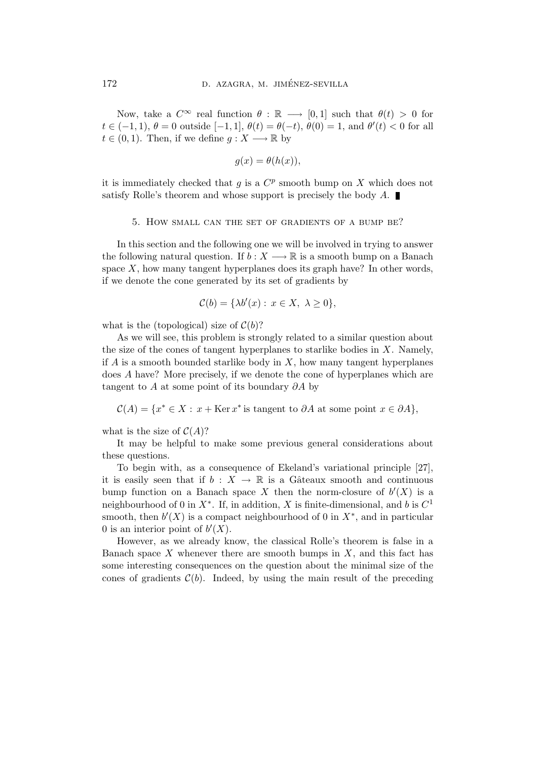Now, take a  $C^{\infty}$  real function  $\theta : \mathbb{R} \longrightarrow [0,1]$  such that  $\theta(t) > 0$  for  $t \in (-1,1), \theta = 0$  outside  $[-1,1], \theta(t) = \theta(-t), \theta(0) = 1$ , and  $\theta'(t) < 0$  for all  $t \in (0, 1)$ . Then, if we define  $q: X \longrightarrow \mathbb{R}$  by

$$
g(x) = \theta(h(x)),
$$

it is immediately checked that  $g$  is a  $C^p$  smooth bump on  $X$  which does not satisfy Rolle's theorem and whose support is precisely the body  $A$ .

#### 5. How small can the set of gradients of a bump be?

In this section and the following one we will be involved in trying to answer the following natural question. If  $b: X \longrightarrow \mathbb{R}$  is a smooth bump on a Banach space  $X$ , how many tangent hyperplanes does its graph have? In other words, if we denote the cone generated by its set of gradients by

$$
\mathcal{C}(b) = \{\lambda b'(x) : x \in X, \ \lambda \ge 0\},\
$$

what is the (topological) size of  $\mathcal{C}(b)$ ?

As we will see, this problem is strongly related to a similar question about the size of the cones of tangent hyperplanes to starlike bodies in  $X$ . Namely, if A is a smooth bounded starlike body in  $X$ , how many tangent hyperplanes does A have? More precisely, if we denote the cone of hyperplanes which are tangent to A at some point of its boundary  $\partial A$  by

 $\mathcal{C}(A) = \{x^* \in X : x + \text{Ker } x^* \text{ is tangent to } \partial A \text{ at some point } x \in \partial A\},\$ 

what is the size of  $C(A)$ ?

It may be helpful to make some previous general considerations about these questions.

To begin with, as a consequence of Ekeland's variational principle [27], it is easily seen that if  $b : X \to \mathbb{R}$  is a Gâteaux smooth and continuous bump function on a Banach space X then the norm-closure of  $b'(X)$  is a neighbourhood of 0 in  $X^*$ . If, in addition, X is finite-dimensional, and b is  $C^1$ smooth, then  $b'(X)$  is a compact neighbourhood of 0 in  $X^*$ , and in particular 0 is an interior point of  $b'(X)$ .

However, as we already know, the classical Rolle's theorem is false in a Banach space  $X$  whenever there are smooth bumps in  $X$ , and this fact has some interesting consequences on the question about the minimal size of the cones of gradients  $C(b)$ . Indeed, by using the main result of the preceding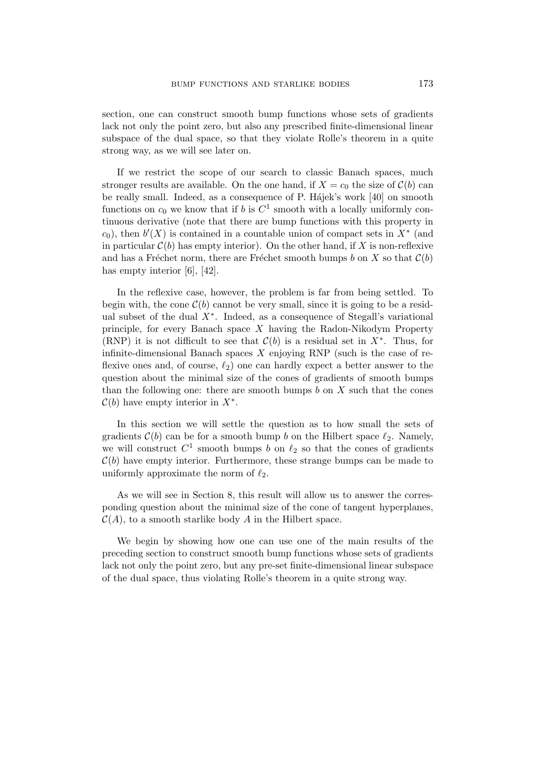section, one can construct smooth bump functions whose sets of gradients lack not only the point zero, but also any prescribed finite-dimensional linear subspace of the dual space, so that they violate Rolle's theorem in a quite strong way, as we will see later on.

If we restrict the scope of our search to classic Banach spaces, much stronger results are available. On the one hand, if  $X = c_0$  the size of  $\mathcal{C}(b)$  can be really small. Indeed, as a consequence of P. Hajek's work [40] on smooth functions on  $c_0$  we know that if b is  $C^1$  smooth with a locally uniformly continuous derivative (note that there are bump functions with this property in  $c_0$ ), then  $b'(X)$  is contained in a countable union of compact sets in  $X^*$  (and in particular  $\mathcal{C}(b)$  has empty interior). On the other hand, if X is non-reflexive and has a Fréchet norm, there are Fréchet smooth bumps b on X so that  $\mathcal{C}(b)$ has empty interior [6], [42].

In the reflexive case, however, the problem is far from being settled. To begin with, the cone  $\mathcal{C}(b)$  cannot be very small, since it is going to be a residual subset of the dual  $X^*$ . Indeed, as a consequence of Stegall's variational principle, for every Banach space  $X$  having the Radon-Nikodym Property (RNP) it is not difficult to see that  $\mathcal{C}(b)$  is a residual set in  $X^*$ . Thus, for infinite-dimensional Banach spaces  $X$  enjoying RNP (such is the case of reflexive ones and, of course,  $\ell_2$ ) one can hardly expect a better answer to the question about the minimal size of the cones of gradients of smooth bumps than the following one: there are smooth bumps  $b$  on  $X$  such that the cones  $\mathcal{C}(b)$  have empty interior in  $X^*$ .

In this section we will settle the question as to how small the sets of gradients  $\mathcal{C}(b)$  can be for a smooth bump b on the Hilbert space  $\ell_2$ . Namely, we will construct  $C^1$  smooth bumps b on  $\ell_2$  so that the cones of gradients  $\mathcal{C}(b)$  have empty interior. Furthermore, these strange bumps can be made to uniformly approximate the norm of  $\ell_2$ .

As we will see in Section 8, this result will allow us to answer the corresponding question about the minimal size of the cone of tangent hyperplanes,  $\mathcal{C}(A)$ , to a smooth starlike body A in the Hilbert space.

We begin by showing how one can use one of the main results of the preceding section to construct smooth bump functions whose sets of gradients lack not only the point zero, but any pre-set finite-dimensional linear subspace of the dual space, thus violating Rolle's theorem in a quite strong way.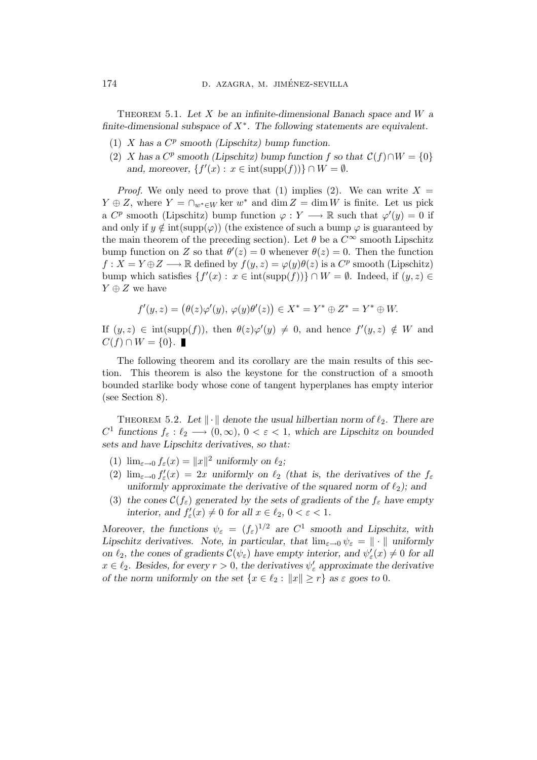THEOREM 5.1. Let  $X$  be an infinite-dimensional Banach space and  $W$  a finite-dimensional subspace of  $X^*$ . The following statements are equivalent.

- (1)  $X$  has a  $C^p$  smooth (Lipschitz) bump function.
- (2) X has a  $C^p$  smooth (Lipschitz) bump function f so that  $C(f) \cap W = \{0\}$ and, moreover,  $\{f'(x) : x \in \text{int}(\text{supp}(f))\} \cap W = \emptyset$ .

*Proof.* We only need to prove that (1) implies (2). We can write  $X =$  $Y \oplus Z$ , where  $Y = \bigcap_{w^* \in W} \ker w^*$  and  $\dim Z = \dim W$  is finite. Let us pick a  $C^p$  smooth (Lipschitz) bump function  $\varphi: Y \longrightarrow \mathbb{R}$  such that  $\varphi'(y) = 0$  if and only if  $y \notin \text{int}(\text{supp}(\varphi))$  (the existence of such a bump  $\varphi$  is guaranteed by the main theorem of the preceding section). Let  $\theta$  be a  $C^{\infty}$  smooth Lipschitz bump function on Z so that  $\theta'(z) = 0$  whenever  $\theta(z) = 0$ . Then the function  $f: X = Y \oplus Z \longrightarrow \mathbb{R}$  defined by  $f(y, z) = \varphi(y)\theta(z)$  is a  $C^p$  smooth (Lipschitz) bump which satisfies  $\{f'(x): x \in \text{int}(\text{supp}(f))\} \cap W = \emptyset$ . Indeed, if  $(y, z) \in$  $Y \oplus Z$  we have

$$
f'(y, z) = (\theta(z)\varphi'(y), \varphi(y)\theta'(z)) \in X^* = Y^* \oplus Z^* = Y^* \oplus W.
$$

If  $(y, z) \in \text{int}(\text{supp}(f))$ , then  $\theta(z)\varphi'(y) \neq 0$ , and hence  $f'(y, z) \notin W$  and  $C(f) \cap W = \{0\}.$ 

The following theorem and its corollary are the main results of this section. This theorem is also the keystone for the construction of a smooth bounded starlike body whose cone of tangent hyperplanes has empty interior (see Section 8).

THEOREM 5.2. Let  $\|\cdot\|$  denote the usual hilbertian norm of  $\ell_2$ . There are  $C^1$  functions  $f_{\varepsilon}: \ell_2 \longrightarrow (0, \infty), 0 < \varepsilon < 1$ , which are Lipschitz on bounded sets and have Lipschitz derivatives, so that:

- (1)  $\lim_{\varepsilon \to 0} f_{\varepsilon}(x) = ||x||^2$  uniformly on  $\ell_2$ ;
- (2)  $\lim_{\varepsilon \to 0} f_{\varepsilon}'(x) = 2x$  uniformly on  $\ell_2$  (that is, the derivatives of the  $f_{\varepsilon}$ uniformly approximate the derivative of the squared norm of  $\ell_2$ ); and
- (3) the cones  $\mathcal{C}(f_{\varepsilon})$  generated by the sets of gradients of the  $f_{\varepsilon}$  have empty interior, and  $f'_{\varepsilon}(x) \neq 0$  for all  $x \in \ell_2, 0 < \varepsilon < 1$ .

Moreover, the functions  $\psi_{\varepsilon} = (f_{\varepsilon})^{1/2}$  are  $C^1$  smooth and Lipschitz, with Lipschitz derivatives. Note, in particular, that  $\lim_{\varepsilon\to 0} \psi_{\varepsilon} = \| \cdot \|$  uniformly on  $\ell_2$ , the cones of gradients  $\mathcal{C}(\psi_{\varepsilon})$  have empty interior, and  $\psi_{\varepsilon}'(x) \neq 0$  for all  $x \in \ell_2$ . Besides, for every  $r > 0$ , the derivatives  $\psi_{\varepsilon}'$  approximate the derivative of the norm uniformly on the set  $\{x \in \ell_2 : ||x|| \geq r\}$  as  $\varepsilon$  goes to 0.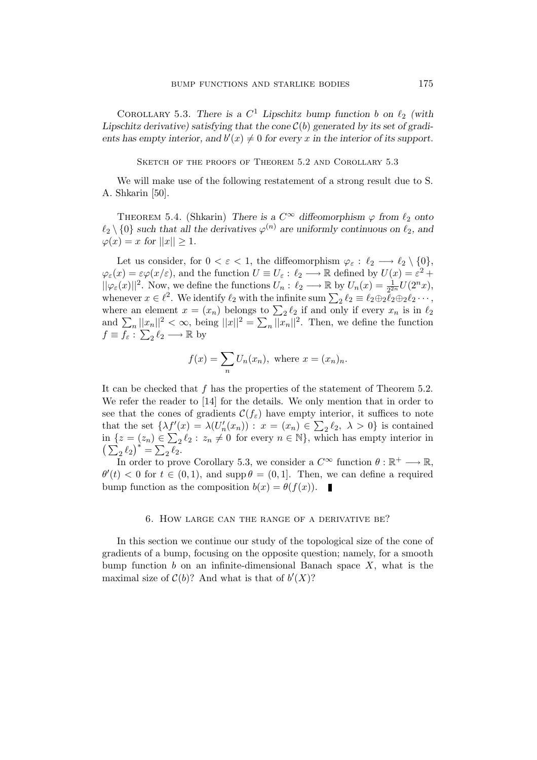COROLLARY 5.3. There is a  $C^1$  Lipschitz bump function b on  $\ell_2$  (with Lipschitz derivative) satisfying that the cone  $\mathcal{C}(b)$  generated by its set of gradients has empty interior, and  $b'(x) \neq 0$  for every x in the interior of its support.

SKETCH OF THE PROOFS OF THEOREM 5.2 AND COROLLARY 5.3

We will make use of the following restatement of a strong result due to S. A. Shkarin [50].

THEOREM 5.4. (Shkarin) There is a  $C^{\infty}$  diffeomorphism  $\varphi$  from  $\ell_2$  onto  $\ell_2 \setminus \{0\}$  such that all the derivatives  $\varphi^{(n)}$  are uniformly continuous on  $\ell_2$ , and  $\varphi(x) = x$  for  $||x|| \ge 1$ .

Let us consider, for  $0 < \varepsilon < 1$ , the diffeomorphism  $\varphi_{\varepsilon}: \ell_2 \longrightarrow \ell_2 \setminus \{0\},$  $\varphi_{\varepsilon}(x) = \varepsilon \varphi(x/\varepsilon)$ , and the function  $U \equiv U_{\varepsilon} : \ell_2 \longrightarrow \mathbb{R}$  defined by  $U(x) = \varepsilon^2 + \ell_2$  $||\varphi_{\varepsilon}(x)||^2$ . Now, we define the functions  $U_n: \ell_2 \longrightarrow \mathbb{R}$  by  $U_n(x) = \frac{1}{2^2}$  $\frac{1}{2^{2n}}U(2^n x),$ whenever  $x \in \ell^2$ . We identify  $\ell_2$  with the infinite sum  $\sum_2 \ell_2 \equiv \ell_2 \oplus_2 \overline{\ell}_2 \oplus_2 \ell_2 \cdots$ , where an element  $x = (x_n)$  belongs to  $\sum_2 \ell_2$  if and only if every  $x_n$  is in  $\ell_2$ and  $\sum_{n} ||x_n||^2 < \infty$ , being  $||x||^2 = \sum_{n} ||x_n||^2$ . Then, we define the function  $f \equiv f_{\varepsilon}: \sum_{2} \ell_{2} \longrightarrow \mathbb{R}$  by

$$
f(x) = \sum_{n} U_n(x_n), \text{ where } x = (x_n)_n.
$$

It can be checked that f has the properties of the statement of Theorem 5.2. We refer the reader to [14] for the details. We only mention that in order to see that the cones of gradients  $\mathcal{C}(f_{\varepsilon})$  have empty interior, it suffices to note that the set  $\{\lambda f'(x) = \lambda (U'_n(x_n)) : x = (x_n) \in \sum_2 \ell_2, \lambda > 0\}$  is contained in  $\{z = (z_n) \in \sum_2 \ell_2 : z_n \neq 0 \text{ for every } n \in \mathbb{N}\},\$  which has empty interior in  $\left(\sum_2 \ell_2\right)^* = \sum_2 \ell_2.$ 

In order to prove Corollary 5.3, we consider a  $C^{\infty}$  function  $\theta : \mathbb{R}^+ \longrightarrow \mathbb{R}$ ,  $\theta'(t) < 0$  for  $t \in (0,1)$ , and supp  $\theta = (0,1]$ . Then, we can define a required bump function as the composition  $b(x) = \theta(f(x))$ .

## 6. How large can the range of a derivative be?

In this section we continue our study of the topological size of the cone of gradients of a bump, focusing on the opposite question; namely, for a smooth bump function b on an infinite-dimensional Banach space  $X$ , what is the maximal size of  $C(b)$ ? And what is that of  $b'(X)$ ?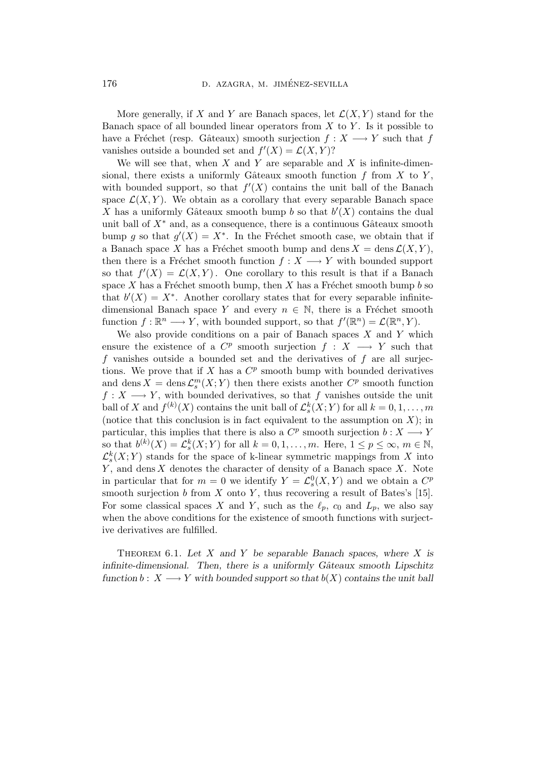More generally, if X and Y are Banach spaces, let  $\mathcal{L}(X, Y)$  stand for the Banach space of all bounded linear operators from  $X$  to  $Y$ . Is it possible to have a Fréchet (resp. Gâteaux) smooth surjection  $f : X \longrightarrow Y$  such that f vanishes outside a bounded set and  $f'(X) = \mathcal{L}(X, Y)$ ?

We will see that, when  $X$  and  $Y$  are separable and  $X$  is infinite-dimensional, there exists a uniformly Gâteaux smooth function  $f$  from  $X$  to  $Y$ , with bounded support, so that  $f'(X)$  contains the unit ball of the Banach space  $\mathcal{L}(X, Y)$ . We obtain as a corollary that every separable Banach space X has a uniformly Gâteaux smooth bump b so that  $b'(X)$  contains the dual unit ball of  $X^*$  and, as a consequence, there is a continuous Gâteaux smooth bump g so that  $g'(X) = X^*$ . In the Fréchet smooth case, we obtain that if a Banach space X has a Fréchet smooth bump and dens  $X = \text{dens }\mathcal{L}(X, Y)$ , then there is a Fréchet smooth function  $f : X \longrightarrow Y$  with bounded support so that  $f'(X) = \mathcal{L}(X, Y)$ . One corollary to this result is that if a Banach space X has a Fréchet smooth bump, then X has a Fréchet smooth bump b so that  $b'(X) = X^*$ . Another corollary states that for every separable infinitedimensional Banach space Y and every  $n \in \mathbb{N}$ , there is a Fréchet smooth function  $f: \mathbb{R}^n \longrightarrow Y$ , with bounded support, so that  $f'(\mathbb{R}^n) = \mathcal{L}(\mathbb{R}^n, Y)$ .

We also provide conditions on a pair of Banach spaces  $X$  and  $Y$  which ensure the existence of a  $C^p$  smooth surjection  $f : X \longrightarrow Y$  such that  $f$  vanishes outside a bounded set and the derivatives of  $f$  are all surjections. We prove that if X has a  $C^p$  smooth bump with bounded derivatives and dens  $X = \text{dens } \mathcal{L}_s^m(X;Y)$  then there exists another  $C^p$  smooth function  $f: X \longrightarrow Y$ , with bounded derivatives, so that f vanishes outside the unit ball of X and  $f^{(k)}(X)$  contains the unit ball of  $\mathcal{L}_s^k(X;Y)$  for all  $k = 0, 1, \ldots, m$ (notice that this conclusion is in fact equivalent to the assumption on  $X$ ); in particular, this implies that there is also a  $C^p$  smooth surjection  $b: X \longrightarrow Y$ so that  $b^{(k)}(X) = \mathcal{L}_s^k(X;Y)$  for all  $k = 0, 1, \ldots, m$ . Here,  $1 \le p \le \infty$ ,  $m \in \mathbb{N}$ ,  $\mathcal{L}_{s}^{k}(X;Y)$  stands for the space of k-linear symmetric mappings from X into  $Y$ , and dens  $X$  denotes the character of density of a Banach space  $X$ . Note in particular that for  $m = 0$  we identify  $Y = \mathcal{L}_s^0(X, Y)$  and we obtain a  $C^p$ smooth surjection  $b$  from  $X$  onto  $Y$ , thus recovering a result of Bates's [15]. For some classical spaces X and Y, such as the  $\ell_p$ ,  $c_0$  and  $L_p$ , we also say when the above conditions for the existence of smooth functions with surjective derivatives are fulfilled.

THEOREM 6.1. Let  $X$  and  $Y$  be separable Banach spaces, where  $X$  is infinite-dimensional. Then, there is a uniformly Gâteaux smooth Lipschitz function  $b: X \longrightarrow Y$  with bounded support so that  $b(X)$  contains the unit ball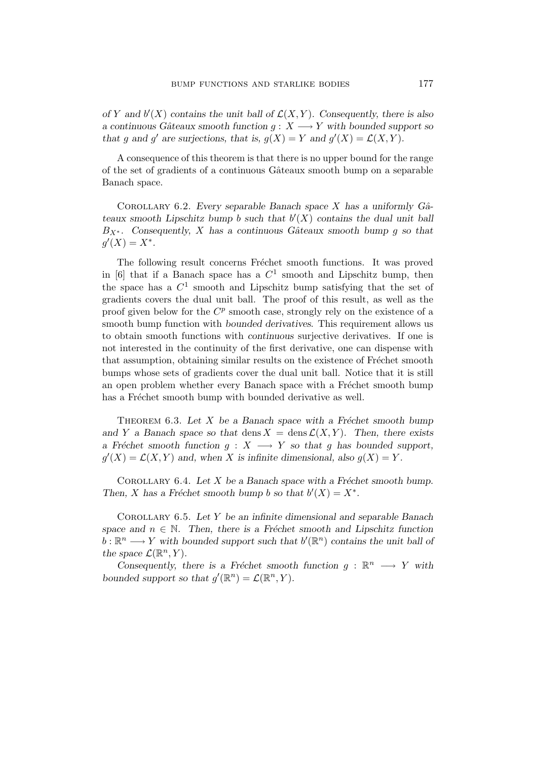of Y and  $b'(X)$  contains the unit ball of  $\mathcal{L}(X, Y)$ . Consequently, there is also a continuous Gâteaux smooth function  $g: X \longrightarrow Y$  with bounded support so that g and g' are surjections, that is,  $g(X) = Y$  and  $g'(X) = \mathcal{L}(X, Y)$ .

A consequence of this theorem is that there is no upper bound for the range of the set of gradients of a continuous Gâteaux smooth bump on a separable Banach space.

COROLLARY 6.2. Every separable Banach space X has a uniformly  $G\hat{a}$ teaux smooth Lipschitz bump b such that  $b'(X)$  contains the dual unit ball  $B_{X^*}$ . Consequently, X has a continuous Gâteaux smooth bump g so that  $g'(X) = X^*$ .

The following result concerns Fréchet smooth functions. It was proved in [6] that if a Banach space has a  $C^1$  smooth and Lipschitz bump, then the space has a  $C^1$  smooth and Lipschitz bump satisfying that the set of gradients covers the dual unit ball. The proof of this result, as well as the proof given below for the  $C^p$  smooth case, strongly rely on the existence of a smooth bump function with bounded derivatives. This requirement allows us to obtain smooth functions with continuous surjective derivatives. If one is not interested in the continuity of the first derivative, one can dispense with that assumption, obtaining similar results on the existence of Fréchet smooth bumps whose sets of gradients cover the dual unit ball. Notice that it is still an open problem whether every Banach space with a Fréchet smooth bump has a Fréchet smooth bump with bounded derivative as well.

THEOREM 6.3. Let  $X$  be a Banach space with a Fréchet smooth bump and Y a Banach space so that dens  $X = \text{dens }\mathcal{L}(X, Y)$ . Then, there exists a Fréchet smooth function  $g : X \longrightarrow Y$  so that g has bounded support,  $g'(X) = \mathcal{L}(X, Y)$  and, when X is infinite dimensional, also  $g(X) = Y$ .

COROLLARY 6.4. Let  $X$  be a Banach space with a Fréchet smooth bump. Then, X has a Fréchet smooth bump b so that  $b'(X) = X^*$ .

COROLLARY 6.5. Let  $Y$  be an infinite dimensional and separable Banach space and  $n \in \mathbb{N}$ . Then, there is a Fréchet smooth and Lipschitz function  $b: \mathbb{R}^n \longrightarrow Y$  with bounded support such that  $b'(\mathbb{R}^n)$  contains the unit ball of the space  $\mathcal{L}(\mathbb{R}^n, Y)$ .

Consequently, there is a Fréchet smooth function  $g : \mathbb{R}^n \longrightarrow Y$  with bounded support so that  $g'(\mathbb{R}^n) = \mathcal{L}(\mathbb{R}^n, Y)$ .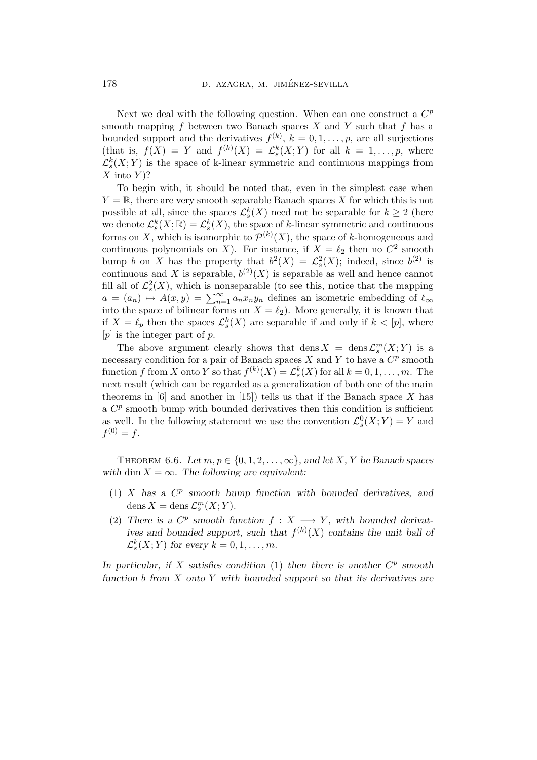Next we deal with the following question. When can one construct a  $C<sup>p</sup>$ smooth mapping f between two Banach spaces X and Y such that f has a bounded support and the derivatives  $f^{(k)}$ ,  $k = 0, 1, \ldots, p$ , are all surjections (that is,  $f(X) = Y$  and  $f^{(k)}(X) = \mathcal{L}_s^k(X;Y)$  for all  $k = 1,\ldots,p$ , where  $\mathcal{L}_{s}^{k}(X;Y)$  is the space of k-linear symmetric and continuous mappings from  $X$  into  $Y$ ?

To begin with, it should be noted that, even in the simplest case when  $Y = \mathbb{R}$ , there are very smooth separable Banach spaces X for which this is not possible at all, since the spaces  $\mathcal{L}_{s}^{k}(X)$  need not be separable for  $k \geq 2$  (here we denote  $\mathcal{L}_{s}^{k}(X;\mathbb{R}) = \mathcal{L}_{s}^{k}(X)$ , the space of k-linear symmetric and continuous forms on X, which is isomorphic to  $\mathcal{P}^{(k)}(X)$ , the space of k-homogeneous and continuous polynomials on X). For instance, if  $X = \ell_2$  then no  $C^2$  smooth bump b on X has the property that  $b^2(X) = \mathcal{L}_s^2(X)$ ; indeed, since  $b^{(2)}$  is continuous and X is separable,  $b^{(2)}(X)$  is separable as well and hence cannot fill all of  $\mathcal{L}_{s}^{2}(X)$ , which is nonseparable (to see this, notice that the mapping  $a = (a_n) \mapsto A(x, y) = \sum_{n=1}^{\infty} a_n x_n y_n$  defines an isometric embedding of  $\ell_{\infty}$ into the space of bilinear forms on  $X = \ell_2$ ). More generally, it is known that if  $X = \ell_p$  then the spaces  $\mathcal{L}_{s}^{k}(X)$  are separable if and only if  $k < [p]$ , where  $[p]$  is the integer part of p.

The above argument clearly shows that  $\text{dens } X = \text{dens } \mathcal{L}_s^m(X;Y)$  is a necessary condition for a pair of Banach spaces  $X$  and  $Y$  to have a  $C^p$  smooth function f from X onto Y so that  $f^{(k)}(X) = \mathcal{L}_s^k(X)$  for all  $k = 0, 1, ..., m$ . The next result (which can be regarded as a generalization of both one of the main theorems in  $[6]$  and another in  $[15]$ ) tells us that if the Banach space X has a  $C^p$  smooth bump with bounded derivatives then this condition is sufficient as well. In the following statement we use the convention  $\mathcal{L}_{s}^{0}(X;Y) = Y$  and  $f^{(0)} = f.$ 

THEOREM 6.6. Let  $m, p \in \{0, 1, 2, \ldots, \infty\}$ , and let X, Y be Banach spaces with dim  $X = \infty$ . The following are equivalent:

- $(1)$  X has a  $C^p$  smooth bump function with bounded derivatives, and dens  $X = \text{dens }\mathcal{L}_s^m(X;Y).$
- (2) There is a  $C^p$  smooth function  $f : X \longrightarrow Y$ , with bounded derivatives and bounded support, such that  $f^{(k)}(X)$  contains the unit ball of  $\mathcal{L}_{s}^{k}(X;Y)$  for every  $k=0,1,\ldots,m$ .

In particular, if X satisfies condition  $(1)$  then there is another  $C^p$  smooth function b from  $X$  onto  $Y$  with bounded support so that its derivatives are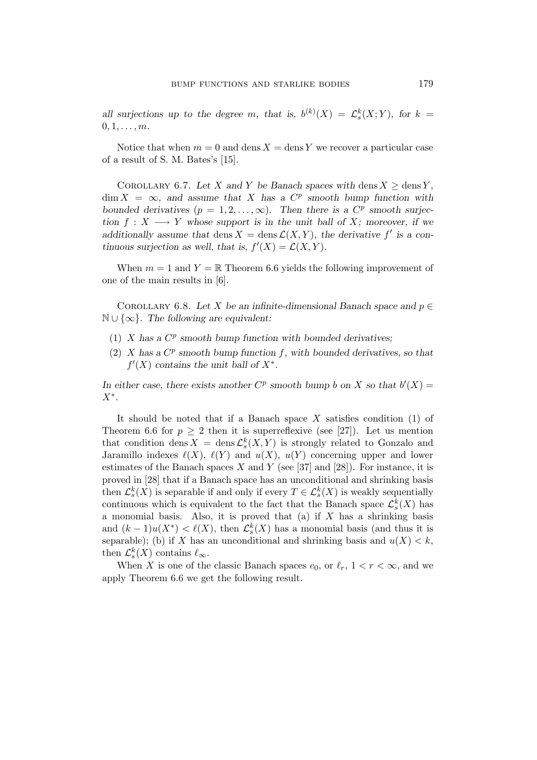all surjections up to the degree m, that is,  $b^{(k)}(X) = \mathcal{L}_s^k(X;Y)$ , for  $k =$  $0, 1, \ldots, m$ .

Notice that when  $m = 0$  and dens  $X =$  dens Y we recover a particular case of a result of S. M. Bates's [15].

COROLLARY 6.7. Let X and Y be Banach spaces with dens  $X \geq \text{dens } Y$ ,  $\dim X = \infty$ , and assume that X has a  $C^p$  smooth bump function with bounded derivatives  $(p = 1, 2, ..., \infty)$ . Then there is a  $C^p$  smooth surjection  $f: X \longrightarrow Y$  whose support is in the unit ball of X; moreover, if we additionally assume that dens  $X = \text{dens }\mathcal{L}(X, Y)$ , the derivative f' is a continuous surjection as well, that is,  $f'(X) = \mathcal{L}(X, Y)$ .

When  $m = 1$  and  $Y = \mathbb{R}$  Theorem 6.6 yields the following improvement of one of the main results in [6].

COROLLARY 6.8. Let X be an infinite-dimensional Banach space and  $p \in$  $\mathbb{N} \cup \{\infty\}$ . The following are equivalent:

- (1)  $X$  has a  $C^p$  smooth bump function with bounded derivatives;
- (2) X has a  $C^p$  smooth bump function f, with bounded derivatives, so that  $f'(X)$  contains the unit ball of  $X^*$ .

In either case, there exists another  $C^p$  smooth bump b on X so that  $b'(X) =$  $X^*$ .

It should be noted that if a Banach space  $X$  satisfies condition (1) of Theorem 6.6 for  $p \geq 2$  then it is superreflexive (see [27]). Let us mention that condition dens  $X = \text{dens } \mathcal{L}_s^k(X, Y)$  is strongly related to Gonzalo and Jaramillo indexes  $\ell(X)$ ,  $\ell(Y)$  and  $u(X)$ ,  $u(Y)$  concerning upper and lower estimates of the Banach spaces X and Y (see [37] and [28]). For instance, it is proved in [28] that if a Banach space has an unconditional and shrinking basis then  $\mathcal{L}_{s}^{k}(X)$  is separable if and only if every  $T \in \mathcal{L}_{s}^{k}(X)$  is weakly sequentially continuous which is equivalent to the fact that the Banach space  $\mathcal{L}_{s}^{k}(X)$  has a monomial basis. Also, it is proved that (a) if  $X$  has a shrinking basis and  $(k-1)u(X^*) < \ell(X)$ , then  $\mathcal{L}_s^k(X)$  has a monomial basis (and thus it is separable); (b) if X has an unconditional and shrinking basis and  $u(X) < k$ , then  $\mathcal{L}_{s}^{k}(X)$  contains  $\ell_{\infty}$ .

When X is one of the classic Banach spaces  $c_0$ , or  $\ell_r$ ,  $1 < r < \infty$ , and we apply Theorem 6.6 we get the following result.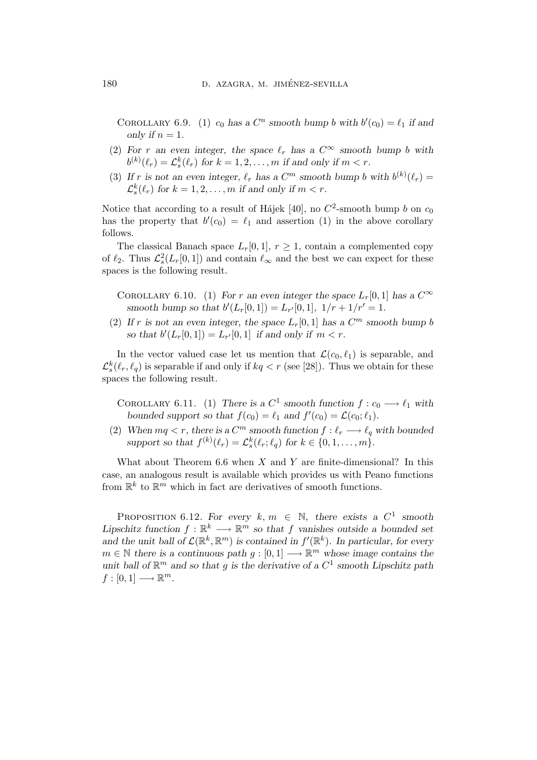COROLLARY 6.9. (1)  $c_0$  has a  $C^n$  smooth bump b with  $b'(c_0) = \ell_1$  if and only if  $n = 1$ .

- (2) For r an even integer, the space  $\ell_r$  has a  $C^{\infty}$  smooth bump b with  $b^{(k)}(\ell_r) = \mathcal{L}_s^k(\ell_r)$  for  $k = 1, 2, ..., m$  if and only if  $m < r$ .
- (3) If r is not an even integer,  $\ell_r$  has a  $C^m$  smooth bump b with  $b^{(k)}(\ell_r) =$  $\mathcal{L}_{s}^{k}(\ell_{r})$  for  $k = 1, 2, ..., m$  if and only if  $m < r$ .

Notice that according to a result of Hájek [40], no  $C^2$ -smooth bump b on  $c_0$ has the property that  $b'(c_0) = \ell_1$  and assertion (1) in the above corollary follows.

The classical Banach space  $L_r[0, 1], r \geq 1$ , contain a complemented copy of  $\ell_2$ . Thus  $\mathcal{L}_s^2(L_r[0,1])$  and contain  $\ell_{\infty}$  and the best we can expect for these spaces is the following result.

COROLLARY 6.10. (1) For r an even integer the space  $L_r[0,1]$  has a  $C^{\infty}$ smooth bump so that  $b'(L_r[0,1]) = L_{r'}[0,1], \ 1/r + 1/r' = 1.$ 

(2) If r is not an even integer, the space  $L_r[0,1]$  has a  $C^m$  smooth bump b so that  $b'(L_r[0,1]) = L_{r'}[0,1]$  if and only if  $m < r$ .

In the vector valued case let us mention that  $\mathcal{L}(c_0, \ell_1)$  is separable, and  $\mathcal{L}_s^k(\ell_r, \ell_q)$  is separable if and only if  $kq < r$  (see [28]). Thus we obtain for these spaces the following result.

COROLLARY 6.11. (1) There is a  $C^1$  smooth function  $f: c_0 \longrightarrow \ell_1$  with bounded support so that  $f(c_0) = \ell_1$  and  $f'(c_0) = \mathcal{L}(c_0; \ell_1)$ .

(2) When  $mq < r$ , there is a  $C^m$  smooth function  $f : \ell_r \longrightarrow \ell_q$  with bounded support so that  $f^{(k)}(\ell_r) = \mathcal{L}_s^k(\ell_r; \ell_q)$  for  $k \in \{0, 1, \ldots, m\}.$ 

What about Theorem 6.6 when  $X$  and  $Y$  are finite-dimensional? In this case, an analogous result is available which provides us with Peano functions from  $\mathbb{R}^k$  to  $\mathbb{R}^m$  which in fact are derivatives of smooth functions.

PROPOSITION 6.12. For every  $k, m \in \mathbb{N}$ , there exists a  $C^1$  smooth Lipschitz function  $f: \mathbb{R}^k \longrightarrow \mathbb{R}^m$  so that f vanishes outside a bounded set and the unit ball of  $\mathcal{L}(\mathbb{R}^k, \mathbb{R}^m)$  is contained in  $f'(\mathbb{R}^k)$ . In particular, for every  $m \in \mathbb{N}$  there is a continuous path  $g: [0, 1] \longrightarrow \mathbb{R}^m$  whose image contains the unit ball of  $\mathbb{R}^m$  and so that g is the derivative of a  $C^1$  smooth Lipschitz path  $f:[0,1] \longrightarrow \mathbb{R}^m$ .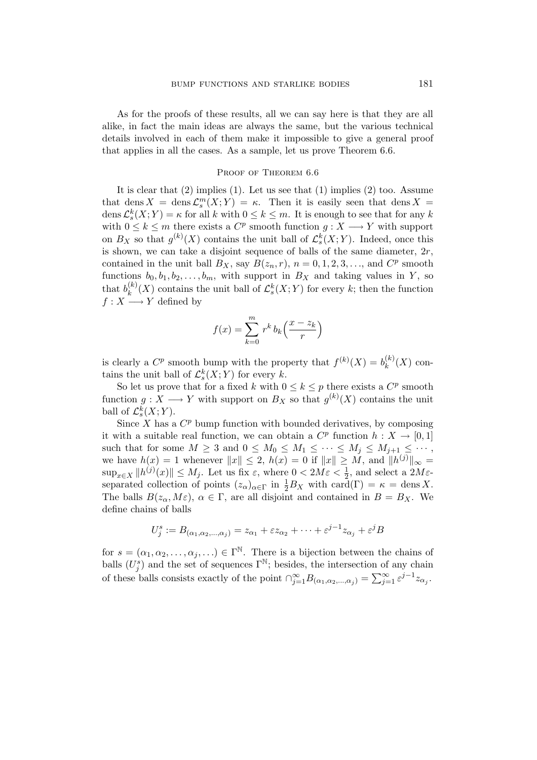As for the proofs of these results, all we can say here is that they are all alike, in fact the main ideas are always the same, but the various technical details involved in each of them make it impossible to give a general proof that applies in all the cases. As a sample, let us prove Theorem 6.6.

#### PROOF OF THEOREM 6.6

It is clear that (2) implies (1). Let us see that (1) implies (2) too. Assume that dens  $X = \text{dens }\mathcal{L}_s^m(X;Y) = \kappa$ . Then it is easily seen that dens  $X =$  $\text{dens } \mathcal{L}_{s}^{k}(X;Y) = \kappa$  for all k with  $0 \leq k \leq m$ . It is enough to see that for any k with  $0 \leq k \leq m$  there exists a  $C^p$  smooth function  $g: X \longrightarrow Y$  with support on  $B_X$  so that  $g^{(k)}(X)$  contains the unit ball of  $\mathcal{L}_{s}^{k}(X;Y)$ . Indeed, once this is shown, we can take a disjoint sequence of balls of the same diameter,  $2r$ , contained in the unit ball  $B_X$ , say  $B(z_n, r)$ ,  $n = 0, 1, 2, 3, \ldots$ , and  $C^p$  smooth functions  $b_0, b_1, b_2, \ldots, b_m$ , with support in  $B_X$  and taking values in Y, so that  $b_k^{(k)}$  $\mathcal{L}_{k}^{(k)}(X)$  contains the unit ball of  $\mathcal{L}_{s}^{k}(X;Y)$  for every k; then the function  $f: X \longrightarrow Y$  defined by

$$
f(x) = \sum_{k=0}^{m} r^k b_k \left(\frac{x - z_k}{r}\right)
$$

is clearly a  $C^p$  smooth bump with the property that  $f^{(k)}(X) = b_k^{(k)}$  $_k^{(\kappa)}(X)$  contains the unit ball of  $\mathcal{L}_s^k(X;Y)$  for every k.

So let us prove that for a fixed k with  $0 \le k \le p$  there exists a  $C^p$  smooth function  $g: X \longrightarrow Y$  with support on  $B_X$  so that  $g^{(k)}(X)$  contains the unit ball of  $\mathcal{L}_{s}^{k}(X;Y)$ .

Since  $X$  has a  $C^p$  bump function with bounded derivatives, by composing it with a suitable real function, we can obtain a  $C^p$  function  $h: X \to [0,1]$ such that for some  $M \geq 3$  and  $0 \leq M_0 \leq M_1 \leq \cdots \leq M_j \leq M_{j+1} \leq \cdots$ , we have  $h(x) = 1$  whenever  $||x|| \leq 2$ ,  $h(x) = 0$  if  $||x|| \geq M$ , and  $||h^{(j)}||_{\infty} =$  $\sup_{x \in X} ||h^{(j)}(x)|| \le M_j$ . Let us fix  $\varepsilon$ , where  $0 < 2M\varepsilon < \frac{1}{2}$  $\frac{1}{2}$ , and select a  $2M\varepsilon$ separated collection of points  $(z_{\alpha})_{\alpha \in \Gamma}$  in  $\frac{1}{2}B_X$  with  $\text{card}(\Gamma) = \kappa = \text{dens } X$ . The balls  $B(z_\alpha, M\varepsilon)$ ,  $\alpha \in \Gamma$ , are all disjoint and contained in  $B = B_X$ . We define chains of balls

$$
U_j^s := B_{(\alpha_1, \alpha_2, \dots, \alpha_j)} = z_{\alpha_1} + \varepsilon z_{\alpha_2} + \dots + \varepsilon^{j-1} z_{\alpha_j} + \varepsilon^j B
$$

for  $s = (\alpha_1, \alpha_2, \ldots, \alpha_j, \ldots) \in \Gamma^{\mathbb{N}}$ . There is a bijection between the chains of balls  $(U_j^s)$  and the set of sequences  $\Gamma^{\mathbb{N}}$ ; besides, the intersection of any chain of these balls consists exactly of the point  $\bigcap_{j=1}^{\infty} B_{(\alpha_1,\alpha_2,\dots,\alpha_j)} = \sum_{j=1}^{\infty} \varepsilon^{j-1} z_{\alpha_j}$ .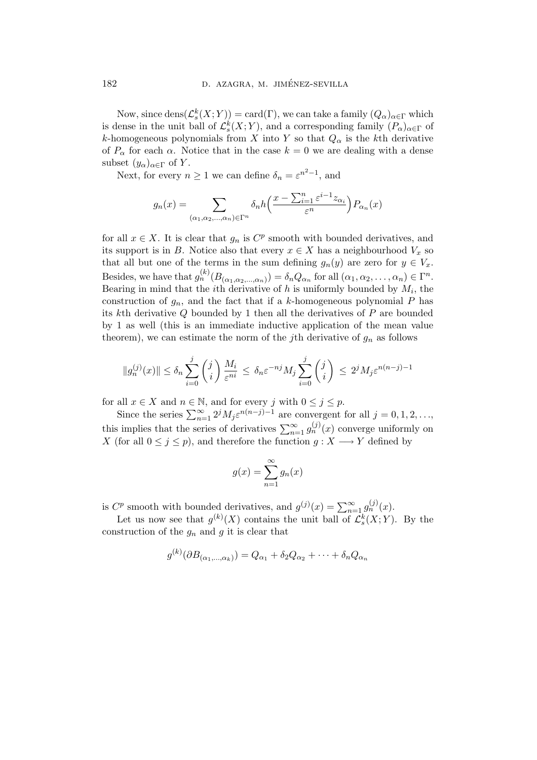Now, since  $\text{dens}(\mathcal{L}_s^k(X;Y)) = \text{card}(\Gamma)$ , we can take a family  $(Q_\alpha)_{\alpha \in \Gamma}$  which is dense in the unit ball of  $\mathcal{L}_{s}^{k}(X;Y)$ , and a corresponding family  $(P_{\alpha})_{\alpha \in \Gamma}$  of k-homogeneous polynomials from X into Y so that  $Q_{\alpha}$  is the kth derivative of  $P_{\alpha}$  for each  $\alpha$ . Notice that in the case  $k = 0$  we are dealing with a dense subset  $(y_\alpha)_{\alpha \in \Gamma}$  of Y.

Next, for every  $n \geq 1$  we can define  $\delta_n = \varepsilon^{n^2 - 1}$ , and

$$
g_n(x) = \sum_{(\alpha_1, \alpha_2, \dots, \alpha_n) \in \Gamma^n} \delta_n h\left(\frac{x - \sum_{i=1}^n \varepsilon^{i-1} z_{\alpha_i}}{\varepsilon^n}\right) P_{\alpha_n}(x)
$$

for all  $x \in X$ . It is clear that  $g_n$  is  $C^p$  smooth with bounded derivatives, and its support is in B. Notice also that every  $x \in X$  has a neighbourhood  $V_x$  so that all but one of the terms in the sum defining  $g_n(y)$  are zero for  $y \in V_x$ . Besides, we have that  $g_n^{(k)}(B_{(\alpha_1,\alpha_2,\dots,\alpha_n)}) = \delta_n Q_{\alpha_n}$  for all  $(\alpha_1, \alpha_2, \dots, \alpha_n) \in \Gamma^n$ . Bearing in mind that the *i*<sup>th</sup> derivative of  $h$  is uniformly bounded by  $M_i$ , the construction of  $g_n$ , and the fact that if a k-homogeneous polynomial P has its kth derivative  $Q$  bounded by 1 then all the derivatives of  $P$  are bounded by 1 as well (this is an immediate inductive application of the mean value theorem), we can estimate the norm of the jth derivative of  $g_n$  as follows

$$
||g_n^{(j)}(x)|| \le \delta_n \sum_{i=0}^j \binom{j}{i} \frac{M_i}{\varepsilon^{ni}} \le \delta_n \varepsilon^{-nj} M_j \sum_{i=0}^j \binom{j}{i} \le 2^j M_j \varepsilon^{n(n-j)-1}
$$

for all  $x \in X$  and  $n \in \mathbb{N}$ , and for every j with  $0 \leq j \leq p$ .

Since the series  $\sum_{n=1}^{\infty} 2^{j} M_j \varepsilon^{n(n-j)-1}$  are convergent for all  $j = 0, 1, 2, \ldots$ , this implies that the series of derivatives  $\sum_{n=1}^{\infty} g_n^{(j)}(x)$  converge uniformly on X (for all  $0 \le j \le p$ ), and therefore the function  $g: X \longrightarrow Y$  defined by

$$
g(x) = \sum_{n=1}^{\infty} g_n(x)
$$

is  $C^p$  smooth with bounded derivatives, and  $g^{(j)}(x) = \sum_{n=1}^{\infty} g_n^{(j)}(x)$ .

Let us now see that  $g^{(k)}(X)$  contains the unit ball of  $\mathcal{L}_{s}^{k}(X;Y)$ . By the construction of the  $g_n$  and g it is clear that

$$
g^{(k)}(\partial B_{(\alpha_1,\ldots,\alpha_k)})=Q_{\alpha_1}+\delta_2 Q_{\alpha_2}+\cdots+\delta_n Q_{\alpha_n}
$$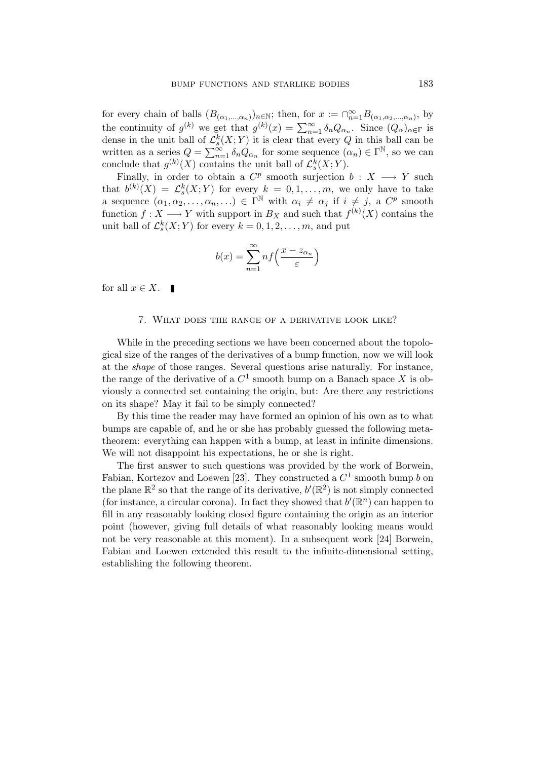for every chain of balls  $(B_{(\alpha_1,\ldots,\alpha_n)})_{n\in\mathbb{N}}$ ; then, for  $x := \bigcap_{n=1}^{\infty} B_{(\alpha_1,\alpha_2,\ldots,\alpha_n)}$ , by the continuity of  $g^{(k)}$  we get that  $g^{(k)}(x) = \sum_{n=1}^{\infty} \delta_n Q_{\alpha_n}$ . Since  $(Q_{\alpha})_{\alpha \in \Gamma}$  is dense in the unit ball of  $\mathcal{L}_{s}^{k}(X;Y)$  it is clear that every Q in this ball can be written as a series  $Q = \sum_{n=1}^{\infty} \delta_n Q_{\alpha_n}$  for some sequence  $(\alpha_n) \in \Gamma^{\mathbb{N}}$ , so we can conclude that  $g^{(k)}(X)$  contains the unit ball of  $\mathcal{L}_{s}^{k}(X;Y)$ .

Finally, in order to obtain a  $C^p$  smooth surjection  $b: X \longrightarrow Y$  such that  $b^{(k)}(X) = \mathcal{L}_s^k(X;Y)$  for every  $k = 0, 1, \ldots, m$ , we only have to take s a sequence  $(\alpha_1, \alpha_2, \ldots, \alpha_n, \ldots) \in \Gamma^{\mathbb{N}}$  with  $\alpha_i \neq \alpha_j$  if  $i \neq j$ , a  $C^p$  smooth function  $f: X \longrightarrow Y$  with support in  $B_X$  and such that  $f^{(k)}(X)$  contains the unit ball of  $\mathcal{L}_s^k(X;Y)$  for every  $k = 0, 1, 2, \ldots, m$ , and put

$$
b(x) = \sum_{n=1}^{\infty} n f\left(\frac{x - z_{\alpha_n}}{\varepsilon}\right)
$$

for all  $x \in X$ .  $\blacksquare$ 

#### 7. What does the range of a derivative look like?

While in the preceding sections we have been concerned about the topological size of the ranges of the derivatives of a bump function, now we will look at the shape of those ranges. Several questions arise naturally. For instance, the range of the derivative of a  $C^1$  smooth bump on a Banach space X is obviously a connected set containing the origin, but: Are there any restrictions on its shape? May it fail to be simply connected?

By this time the reader may have formed an opinion of his own as to what bumps are capable of, and he or she has probably guessed the following metatheorem: everything can happen with a bump, at least in infinite dimensions. We will not disappoint his expectations, he or she is right.

The first answer to such questions was provided by the work of Borwein, Fabian, Kortezov and Loewen [23]. They constructed a  $C^1$  smooth bump b on the plane  $\mathbb{R}^2$  so that the range of its derivative,  $b'(\mathbb{R}^2)$  is not simply connected (for instance, a circular corona). In fact they showed that  $b'(\mathbb{R}^n)$  can happen to fill in any reasonably looking closed figure containing the origin as an interior point (however, giving full details of what reasonably looking means would not be very reasonable at this moment). In a subsequent work [24] Borwein, Fabian and Loewen extended this result to the infinite-dimensional setting, establishing the following theorem.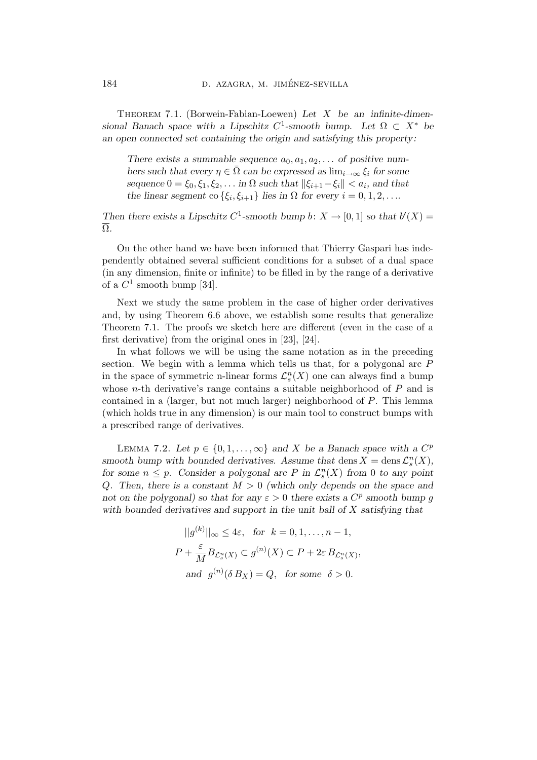THEOREM 7.1. (Borwein-Fabian-Loewen) Let  $X$  be an infinite-dimensional Banach space with a Lipschitz C<sup>1</sup>-smooth bump. Let  $\Omega \subset X^*$  be an open connected set containing the origin and satisfying this property:

There exists a summable sequence  $a_0, a_1, a_2, \ldots$  of positive numbers such that every  $\eta \in \overline{\Omega}$  can be expressed as  $\lim_{i\to\infty} \xi_i$  for some sequence  $0 = \xi_0, \xi_1, \xi_2, \ldots$  in  $\Omega$  such that  $\|\xi_{i+1} - \xi_i\| < a_i$ , and that the linear segment co  $\{\xi_i, \xi_{i+1}\}\$ lies in  $\Omega$  for every  $i = 0, 1, 2, \ldots$ 

Then there exists a Lipschitz C<sup>1</sup>-smooth bump b:  $X \to [0,1]$  so that  $b'(X) =$ Ω.

On the other hand we have been informed that Thierry Gaspari has independently obtained several sufficient conditions for a subset of a dual space (in any dimension, finite or infinite) to be filled in by the range of a derivative of a  $C^1$  smooth bump [34].

Next we study the same problem in the case of higher order derivatives and, by using Theorem 6.6 above, we establish some results that generalize Theorem 7.1. The proofs we sketch here are different (even in the case of a first derivative) from the original ones in [23], [24].

In what follows we will be using the same notation as in the preceding section. We begin with a lemma which tells us that, for a polygonal arc P in the space of symmetric n-linear forms  $\mathcal{L}_{s}^{n}(X)$  one can always find a bump whose *n*-th derivative's range contains a suitable neighborhood of  $P$  and is contained in a (larger, but not much larger) neighborhood of P. This lemma (which holds true in any dimension) is our main tool to construct bumps with a prescribed range of derivatives.

LEMMA 7.2. Let  $p \in \{0, 1, \ldots, \infty\}$  and X be a Banach space with a  $C^p$ smooth bump with bounded derivatives. Assume that dens  $X = \text{dens } \mathcal{L}_s^n(X)$ , for some  $n \leq p$ . Consider a polygonal arc P in  $\mathcal{L}_s^n(X)$  from 0 to any point Q. Then, there is a constant  $M > 0$  (which only depends on the space and not on the polygonal) so that for any  $\varepsilon > 0$  there exists a  $C^p$  smooth bump g with bounded derivatives and support in the unit ball of  $X$  satisfying that

$$
||g^{(k)}||_{\infty} \leq 4\varepsilon, \text{ for } k = 0, 1, ..., n - 1,
$$
  

$$
P + \frac{\varepsilon}{M} B_{\mathcal{L}_s^n(X)} \subset g^{(n)}(X) \subset P + 2\varepsilon B_{\mathcal{L}_s^n(X)},
$$
  
and 
$$
g^{(n)}(\delta B_X) = Q, \text{ for some } \delta > 0.
$$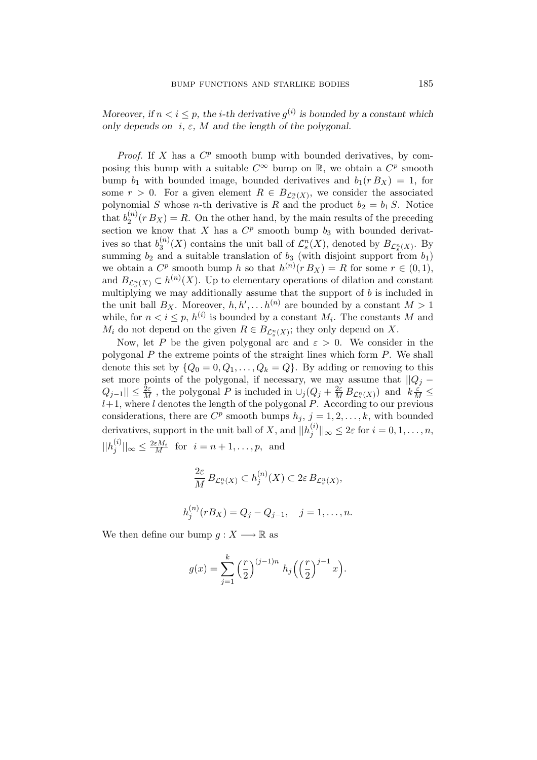Moreover, if  $n < i \leq p$ , the *i*-th derivative  $g^{(i)}$  is bounded by a constant which only depends on  $i, \varepsilon, M$  and the length of the polygonal.

*Proof.* If X has a  $C^p$  smooth bump with bounded derivatives, by composing this bump with a suitable  $C^{\infty}$  bump on  $\mathbb{R}$ , we obtain a  $C^p$  smooth bump  $b_1$  with bounded image, bounded derivatives and  $b_1(r B_X) = 1$ , for some  $r > 0$ . For a given element  $R \in B_{\mathcal{L}_s^n(X)}$ , we consider the associated polynomial S whose n-th derivative is R and the product  $b_2 = b_1 S$ . Notice that  $b_2^{(n)}$  $2^{(n)}(r B_X) = R$ . On the other hand, by the main results of the preceding section we know that X has a  $C^p$  smooth bump  $b_3$  with bounded derivatives so that  $b_3^{(n)}$  $S_3^{(n)}(X)$  contains the unit ball of  $\mathcal{L}_s^n(X)$ , denoted by  $B_{\mathcal{L}_s^n(X)}$ . By summing  $b_2$  and a suitable translation of  $b_3$  (with disjoint support from  $b_1$ ) we obtain a  $C^p$  smooth bump h so that  $h^{(n)}(r B_X) = R$  for some  $r \in (0, 1)$ , and  $B_{\mathcal{L}_s^n(X)} \subset h^{(n)}(X)$ . Up to elementary operations of dilation and constant multiplying we may additionally assume that the support of b is included in the unit ball  $B_X$ . Moreover,  $h, h', \ldots, h^{(n)}$  are bounded by a constant  $M > 1$ while, for  $n < i \leq p$ ,  $h^{(i)}$  is bounded by a constant  $M_i$ . The constants M and  $M_i$  do not depend on the given  $R \in B_{\mathcal{L}_s^n(X)}$ ; they only depend on X.

Now, let P be the given polygonal arc and  $\varepsilon > 0$ . We consider in the polygonal  $P$  the extreme points of the straight lines which form  $P$ . We shall denote this set by  $\{Q_0 = 0, Q_1, \ldots, Q_k = Q\}$ . By adding or removing to this set more points of the polygonal, if necessary, we may assume that  $||Q_j Q_{j-1}$ || ≤  $\frac{2\varepsilon}{M}$ , the polygonal P is included in  $\cup_j (Q_j + \frac{2\varepsilon}{M} B_{\mathcal{L}_s^n(X)})$  and  $k \frac{\varepsilon}{M} \leq$  $l+1$ , where l denotes the length of the polygonal P. According to our previous considerations, there are  $C^p$  smooth bumps  $h_j$ ,  $j = 1, 2, ..., k$ , with bounded derivatives, support in the unit ball of X, and  $||h_i^{(i)}||$  $\|j^{(i)}\|_{\infty} \leq 2\varepsilon$  for  $i = 0, 1, \ldots, n$ ,  $||h_i^{(i)}$  $\|\hat{y}^{(i)}\|_{\infty} \leq \frac{2\varepsilon M_i}{M}$  for  $i = n+1, \ldots, p$ , and

$$
\frac{2\varepsilon}{M} B_{\mathcal{L}_s^n(X)} \subset h_j^{(n)}(X) \subset 2\varepsilon B_{\mathcal{L}_s^n(X)},
$$
  

$$
h_j^{(n)}(r B_X) = Q_j - Q_{j-1}, \quad j = 1, \dots, n.
$$

We then define our bump  $q: X \longrightarrow \mathbb{R}$  as

$$
g(x) = \sum_{j=1}^{k} \left(\frac{r}{2}\right)^{(j-1)n} h_j \left(\left(\frac{r}{2}\right)^{j-1} x\right).
$$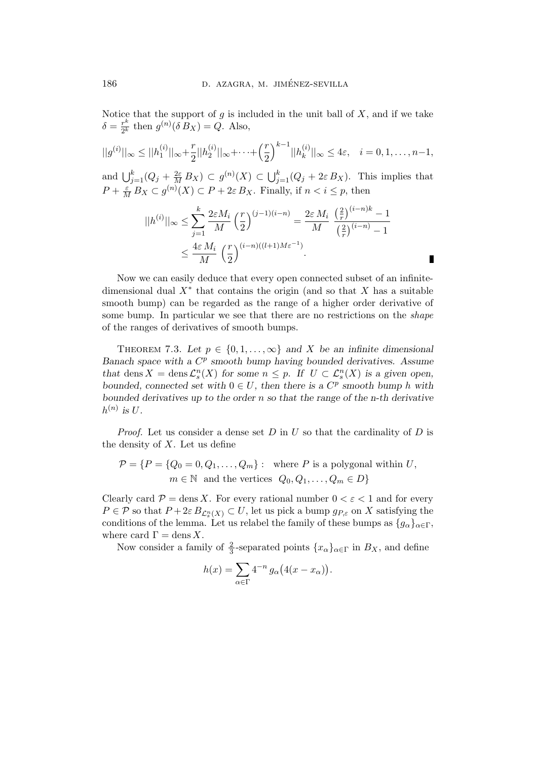Notice that the support of  $g$  is included in the unit ball of  $X$ , and if we take  $\delta = \frac{r^k}{2k}$  $\frac{r^k}{2^k}$  then  $g^{(n)}(\delta B_X) = Q$ . Also,

$$
||g^{(i)}||_{\infty} \leq ||h_1^{(i)}||_{\infty} + \frac{r}{2}||h_2^{(i)}||_{\infty} + \dots + \left(\frac{r}{2}\right)^{k-1}||h_k^{(i)}||_{\infty} \leq 4\varepsilon, \quad i = 0, 1, \dots, n-1,
$$

and  $\bigcup_{j=1}^k (Q_j + \frac{2\varepsilon}{M} B_X) \subset g^{(n)}(X) \subset \bigcup_{j=1}^k (Q_j + 2\varepsilon B_X)$ . This implies that  $P + \frac{\varepsilon}{M} B_X \subset g^{(n)}(X) \subset P + 2\varepsilon B_X$ . Finally, if  $n < i \leq p$ , then

$$
||h^{(i)}||_{\infty} \le \sum_{j=1}^{k} \frac{2\varepsilon M_i}{M} \left(\frac{r}{2}\right)^{(j-1)(i-n)} = \frac{2\varepsilon M_i}{M} \frac{\left(\frac{2}{r}\right)^{(i-n)k} - 1}{\left(\frac{2}{r}\right)^{(i-n)} - 1}
$$
  

$$
\le \frac{4\varepsilon M_i}{M} \left(\frac{r}{2}\right)^{(i-n)((l+1)M\varepsilon^{-1})}.
$$

П

Now we can easily deduce that every open connected subset of an infinitedimensional dual  $X^*$  that contains the origin (and so that X has a suitable smooth bump) can be regarded as the range of a higher order derivative of some bump. In particular we see that there are no restrictions on the *shape* of the ranges of derivatives of smooth bumps.

THEOREM 7.3. Let  $p \in \{0, 1, \ldots, \infty\}$  and X be an infinite dimensional Banach space with a  $C^p$  smooth bump having bounded derivatives. Assume that dens  $X = \text{dens } \mathcal{L}_s^n(X)$  for some  $n \leq p$ . If  $U \subset \mathcal{L}_s^n(X)$  is a given open, bounded, connected set with  $0 \in U$ , then there is a  $C^p$  smooth bump h with bounded derivatives up to the order  $n$  so that the range of the n-th derivative  $h^{(n)}$  is U.

*Proof.* Let us consider a dense set  $D$  in  $U$  so that the cardinality of  $D$  is the density of  $X$ . Let us define

$$
\mathcal{P} = \{P = \{Q_0 = 0, Q_1, \dots, Q_m\} : \text{ where } P \text{ is a polygonal within } U,
$$
  

$$
m \in \mathbb{N} \text{ and the vertices } Q_0, Q_1, \dots, Q_m \in D\}
$$

Clearly card  $P = \text{dens } X$ . For every rational number  $0 < \varepsilon < 1$  and for every  $P \in \mathcal{P}$  so that  $P + 2\varepsilon B_{\mathcal{L}_s^n(X)} \subset U$ , let us pick a bump  $g_{P,\varepsilon}$  on X satisfying the conditions of the lemma. Let us relabel the family of these bumps as  $\{g_{\alpha}\}_{{\alpha}\in\Gamma}$ , where card  $\Gamma = \text{dens } X$ .

Now consider a family of  $\frac{2}{3}$ -separated points  $\{x_{\alpha}\}_{{\alpha \in \Gamma}}$  in  $B_X$ , and define

$$
h(x) = \sum_{\alpha \in \Gamma} 4^{-n} g_{\alpha}(4(x - x_{\alpha})).
$$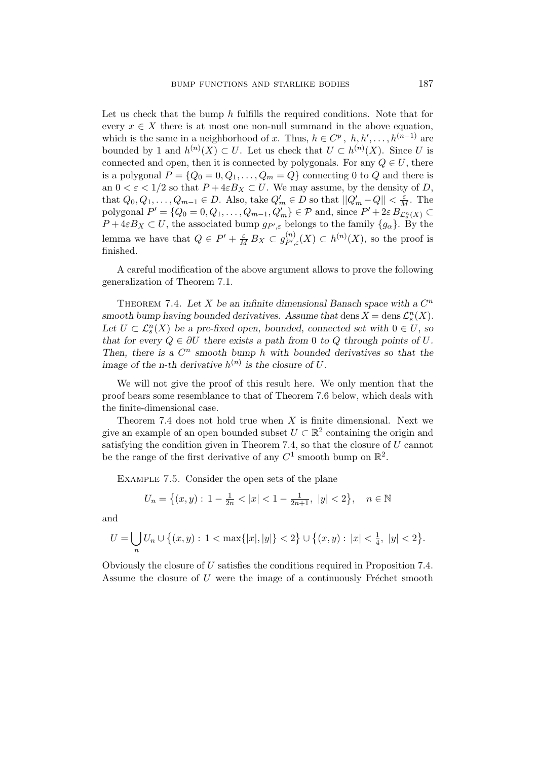Let us check that the bump  $h$  fulfills the required conditions. Note that for every  $x \in X$  there is at most one non-null summand in the above equation, which is the same in a neighborhood of x. Thus,  $h \in C^p$ ,  $h, h', \ldots, h^{(n-1)}$  are bounded by 1 and  $h^{(n)}(X) \subset U$ . Let us check that  $U \subset h^{(n)}(X)$ . Since U is connected and open, then it is connected by polygonals. For any  $Q \in U$ , there is a polygonal  $P = \{Q_0 = 0, Q_1, \ldots, Q_m = Q\}$  connecting 0 to Q and there is an  $0 < \varepsilon < 1/2$  so that  $P + 4\varepsilon B_X \subset U$ . We may assume, by the density of D, that  $Q_0, Q_1, \ldots, Q_{m-1} \in D$ . Also, take  $Q'_m \in D$  so that  $||Q'_m - Q|| < \frac{\varepsilon}{M}$ . The polygonal  $P' = \{Q_0 = 0, Q_1, \ldots, Q_{m-1}, Q'_m\} \in \mathcal{P}$  and, since  $P' + 2\varepsilon B_{\mathcal{L}_s^n(X)} \subset$  $P + 4\varepsilon B_X \subset U$ , the associated bump  $g_{P',\varepsilon}$  belongs to the family  $\{g_\alpha\}$ . By the lemma we have that  $Q \in P' + \frac{\varepsilon}{M} B_X \subset g_{P',R}^{(n)}$  $P^{(n)}_{P',\varepsilon}(X) \subset h^{(n)}(X)$ , so the proof is finished.

A careful modification of the above argument allows to prove the following generalization of Theorem 7.1.

THEOREM 7.4. Let X be an infinite dimensional Banach space with a  $C<sup>n</sup>$ smooth bump having bounded derivatives. Assume that dens  $X = \text{dens } \mathcal{L}_s^n(X)$ . Let  $U \subset \mathcal{L}_s^n(X)$  be a pre-fixed open, bounded, connected set with  $0 \in U$ , so that for every  $Q \in \partial U$  there exists a path from 0 to Q through points of U. Then, there is a  $C^n$  smooth bump h with bounded derivatives so that the image of the n-th derivative  $h^{(n)}$  is the closure of U.

We will not give the proof of this result here. We only mention that the proof bears some resemblance to that of Theorem 7.6 below, which deals with the finite-dimensional case.

Theorem 7.4 does not hold true when  $X$  is finite dimensional. Next we give an example of an open bounded subset  $U \subset \mathbb{R}^2$  containing the origin and satisfying the condition given in Theorem 7.4, so that the closure of  $U$  cannot be the range of the first derivative of any  $C^1$  smooth bump on  $\mathbb{R}^2$ .

Example 7.5. Consider the open sets of the plane

$$
U_n = \left\{ (x, y) : 1 - \frac{1}{2n} < |x| < 1 - \frac{1}{2n + 1}, \ |y| < 2 \right\}, \quad n \in \mathbb{N}
$$

and

$$
U = \bigcup_n U_n \cup \left\{ (x, y) : 1 < \max\{|x|, |y|\} < 2 \right\} \cup \left\{ (x, y) : |x| < \frac{1}{4}, \ |y| < 2 \right\}.
$$

Obviously the closure of U satisfies the conditions required in Proposition 7.4. Assume the closure of  $U$  were the image of a continuously Fréchet smooth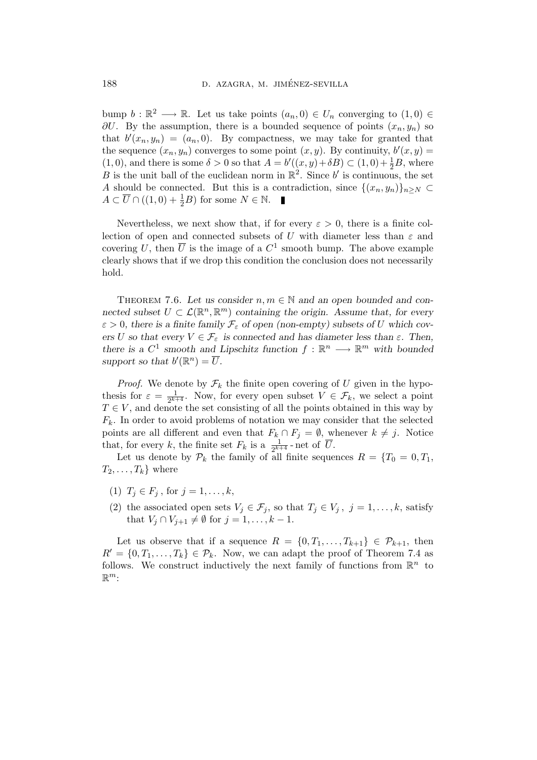bump  $b : \mathbb{R}^2 \longrightarrow \mathbb{R}$ . Let us take points  $(a_n, 0) \in U_n$  converging to  $(1, 0) \in$  $\partial U$ . By the assumption, there is a bounded sequence of points  $(x_n, y_n)$  so that  $b'(x_n, y_n) = (a_n, 0)$ . By compactness, we may take for granted that the sequence  $(x_n, y_n)$  converges to some point  $(x, y)$ . By continuity,  $b'(x, y) =$  $(1,0)$ , and there is some  $\delta > 0$  so that  $A = b'((x,y)+\delta B) \subset (1,0)+\frac{1}{2}B$ , where B is the unit ball of the euclidean norm in  $\mathbb{R}^2$ . Since b' is continuous, the set A should be connected. But this is a contradiction, since  $\{(x_n, y_n)\}_{n\geq N}$  $A \subset \overline{U} \cap ((1,0) + \frac{1}{2}B)$  for some  $N \in \mathbb{N}$ .

Nevertheless, we next show that, if for every  $\varepsilon > 0$ , there is a finite collection of open and connected subsets of U with diameter less than  $\varepsilon$  and covering U, then  $\overline{U}$  is the image of a  $C^1$  smooth bump. The above example clearly shows that if we drop this condition the conclusion does not necessarily hold.

THEOREM 7.6. Let us consider  $n, m \in \mathbb{N}$  and an open bounded and connected subset  $U \subset \mathcal{L}(\mathbb{R}^n, \mathbb{R}^m)$  containing the origin. Assume that, for every  $\varepsilon > 0$ , there is a finite family  $\mathcal{F}_{\varepsilon}$  of open (non-empty) subsets of U which covers U so that every  $V \in \mathcal{F}_{\varepsilon}$  is connected and has diameter less than  $\varepsilon$ . Then, there is a  $C^1$  smooth and Lipschitz function  $f : \mathbb{R}^n \longrightarrow \mathbb{R}^m$  with bounded support so that  $b'(\mathbb{R}^n) = \overline{U}$ .

*Proof.* We denote by  $\mathcal{F}_k$  the finite open covering of U given in the hypothesis for  $\varepsilon = \frac{1}{2k+1}$  $\frac{1}{2^{k+4}}$ . Now, for every open subset  $V \in \mathcal{F}_k$ , we select a point  $T \in V$ , and denote the set consisting of all the points obtained in this way by  $F_k$ . In order to avoid problems of notation we may consider that the selected points are all different and even that  $F_k \cap F_j = \emptyset$ , whenever  $k \neq j$ . Notice that, for every k, the finite set  $F_k$  is a  $\frac{1}{2^{k+1}}$  $\frac{1}{2^{k+4}}$ -net of U.

Let us denote by  $\mathcal{P}_k$  the family of all finite sequences  $R = \{T_0 = 0, T_1,$  $T_2, \ldots, T_k$  where

- (1)  $T_j \in F_j$ , for  $j = 1, ..., k$ ,
- (2) the associated open sets  $V_j \in \mathcal{F}_j$ , so that  $T_j \in V_j$ ,  $j = 1, \ldots, k$ , satisfy that  $V_j \cap V_{j+1} \neq \emptyset$  for  $j = 1, \ldots, k - 1$ .

Let us observe that if a sequence  $R = \{0, T_1, \ldots, T_{k+1}\} \in \mathcal{P}_{k+1}$ , then  $R' = \{0, T_1, \ldots, T_k\} \in \mathcal{P}_k$ . Now, we can adapt the proof of Theorem 7.4 as follows. We construct inductively the next family of functions from  $\mathbb{R}^n$  to  $\mathbb{R}^m$ :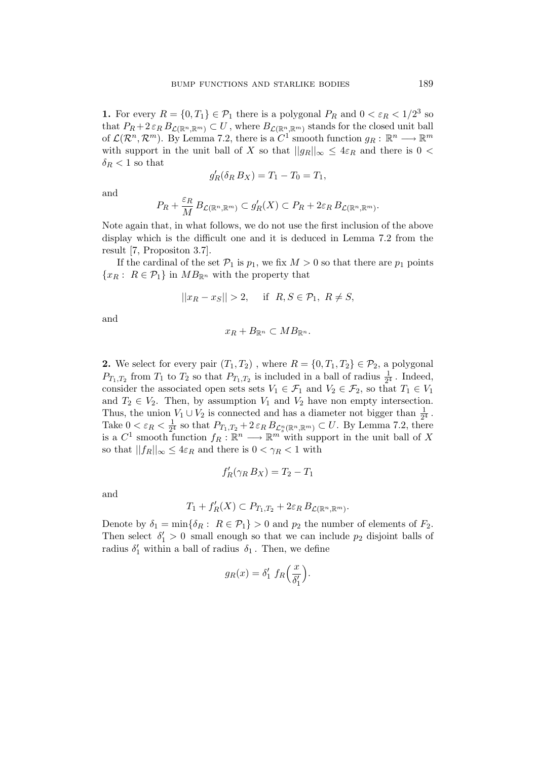**1.** For every  $R = \{0, T_1\} \in \mathcal{P}_1$  there is a polygonal  $P_R$  and  $0 < \varepsilon_R < 1/2^3$  so that  $P_R + 2 \varepsilon_R B_{\mathcal{L}(\mathbb{R}^n, \mathbb{R}^m)} \subset U$ , where  $B_{\mathcal{L}(\mathbb{R}^n, \mathbb{R}^m)}$  stands for the closed unit ball of  $\mathcal{L}(\mathcal{R}^n, \mathcal{R}^m)$ . By Lemma 7.2, there is a  $C^1$  smooth function  $g_R: \mathbb{R}^n \longrightarrow \mathbb{R}^m$ with support in the unit ball of X so that  $||g_R||_{\infty} \leq 4\varepsilon_R$  and there is  $0 <$  $\delta_R < 1$  so that

$$
g'_R(\delta_R B_X) = T_1 - T_0 = T_1,
$$

and

$$
P_R + \frac{\varepsilon_R}{M} B_{\mathcal{L}(\mathbb{R}^n, \mathbb{R}^m)} \subset g'_R(X) \subset P_R + 2\varepsilon_R B_{\mathcal{L}(\mathbb{R}^n, \mathbb{R}^m)}.
$$

Note again that, in what follows, we do not use the first inclusion of the above display which is the difficult one and it is deduced in Lemma 7.2 from the result [7, Propositon 3.7].

If the cardinal of the set  $\mathcal{P}_1$  is  $p_1$ , we fix  $M > 0$  so that there are  $p_1$  points  ${x_R : R \in \mathcal{P}_1}$  in  $MB_{\mathbb{R}^n}$  with the property that

$$
||x_R - x_S|| > 2, \quad \text{if } R, S \in \mathcal{P}_1, R \neq S,
$$

and

$$
x_R + B_{\mathbb{R}^n} \subset MB_{\mathbb{R}^n}.
$$

**2.** We select for every pair  $(T_1, T_2)$ , where  $R = \{0, T_1, T_2\} \in \mathcal{P}_2$ , a polygonal  $P_{T_1,T_2}$  from  $T_1$  to  $T_2$  so that  $P_{T_1,T_2}$  is included in a ball of radius  $\frac{1}{2^4}$ . Indeed, consider the associated open sets sets  $V_1 \in \mathcal{F}_1$  and  $V_2 \in \mathcal{F}_2$ , so that  $T_1 \in V_1$ and  $T_2 \in V_2$ . Then, by assumption  $V_1$  and  $V_2$  have non empty intersection. Thus, the union  $V_1 \cup V_2$  is connected and has a diameter not bigger than  $\frac{1}{2^4}$ . Take  $0 < \varepsilon_R < \frac{1}{2^4}$  $\frac{1}{2^4}$  so that  $P_{T_1,T_2} + 2 \varepsilon_R B_{\mathcal{L}_s^n(\mathbb{R}^n,\mathbb{R}^m)} \subset U$ . By Lemma 7.2, there is a  $C^1$  smooth function  $f_R: \mathbb{R}^n \longrightarrow \mathbb{R}^m$  with support in the unit ball of X so that  $||f_R||_{\infty} \leq 4\varepsilon_R$  and there is  $0 < \gamma_R < 1$  with

$$
f'_R(\gamma_R B_X) = T_2 - T_1
$$

and

$$
T_1 + f'_R(X) \subset P_{T_1,T_2} + 2\varepsilon_R B_{\mathcal{L}(\mathbb{R}^n,\mathbb{R}^m)}.
$$

Denote by  $\delta_1 = \min\{\delta_R : R \in \mathcal{P}_1\} > 0$  and  $p_2$  the number of elements of  $F_2$ . Then select  $\delta_1' > 0$  small enough so that we can include  $p_2$  disjoint balls of radius  $\delta_1'$  within a ball of radius  $\delta_1$ . Then, we define

$$
g_R(x) = \delta'_1 \ f_R\left(\frac{x}{\delta'_1}\right).
$$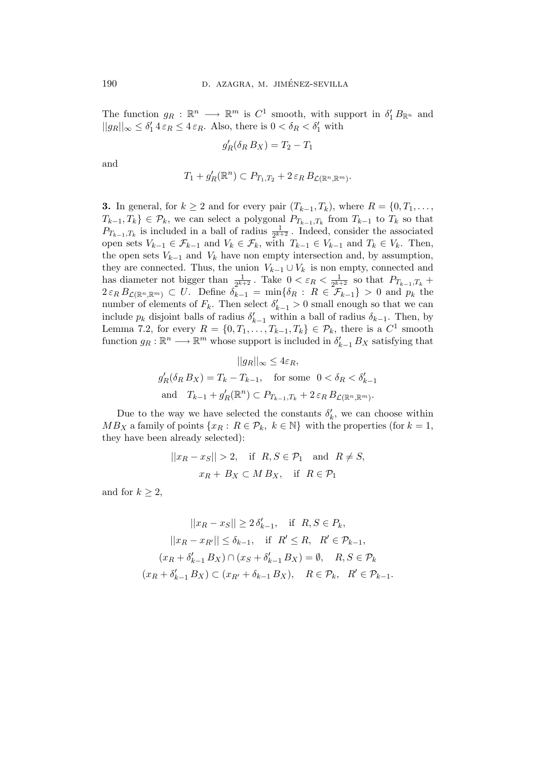The function  $g_R : \mathbb{R}^n \longrightarrow \mathbb{R}^m$  is  $C^1$  smooth, with support in  $\delta'_1 B_{\mathbb{R}^n}$  and  $||g_R||_{\infty} \leq \delta'_1 4 \varepsilon_R \leq 4 \varepsilon_R$ . Also, there is  $0 < \delta_R < \delta'_1$  with

$$
g'_R(\delta_R B_X) = T_2 - T_1
$$

and

$$
T_1 + g'_R(\mathbb{R}^n) \subset P_{T_1,T_2} + 2 \varepsilon_R B_{\mathcal{L}(\mathbb{R}^n, \mathbb{R}^m)}.
$$

**3.** In general, for  $k \geq 2$  and for every pair  $(T_{k-1}, T_k)$ , where  $R = \{0, T_1, \ldots, T_k\}$  $T_{k-1}, T_k$ }  $\in \mathcal{P}_k$ , we can select a polygonal  $P_{T_{k-1}, T_k}$  from  $T_{k-1}$  to  $T_k$  so that  $P_{T_{k-1},T_k}$  is included in a ball of radius  $\frac{1}{2^{k+2}}$ . Indeed, consider the associated open sets  $V_{k-1} \in \mathcal{F}_{k-1}$  and  $V_k \in \mathcal{F}_k$ , with  $T_{k-1} \in V_{k-1}$  and  $T_k \in V_k$ . Then, the open sets  $V_{k-1}$  and  $V_k$  have non empty intersection and, by assumption, they are connected. Thus, the union  $V_{k-1} \cup V_k$  is non empty, connected and has diameter not bigger than  $\frac{1}{2^{k+2}}$ . Take  $0 < \varepsilon_R < \frac{1}{2^{k+1}}$  $\frac{1}{2^{k+2}}$  so that  $P_{T_{k-1},T_k}$  +  $2 \varepsilon_R B_{\mathcal{L}(\mathbb{R}^n, \mathbb{R}^m)} \subset U$ . Define  $\delta_{k-1} = \min\{\delta_R : R \in \mathcal{F}_{k-1}\} > 0$  and  $p_k$  the number of elements of  $F_k$ . Then select  $\delta'_{k-1} > 0$  small enough so that we can include  $p_k$  disjoint balls of radius  $\delta'_{k-1}$  within a ball of radius  $\delta_{k-1}$ . Then, by Lemma 7.2, for every  $R = \{0, T_1, \ldots, T_{k-1}, T_k\} \in \mathcal{P}_k$ , there is a  $C^1$  smooth function  $g_R : \mathbb{R}^n \longrightarrow \mathbb{R}^m$  whose support is included in  $\delta'_{k-1} B_X$  satisfying that

$$
||g_R||_{\infty} \leq 4\varepsilon_R,
$$
  
\n
$$
g'_R(\delta_R B_X) = T_k - T_{k-1}, \text{ for some } 0 < \delta_R < \delta'_{k-1}
$$
  
\nand 
$$
T_{k-1} + g'_R(\mathbb{R}^n) \subset P_{T_{k-1},T_k} + 2\varepsilon_R B_{\mathcal{L}(\mathbb{R}^n, \mathbb{R}^m)}.
$$

Due to the way we have selected the constants  $\delta'_k$ , we can choose within  $MB_X$  a family of points  $\{x_R: R \in \mathcal{P}_k, k \in \mathbb{N}\}\$  with the properties (for  $k=1$ , they have been already selected):

$$
||x_R - x_S|| > 2, \text{ if } R, S \in \mathcal{P}_1 \text{ and } R \neq S,
$$
  

$$
x_R + B_X \subset MB_X, \text{ if } R \in \mathcal{P}_1
$$

and for  $k \geq 2$ ,

$$
||x_R - x_S|| \ge 2 \delta'_{k-1}, \text{ if } R, S \in P_k,
$$
  
\n
$$
||x_R - x_{R'}|| \le \delta_{k-1}, \text{ if } R' \le R, R' \in \mathcal{P}_{k-1},
$$
  
\n
$$
(x_R + \delta'_{k-1} B_X) \cap (x_S + \delta'_{k-1} B_X) = \emptyset, R, S \in \mathcal{P}_k
$$
  
\n
$$
(x_R + \delta'_{k-1} B_X) \subset (x_{R'} + \delta_{k-1} B_X), R \in \mathcal{P}_k, R' \in \mathcal{P}_{k-1}.
$$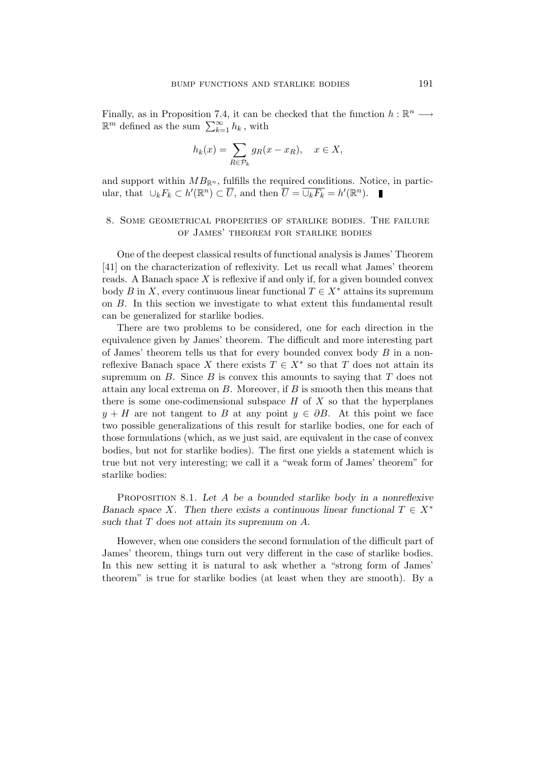Finally, as in Proposition 7.4, it can be checked that the function  $h : \mathbb{R}^n \longrightarrow$  $\mathbb{R}^m$  defined as the sum  $\sum_{k=1}^{\infty} h_k$ , with

$$
h_k(x) = \sum_{R \in \mathcal{P}_k} g_R(x - x_R), \quad x \in X,
$$

and support within  $MB_{\mathbb{R}^n}$ , fulfills the required conditions. Notice, in particular, that  $\cup_k F_k \subset h'(\mathbb{R}^n) \subset \overline{U}$ , and then  $\overline{U} = \overline{\cup_k F_k} = h'(\mathbb{R}^n)$ .

# 8. Some geometrical properties of starlike bodies. The failure of James' theorem for starlike bodies

One of the deepest classical results of functional analysis is James' Theorem [41] on the characterization of reflexivity. Let us recall what James' theorem reads. A Banach space  $X$  is reflexive if and only if, for a given bounded convex body B in X, every continuous linear functional  $T \in X^*$  attains its supremum on B. In this section we investigate to what extent this fundamental result can be generalized for starlike bodies.

There are two problems to be considered, one for each direction in the equivalence given by James' theorem. The difficult and more interesting part of James' theorem tells us that for every bounded convex body  $B$  in a nonreflexive Banach space X there exists  $T \in X^*$  so that T does not attain its supremum on  $B$ . Since  $B$  is convex this amounts to saying that  $T$  does not attain any local extrema on  $B$ . Moreover, if  $B$  is smooth then this means that there is some one-codimensional subspace  $H$  of  $X$  so that the hyperplanes  $y + H$  are not tangent to B at any point  $y \in \partial B$ . At this point we face two possible generalizations of this result for starlike bodies, one for each of those formulations (which, as we just said, are equivalent in the case of convex bodies, but not for starlike bodies). The first one yields a statement which is true but not very interesting; we call it a "weak form of James' theorem" for starlike bodies:

PROPOSITION 8.1. Let A be a bounded starlike body in a nonreflexive Banach space X. Then there exists a continuous linear functional  $T \in X^*$ such that T does not attain its supremum on A.

However, when one considers the second formulation of the difficult part of James' theorem, things turn out very different in the case of starlike bodies. In this new setting it is natural to ask whether a "strong form of James' theorem" is true for starlike bodies (at least when they are smooth). By a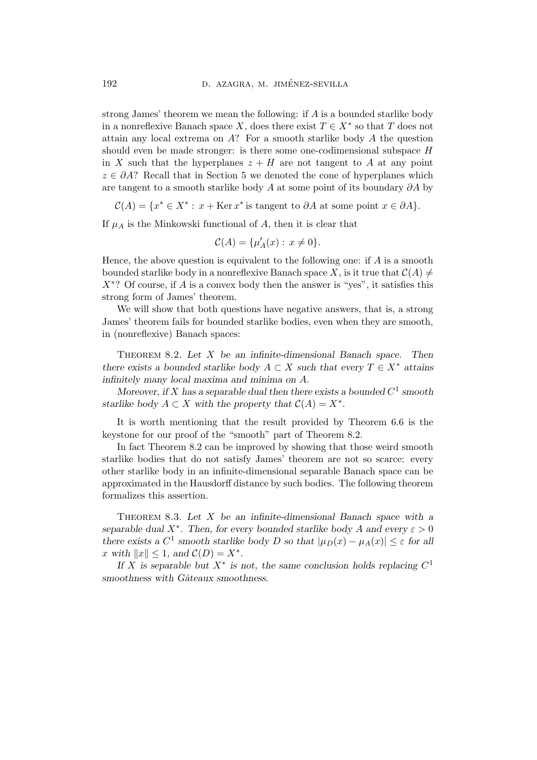strong James' theorem we mean the following: if A is a bounded starlike body in a nonreflexive Banach space X, does there exist  $T \in X^*$  so that T does not attain any local extrema on  $A$ ? For a smooth starlike body  $A$  the question should even be made stronger: is there some one-codimensional subspace H in X such that the hyperplanes  $z + H$  are not tangent to A at any point  $z \in \partial A$ ? Recall that in Section 5 we denoted the cone of hyperplanes which are tangent to a smooth starlike body A at some point of its boundary  $\partial A$  by

 $\mathcal{C}(A) = \{x^* \in X^* : x + \text{Ker } x^* \text{ is tangent to } \partial A \text{ at some point } x \in \partial A\}.$ 

If  $\mu_A$  is the Minkowski functional of A, then it is clear that

$$
\mathcal{C}(A) = \{\mu'_A(x) : x \neq 0\}.
$$

Hence, the above question is equivalent to the following one: if  $A$  is a smooth bounded starlike body in a nonreflexive Banach space X, is it true that  $\mathcal{C}(A) \neq$  $X^*$ ? Of course, if A is a convex body then the answer is "yes", it satisfies this strong form of James' theorem.

We will show that both questions have negative answers, that is, a strong James' theorem fails for bounded starlike bodies, even when they are smooth, in (nonreflexive) Banach spaces:

THEOREM 8.2. Let  $X$  be an infinite-dimensional Banach space. Then there exists a bounded starlike body  $A \subset X$  such that every  $T \in X^*$  attains infinitely many local maxima and minima on A.

Moreover, if X has a separable dual then there exists a bounded  $C^1$  smooth starlike body  $A \subset X$  with the property that  $C(A) = X^*$ .

It is worth mentioning that the result provided by Theorem 6.6 is the keystone for our proof of the "smooth" part of Theorem 8.2.

In fact Theorem 8.2 can be improved by showing that those weird smooth starlike bodies that do not satisfy James' theorem are not so scarce: every other starlike body in an infinite-dimensional separable Banach space can be approximated in the Hausdorff distance by such bodies. The following theorem formalizes this assertion.

THEOREM 8.3. Let  $X$  be an infinite-dimensional Banach space with a separable dual  $X^*$ . Then, for every bounded starlike body A and every  $\varepsilon > 0$ there exists a  $C^1$  smooth starlike body D so that  $|\mu_D(x) - \mu_A(x)| \leq \varepsilon$  for all x with  $||x|| \leq 1$ , and  $C(D) = X^*$ .

If X is separable but  $X^*$  is not, the same conclusion holds replacing  $C^1$ smoothness with Gâteaux smoothness.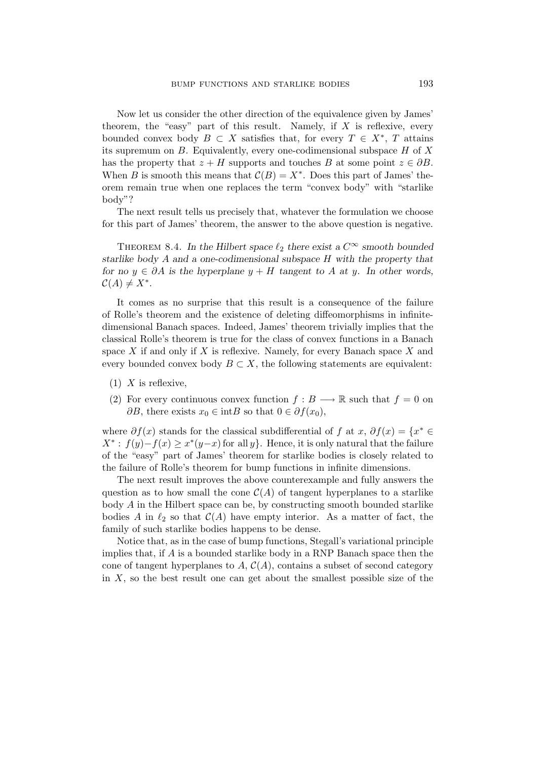Now let us consider the other direction of the equivalence given by James' theorem, the "easy" part of this result. Namely, if  $X$  is reflexive, every bounded convex body  $B \subset X$  satisfies that, for every  $T \in X^*$ , T attains its supremum on  $B$ . Equivalently, every one-codimensional subspace  $H$  of  $X$ has the property that  $z + H$  supports and touches B at some point  $z \in \partial B$ . When B is smooth this means that  $\mathcal{C}(B) = X^*$ . Does this part of James' theorem remain true when one replaces the term "convex body" with "starlike body"?

The next result tells us precisely that, whatever the formulation we choose for this part of James' theorem, the answer to the above question is negative.

THEOREM 8.4. In the Hilbert space  $\ell_2$  there exist a  $C^{\infty}$  smooth bounded starlike body A and a one-codimensional subspace H with the property that for no  $y \in \partial A$  is the hyperplane  $y + H$  tangent to A at y. In other words,  $\mathcal{C}(A) \neq X^*$ .

It comes as no surprise that this result is a consequence of the failure of Rolle's theorem and the existence of deleting diffeomorphisms in infinitedimensional Banach spaces. Indeed, James' theorem trivially implies that the classical Rolle's theorem is true for the class of convex functions in a Banach space X if and only if X is reflexive. Namely, for every Banach space X and every bounded convex body  $B \subset X$ , the following statements are equivalent:

- $(1)$  X is reflexive,
- (2) For every continuous convex function  $f : B \longrightarrow \mathbb{R}$  such that  $f = 0$  on  $\partial B$ , there exists  $x_0 \in \text{int}B$  so that  $0 \in \partial f(x_0)$ ,

where  $\partial f(x)$  stands for the classical subdifferential of f at x,  $\partial f(x) = \{x^* \in$  $X^*$ :  $f(y)-f(x) \geq x^*(y-x)$  for all  $y$ . Hence, it is only natural that the failure of the "easy" part of James' theorem for starlike bodies is closely related to the failure of Rolle's theorem for bump functions in infinite dimensions.

The next result improves the above counterexample and fully answers the question as to how small the cone  $\mathcal{C}(A)$  of tangent hyperplanes to a starlike body A in the Hilbert space can be, by constructing smooth bounded starlike bodies A in  $\ell_2$  so that  $\mathcal{C}(A)$  have empty interior. As a matter of fact, the family of such starlike bodies happens to be dense.

Notice that, as in the case of bump functions, Stegall's variational principle implies that, if  $\vec{A}$  is a bounded starlike body in a RNP Banach space then the cone of tangent hyperplanes to  $A, C(A)$ , contains a subset of second category in  $X$ , so the best result one can get about the smallest possible size of the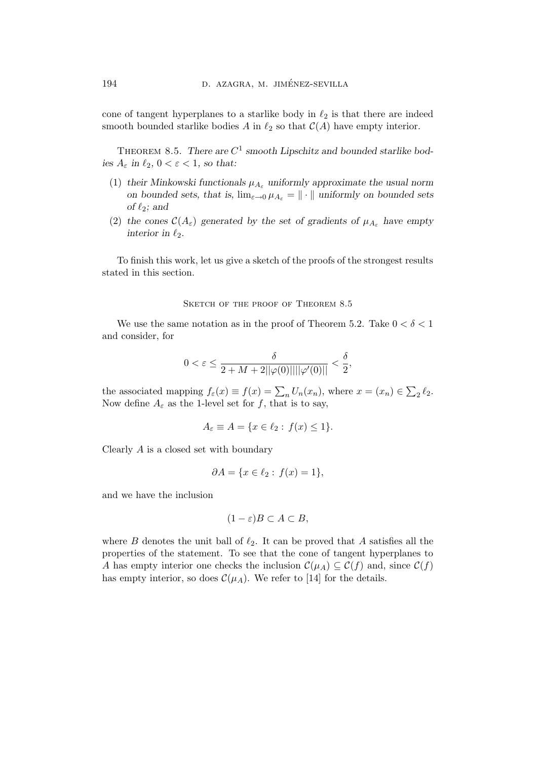cone of tangent hyperplanes to a starlike body in  $\ell_2$  is that there are indeed smooth bounded starlike bodies A in  $\ell_2$  so that  $\mathcal{C}(A)$  have empty interior.

THEOREM 8.5. There are  $C^1$  smooth Lipschitz and bounded starlike bodies  $A_{\varepsilon}$  in  $\ell_2, 0 < \varepsilon < 1$ , so that:

- (1) their Minkowski functionals  $\mu_{A_{\varepsilon}}$  uniformly approximate the usual norm on bounded sets, that is,  $\lim_{\varepsilon\to 0} \mu_{A_{\varepsilon}} = \|\cdot\|$  uniformly on bounded sets of  $\ell_2$ ; and
- (2) the cones  $\mathcal{C}(A_{\varepsilon})$  generated by the set of gradients of  $\mu_{A_{\varepsilon}}$  have empty interior in  $\ell_2$ .

To finish this work, let us give a sketch of the proofs of the strongest results stated in this section.

SKETCH OF THE PROOF OF THEOREM 8.5

We use the same notation as in the proof of Theorem 5.2. Take  $0 < \delta < 1$ and consider, for

$$
0 < \varepsilon \le \frac{\delta}{2 + M + 2||\varphi(0)||||\varphi'(0)||} < \frac{\delta}{2},
$$

the associated mapping  $f_{\varepsilon}(x) \equiv f(x) = \sum_{n} U_n(x_n)$ , where  $x = (x_n) \in \sum_2 \ell_2$ . Now define  $A_{\varepsilon}$  as the 1-level set for f, that is to say,

$$
A_{\varepsilon} \equiv A = \{ x \in \ell_2 : f(x) \le 1 \}.
$$

Clearly A is a closed set with boundary

$$
\partial A = \{x \in \ell_2 : f(x) = 1\},\
$$

and we have the inclusion

$$
(1 - \varepsilon)B \subset A \subset B,
$$

where  $B$  denotes the unit ball of  $\ell_2$ . It can be proved that A satisfies all the properties of the statement. To see that the cone of tangent hyperplanes to A has empty interior one checks the inclusion  $\mathcal{C}(\mu_A) \subseteq \mathcal{C}(f)$  and, since  $\mathcal{C}(f)$ has empty interior, so does  $\mathcal{C}(\mu_A)$ . We refer to [14] for the details.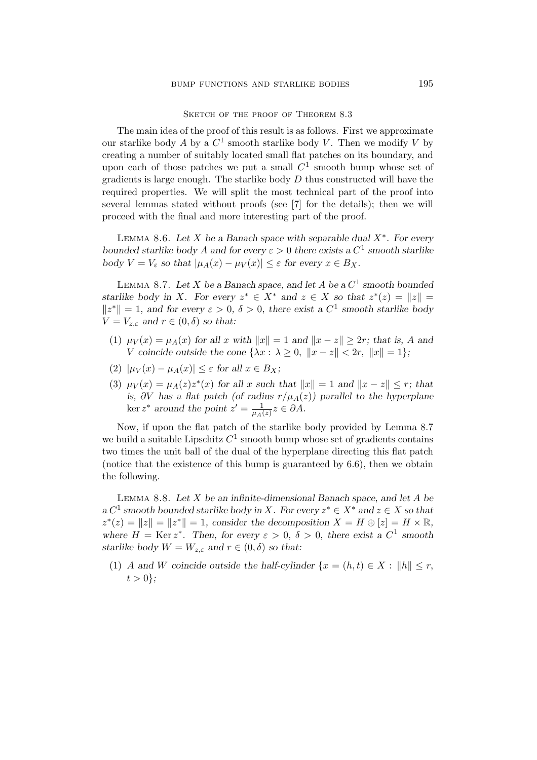SKETCH OF THE PROOF OF THEOREM 8.3

The main idea of the proof of this result is as follows. First we approximate our starlike body A by a  $C^1$  smooth starlike body V. Then we modify V by creating a number of suitably located small flat patches on its boundary, and upon each of those patches we put a small  $C<sup>1</sup>$  smooth bump whose set of gradients is large enough. The starlike body  $D$  thus constructed will have the required properties. We will split the most technical part of the proof into several lemmas stated without proofs (see [7] for the details); then we will proceed with the final and more interesting part of the proof.

LEMMA 8.6. Let X be a Banach space with separable dual  $X^*$ . For every bounded starlike body A and for every  $\varepsilon > 0$  there exists a  $C^1$  smooth starlike body  $V = V_{\varepsilon}$  so that  $|\mu_A(x) - \mu_V(x)| \leq \varepsilon$  for every  $x \in B_X$ .

LEMMA 8.7. Let X be a Banach space, and let A be a  $C^1$  smooth bounded starlike body in X. For every  $z^* \in X^*$  and  $z \in X$  so that  $z^*(z) = ||z|| =$  $||z^*|| = 1$ , and for every  $\varepsilon > 0$ ,  $\delta > 0$ , there exist a  $C^1$  smooth starlike body  $V = V_{z,\varepsilon}$  and  $r \in (0,\delta)$  so that:

- (1)  $\mu_V(x) = \mu_A(x)$  for all x with  $||x|| = 1$  and  $||x z|| \geq 2r$ ; that is, A and V coincide outside the cone  $\{\lambda x : \lambda \geq 0, \|x - z\| < 2r, \|x\| = 1\};$
- (2)  $|\mu_V(x) \mu_A(x)| \leq \varepsilon$  for all  $x \in B_X$ ;
- (3)  $\mu_V(x) = \mu_A(z)z^*(x)$  for all x such that  $||x|| = 1$  and  $||x z|| \leq r$ ; that is, ∂V has a flat patch (of radius  $r/\mu_A(z)$ ) parallel to the hyperplane ker  $z^*$  around the point  $z' = \frac{1}{\mu A}$  $\frac{1}{\mu_A(z)}z\in\partial A.$

Now, if upon the flat patch of the starlike body provided by Lemma 8.7 we build a suitable Lipschitz  $C^1$  smooth bump whose set of gradients contains two times the unit ball of the dual of the hyperplane directing this flat patch (notice that the existence of this bump is guaranteed by 6.6), then we obtain the following.

LEMMA 8.8. Let  $X$  be an infinite-dimensional Banach space, and let  $A$  be a  $C^1$  smooth bounded starlike body in X. For every  $z^* \in X^*$  and  $z \in X$  so that  $z^*(z) = ||z|| = ||z^*|| = 1$ , consider the decomposition  $X = H \oplus [z] = H \times \mathbb{R}$ , where  $H = \text{Ker } z^*$ . Then, for every  $\varepsilon > 0$ ,  $\delta > 0$ , there exist a  $C^1$  smooth starlike body  $W = W_{z,\varepsilon}$  and  $r \in (0,\delta)$  so that:

(1) A and W coincide outside the half-cylinder  $\{x = (h,t) \in X : ||h|| \leq r,$  $t > 0$ ;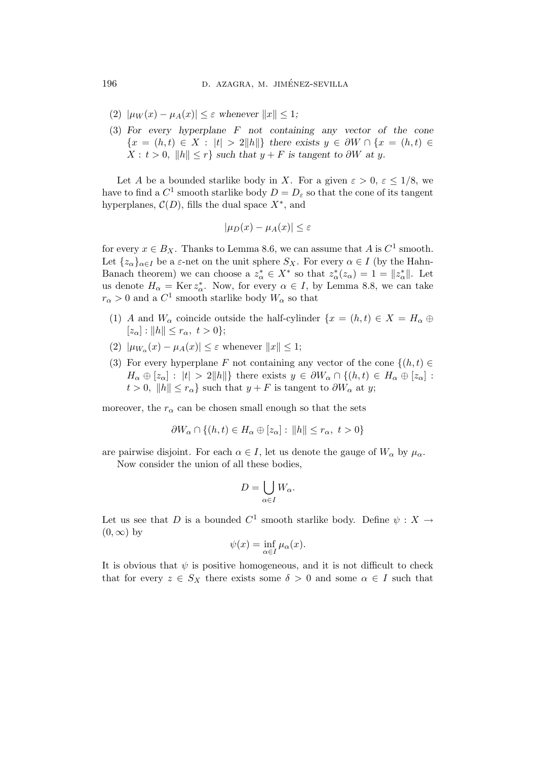- (2)  $|\mu_W(x) \mu_A(x)| \leq \varepsilon$  whenever  $||x|| \leq 1$ ;
- (3) For every hyperplane F not containing any vector of the cone  ${x = (h,t) \in X : |t| > 2||h||}$  there exists  $y \in \partial W \cap {x = (h,t) \in X}$  $X: t > 0, ||h|| < r$  such that  $y + F$  is tangent to ∂W at y.

Let A be a bounded starlike body in X. For a given  $\varepsilon > 0$ ,  $\varepsilon \leq 1/8$ , we have to find a  $C^1$  smooth starlike body  $D = D_{\varepsilon}$  so that the cone of its tangent hyperplanes,  $\mathcal{C}(D)$ , fills the dual space  $X^*$ , and

$$
|\mu_D(x) - \mu_A(x)| \le \varepsilon
$$

for every  $x \in B_X$ . Thanks to Lemma 8.6, we can assume that A is  $C^1$  smooth. Let  $\{z_\alpha\}_{\alpha\in I}$  be a  $\varepsilon$ -net on the unit sphere  $S_X$ . For every  $\alpha \in I$  (by the Hahn-Banach theorem) we can choose a  $z^*_{\alpha} \in X^*$  so that  $z^*_{\alpha}(z_{\alpha}) = 1 = ||z^*_{\alpha}||$ . Let us denote  $H_{\alpha} = \text{Ker } z_{\alpha}^*$ . Now, for every  $\alpha \in I$ , by Lemma 8.8, we can take  $r_{\alpha} > 0$  and a  $C^1$  smooth starlike body  $W_{\alpha}$  so that

- (1) A and  $W_{\alpha}$  coincide outside the half-cylinder  $\{x = (h,t) \in X = H_{\alpha} \oplus$  $[z_{\alpha}] : ||h|| \leq r_{\alpha}, t > 0$ ;
- (2)  $|\mu_{W_{\alpha}}(x) \mu_A(x)| \leq \varepsilon$  whenever  $||x|| \leq 1$ ;
- (3) For every hyperplane F not containing any vector of the cone  $\{(h,t)\in$  $H_{\alpha} \oplus [z_{\alpha}] : |t| > 2||h||$  there exists  $y \in \partial W_{\alpha} \cap \{(h,t) \in H_{\alpha} \oplus [z_{\alpha}] :$  $t > 0$ ,  $||h|| \leq r_\alpha$  such that  $y + F$  is tangent to  $\partial W_\alpha$  at y;

moreover, the  $r_{\alpha}$  can be chosen small enough so that the sets

$$
\partial W_{\alpha} \cap \{(h, t) \in H_{\alpha} \oplus [z_{\alpha}] : ||h|| \le r_{\alpha}, t > 0\}
$$

are pairwise disjoint. For each  $\alpha \in I$ , let us denote the gauge of  $W_{\alpha}$  by  $\mu_{\alpha}$ .

Now consider the union of all these bodies,

$$
D=\bigcup_{\alpha\in I}W_{\alpha}.
$$

Let us see that D is a bounded  $C^1$  smooth starlike body. Define  $\psi : X \to$  $(0, \infty)$  by

$$
\psi(x) = \inf_{\alpha \in I} \mu_{\alpha}(x).
$$

It is obvious that  $\psi$  is positive homogeneous, and it is not difficult to check that for every  $z \in S_X$  there exists some  $\delta > 0$  and some  $\alpha \in I$  such that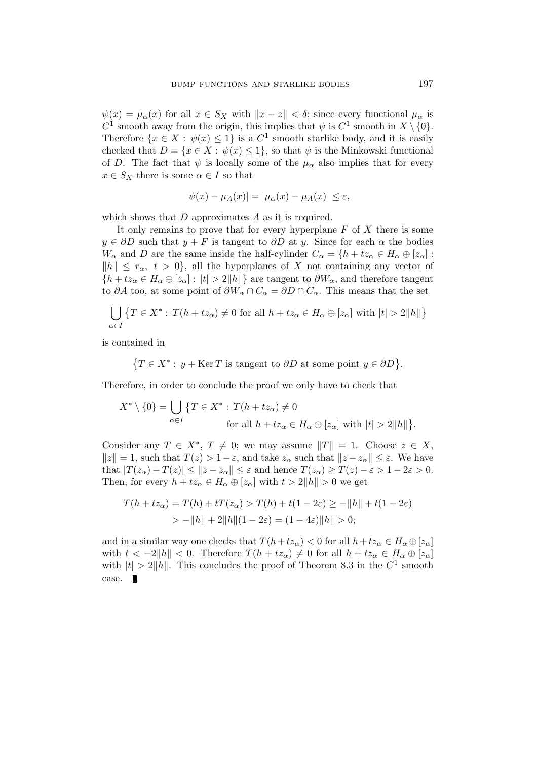$\psi(x) = \mu_{\alpha}(x)$  for all  $x \in S_X$  with  $||x - z|| < \delta$ ; since every functional  $\mu_{\alpha}$  is  $C^1$  smooth away from the origin, this implies that  $\psi$  is  $C^1$  smooth in  $X \setminus \{0\}$ . Therefore  $\{x \in X : \psi(x) \leq 1\}$  is a  $C^1$  smooth starlike body, and it is easily checked that  $D = \{x \in X : \psi(x) \leq 1\}$ , so that  $\psi$  is the Minkowski functional of D. The fact that  $\psi$  is locally some of the  $\mu_{\alpha}$  also implies that for every  $x \in S_X$  there is some  $\alpha \in I$  so that

$$
|\psi(x) - \mu_A(x)| = |\mu_\alpha(x) - \mu_A(x)| \le \varepsilon,
$$

which shows that  $D$  approximates  $A$  as it is required.

It only remains to prove that for every hyperplane  $F$  of  $X$  there is some  $y \in \partial D$  such that  $y + F$  is tangent to  $\partial D$  at y. Since for each  $\alpha$  the bodies  $W_{\alpha}$  and D are the same inside the half-cylinder  $C_{\alpha} = \{h + tz_{\alpha} \in H_{\alpha} \oplus [z_{\alpha}] :$  $||h|| \leq r_{\alpha}, t > 0$ , all the hyperplanes of X not containing any vector of  ${h + tz_\alpha \in H_\alpha \oplus [z_\alpha] : |t| > 2||h||}$  are tangent to  $\partial W_\alpha$ , and therefore tangent to ∂A too, at some point of  $\partial W_\alpha \cap C_\alpha = \partial D \cap C_\alpha$ . This means that the set

$$
\bigcup_{\alpha \in I} \{ T \in X^* : T(h + tz_\alpha) \neq 0 \text{ for all } h + tz_\alpha \in H_\alpha \oplus [z_\alpha] \text{ with } |t| > 2||h|| \}
$$

is contained in

$$
\{T \in X^* : y + \text{Ker } T \text{ is tangent to } \partial D \text{ at some point } y \in \partial D\}.
$$

Therefore, in order to conclude the proof we only have to check that

$$
X^* \setminus \{0\} = \bigcup_{\alpha \in I} \{T \in X^* : T(h + t z_\alpha) \neq 0
$$
  
for all  $h + t z_\alpha \in H_\alpha \oplus [z_\alpha]$  with  $|t| > 2||h||\}.$ 

Consider any  $T \in X^*$ ,  $T \neq 0$ ; we may assume  $||T|| = 1$ . Choose  $z \in X$ ,  $||z|| = 1$ , such that  $T(z) > 1 - \varepsilon$ , and take  $z_\alpha$  such that  $||z - z_\alpha|| \leq \varepsilon$ . We have that  $|T(z_{\alpha}) - T(z)| \leq ||z - z_{\alpha}|| \leq \varepsilon$  and hence  $T(z_{\alpha}) \geq T(z) - \varepsilon > 1 - 2\varepsilon > 0$ . Then, for every  $h + tz_\alpha \in H_\alpha \oplus [z_\alpha]$  with  $t > 2||h|| > 0$  we get

$$
T(h + tz\alpha) = T(h) + tT(z\alpha) > T(h) + t(1 - 2\varepsilon) \ge -\|h\| + t(1 - 2\varepsilon)
$$
  
>  $-\|h\| + 2\|h\|(1 - 2\varepsilon) = (1 - 4\varepsilon)\|h\| > 0;$ 

and in a similar way one checks that  $T(h+t z_\alpha) < 0$  for all  $h + t z_\alpha \in H_\alpha \oplus [z_\alpha]$ with  $t < -2||h|| < 0$ . Therefore  $T(h + tz_\alpha) \neq 0$  for all  $h + tz_\alpha \in H_\alpha \oplus [z_\alpha]$ with  $|t| > 2||h||$ . This concludes the proof of Theorem 8.3 in the  $C^1$  smooth case.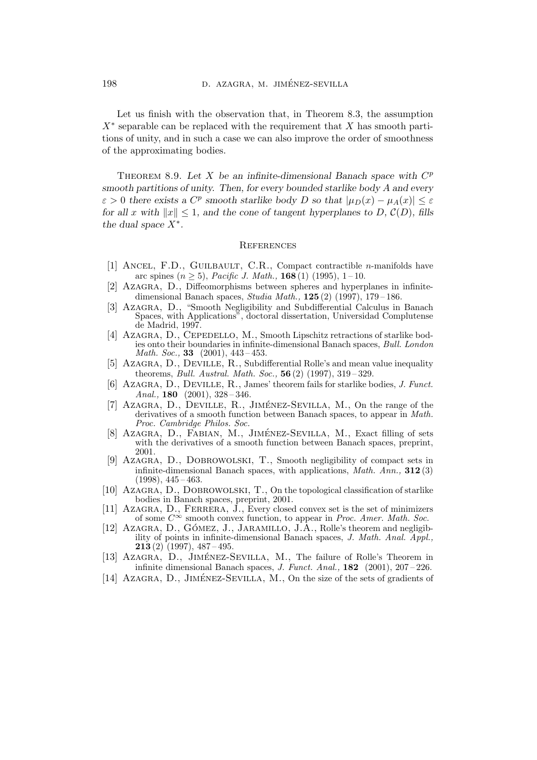Let us finish with the observation that, in Theorem 8.3, the assumption  $X^*$  separable can be replaced with the requirement that X has smooth partitions of unity, and in such a case we can also improve the order of smoothness of the approximating bodies.

THEOREM 8.9. Let X be an infinite-dimensional Banach space with  $C^p$ smooth partitions of unity. Then, for every bounded starlike body A and every  $\varepsilon > 0$  there exists a  $C^p$  smooth starlike body D so that  $|\mu_D(x) - \mu_A(x)| \le \varepsilon$ for all x with  $||x|| \leq 1$ , and the cone of tangent hyperplanes to D,  $\mathcal{C}(D)$ , fills the dual space  $X^*$ .

#### **REFERENCES**

- [1] Ancel, F.D., Guilbault, C.R., Compact contractible n-manifolds have arc spines  $(n > 5)$ , *Pacific J. Math.*, **168** (1) (1995), 1-10.
- [2] Azagra, D., Diffeomorphisms between spheres and hyperplanes in infinitedimensional Banach spaces, Studia Math.,  $125(2)$  (1997), 179-186.
- [3] Azagra, D., "Smooth Negligibility and Subdifferential Calculus in Banach Spaces, with Applications", doctoral dissertation, Universidad Complutense de Madrid, 1997.
- [4] AZAGRA, D., CEPEDELLO, M., Smooth Lipschitz retractions of starlike bodies onto their boundaries in infinite-dimensional Banach spaces, Bull. London *Math. Soc.*, **33** (2001),  $443 - 453$ .
- [5] AZAGRA, D., DEVILLE, R., Subdifferential Rolle's and mean value inequality theorems, *Bull. Austral. Math. Soc.*,  $56(2)$  (1997),  $319-329$ .
- $[6]$  AZAGRA, D., DEVILLE, R., James' theorem fails for starlike bodies, J. Funct. Anal., 180  $(2001)$ , 328 – 346.
- [7] AZAGRA, D., DEVILLE, R., JIMÉNEZ-SEVILLA, M., On the range of the derivatives of a smooth function between Banach spaces, to appear in Math. Proc. Cambridge Philos. Soc.
- [8] AZAGRA, D., FABIAN, M., JIMÉNEZ-SEVILLA, M., Exact filling of sets with the derivatives of a smooth function between Banach spaces, preprint, 2001.
- [9] Azagra, D., Dobrowolski, T., Smooth negligibility of compact sets in infinite-dimensional Banach spaces, with applications,  $Math. Ann., 312(3)$  $(1998), 445 - 463.$
- [10] Azagra, D., Dobrowolski, T., On the topological classification of starlike bodies in Banach spaces, preprint, 2001.
- [11] AZAGRA, D., FERRERA, J., Every closed convex set is the set of minimizers of some  $C^{\infty}$  smooth convex function, to appear in *Proc. Amer. Math. Soc.*
- [12] AZAGRA, D., GÓMEZ, J., JARAMILLO, J.A., Rolle's theorem and negligibility of points in infinite-dimensional Banach spaces, J. Math. Anal. Appl., **213** (2) (1997),  $487 - 495$ .
- [13] AZAGRA, D., JIMÉNEZ-SEVILLA, M., The failure of Rolle's Theorem in infinite dimensional Banach spaces, *J. Funct. Anal.*, **182** (2001),  $207-226$ .
- [14] AZAGRA,  $D$ ., JIMÉNEZ-SEVILLA, M., On the size of the sets of gradients of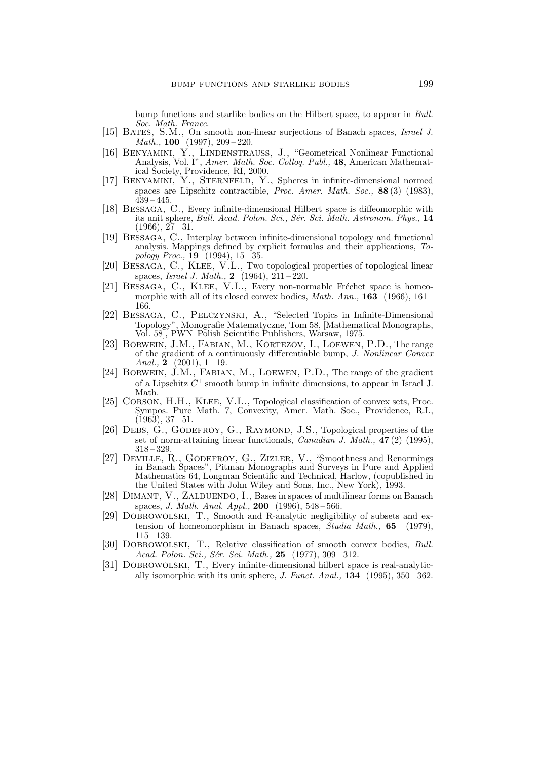bump functions and starlike bodies on the Hilbert space, to appear in Bull. Soc. Math. France.

- [15] BATES, S.M., On smooth non-linear surjections of Banach spaces, Israel J. Math., 100 (1997), 209 – 220.
- [16] BENYAMINI, Y., LINDENSTRAUSS, J., "Geometrical Nonlinear Functional Analysis, Vol. I", Amer. Math. Soc. Colloq. Publ., 48, American Mathematical Society, Providence, RI, 2000.
- [17] BENYAMINI, Y., STERNFELD, Y., Spheres in infinite-dimensional normed spaces are Lipschitz contractible, Proc. Amer. Math. Soc., 88 (3) (1983),  $439 - 445.$
- [18] Bessaga, C., Every infinite-dimensional Hilbert space is diffeomorphic with its unit sphere, Bull. Acad. Polon. Sci., Sér. Sci. Math. Astronom. Phys., 14  $(1966), 27-31.$
- [19] Bessaga, C., Interplay between infinite-dimensional topology and functional analysis. Mappings defined by explicit formulas and their applications, Topology Proc.,  $19$  (1994),  $15 - 35$ .
- [20] Bessaga, C., Klee, V.L., Two topological properties of topological linear spaces, Israel J. Math., 2 (1964), 211 – 220.
- [21] BESSAGA, C., KLEE, V.L., Every non-normable Fréchet space is homeomorphic with all of its closed convex bodies, *Math. Ann.*, **163** (1966), 161 – 166.
- [22] Bessaga, C., Pelczynski, A., "Selected Topics in Infinite-Dimensional Topology", Monografie Matematyczne, Tom 58, [Mathematical Monographs, Vol. 58], PWN–Polish Scientific Publishers, Warsaw, 1975.
- [23] BORWEIN, J.M., FABIAN, M., KORTEZOV, I., LOEWEN, P.D., The range of the gradient of a continuously differentiable bump, J. Nonlinear Convex Anal.,  $\tilde{2}$  (2001), 1-19.
- [24] Borwein, J.M., Fabian, M., Loewen, P.D., The range of the gradient of a Lipschitz  $C^1$  smooth bump in infinite dimensions, to appear in Israel J. Math.
- [25] CORSON, H.H., KLEE, V.L., Topological classification of convex sets, Proc. Sympos. Pure Math. 7, Convexity, Amer. Math. Soc., Providence, R.I.,  $(1963), 37 - 51.$
- [26] DEBS, G., GODEFROY, G., RAYMOND, J.S., Topological properties of the set of norm-attaining linear functionals, *Canadian J. Math.*,  $47(2)$  (1995), 318 – 329.
- [27] DEVILLE, R., GODEFROY, G., ZIZLER, V., "Smoothness and Renormings in Banach Spaces", Pitman Monographs and Surveys in Pure and Applied Mathematics 64, Longman Scientific and Technical, Harlow, (copublished in the United States with John Wiley and Sons, Inc., New York), 1993.
- [28] DIMANT, V., ZALDUENDO, I., Bases in spaces of multilinear forms on Banach spaces, J. Math. Anal. Appl., 200 (1996), 548 – 566.
- [29] Dobrowolski, T., Smooth and R-analytic negligibility of subsets and extension of homeomorphism in Banach spaces, Studia Math., 65 (1979),  $115 - 139.$
- [30] DOBROWOLSKI, T., Relative classification of smooth convex bodies, Bull. Acad. Polon. Sci., Sér. Sci. Math., 25 (1977), 309-312.
- [31] DOBROWOLSKI, T., Every infinite-dimensional hilbert space is real-analytically isomorphic with its unit sphere,  $J.$  Funct. Anal.,  $134$  (1995),  $350-362$ .